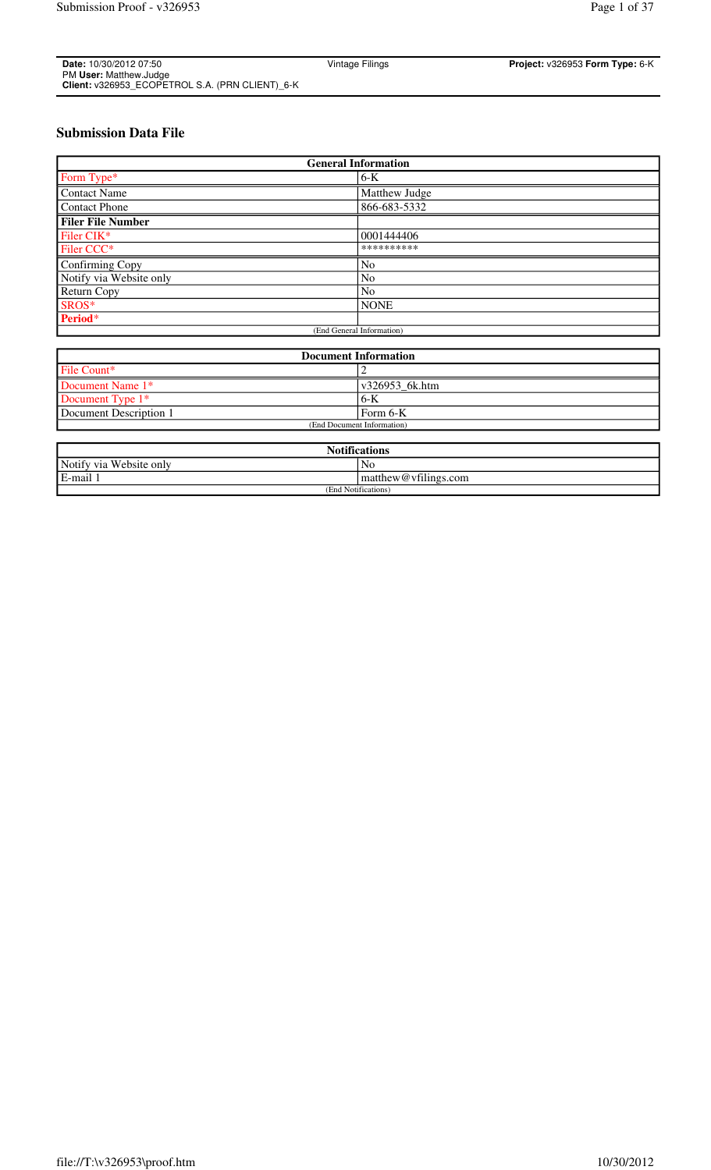| Date: 10/30/2012 07:50                          | Vintage Filings | Project: v326953 Form Type: 6-K |
|-------------------------------------------------|-----------------|---------------------------------|
| PM User: Matthew.Judge                          |                 |                                 |
| Client: v326953 ECOPETROL S.A. (PRN CLIENT) 6-K |                 |                                 |

# **Submission Data File**

| <b>General Information</b> |                |  |  |
|----------------------------|----------------|--|--|
| Form Type*                 | $6-K$          |  |  |
| <b>Contact Name</b>        | Matthew Judge  |  |  |
| <b>Contact Phone</b>       | 866-683-5332   |  |  |
| <b>Filer File Number</b>   |                |  |  |
| Filer CIK*                 | 0001444406     |  |  |
| Filer CCC*                 | **********     |  |  |
| Confirming Copy            | No             |  |  |
| Notify via Website only    | No             |  |  |
| Return Copy                | N <sub>o</sub> |  |  |
| SROS*                      | <b>NONE</b>    |  |  |
| Period*                    |                |  |  |
| (End General Information)  |                |  |  |

| <b>Document Information</b> |                                   |  |  |
|-----------------------------|-----------------------------------|--|--|
| File Count*                 |                                   |  |  |
| Document Name 1*            | $\frac{1 \times 326953}{6}$ k.htm |  |  |
| Document Type 1*            | . 6-K                             |  |  |
| Document Description 1      | Form 6-K                          |  |  |
| (End Document Information)  |                                   |  |  |

| <b>Notifications</b>         |                                |  |
|------------------------------|--------------------------------|--|
| Notify via<br>u Website only | No                             |  |
| E-mail                       | $\mathbf{matrix@vfilings.com}$ |  |
| (End Notifications)          |                                |  |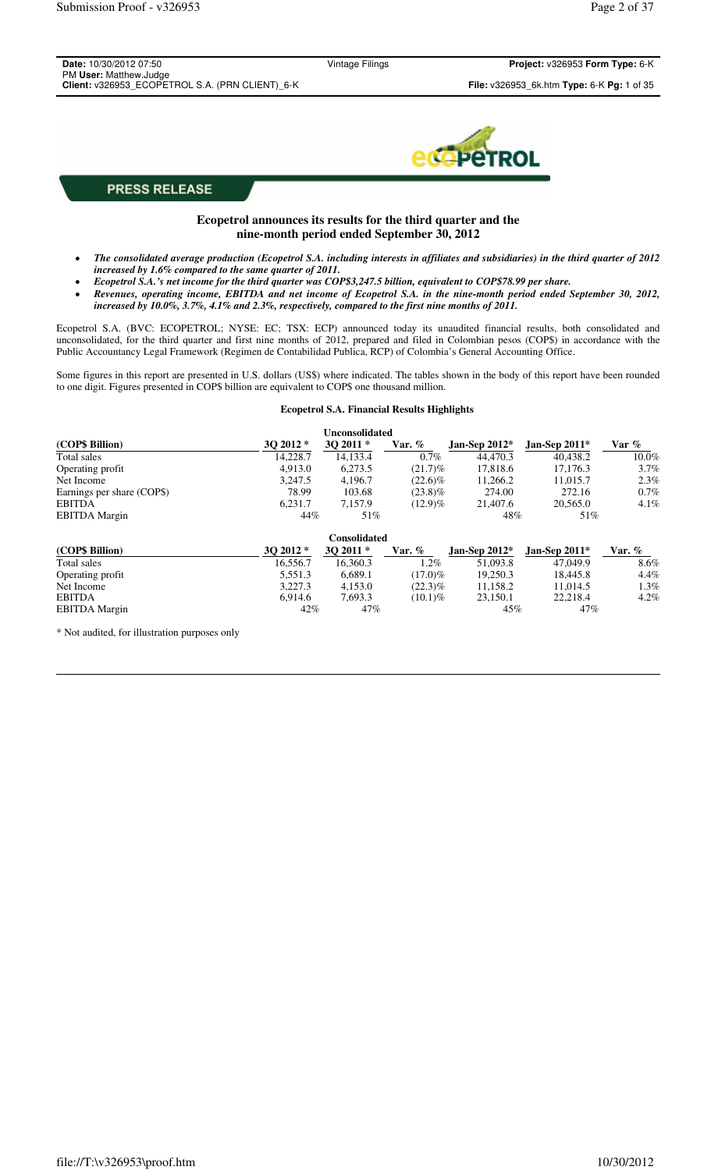| Date: 10/30/2012 07:50                                                    | Vintage Filings | Project: v326953 Form Type: 6-K            |
|---------------------------------------------------------------------------|-----------------|--------------------------------------------|
| PM User: Matthew.Judge<br>Client: v326953_ECOPETROL S.A. (PRN CLIENT)_6-K |                 | File: v326953_6k.htm Type: 6-K Pg: 1 of 35 |
|                                                                           |                 |                                            |
|                                                                           |                 |                                            |
|                                                                           |                 | <b>ecopeTROL</b>                           |
|                                                                           |                 |                                            |
| <b>PRESS RELEASE</b>                                                      |                 |                                            |

## **Ecopetrol announces its results for the third quarter and the nine-month period ended September 30, 2012**

- *The consolidated average production (Ecopetrol S.A. including interests in affiliates and subsidiaries) in the third quarter of 2012 increased by 1.6% compared to the same quarter of 2011.*
- *Ecopetrol S.A.'s net income for the third quarter was COP\$3,247.5 billion, equivalent to COP\$78.99 per share.*
- *Revenues, operating income, EBITDA and net income of Ecopetrol S.A. in the nine-month period ended September 30, 2012, increased by 10.0%, 3.7%, 4.1% and 2.3%, respectively, compared to the first nine months of 2011.*

Ecopetrol S.A. (BVC: ECOPETROL; NYSE: EC; TSX: ECP) announced today its unaudited financial results, both consolidated and unconsolidated, for the third quarter and first nine months of 2012, prepared and filed in Colombian pesos (COP\$) in accordance with the Public Accountancy Legal Framework (Regimen de Contabilidad Publica, RCP) of Colombia's General Accounting Office.

Some figures in this report are presented in U.S. dollars (US\$) where indicated. The tables shown in the body of this report have been rounded to one digit. Figures presented in COP\$ billion are equivalent to COP\$ one thousand million.

### **Ecopetrol S.A. Financial Results Highlights**

|                            |           | <b>Unconsolidated</b> |            |                 |                 |          |
|----------------------------|-----------|-----------------------|------------|-----------------|-----------------|----------|
| (COP\$ Billion)            | $302012*$ | $302011*$             | Var. $\%$  | Jan-Sep $2012*$ | Jan-Sep $2011*$ | Var $\%$ |
| Total sales                | 14.228.7  | 14,133.4              | $0.7\%$    | 44,470.3        | 40,438.2        | $10.0\%$ |
| Operating profit           | 4,913.0   | 6,273.5               | $(21.7)\%$ | 17,818.6        | 17.176.3        | $3.7\%$  |
| Net Income                 | 3,247.5   | 4,196.7               | $(22.6)\%$ | 11,266.2        | 11,015.7        | $2.3\%$  |
| Earnings per share (COP\$) | 78.99     | 103.68                | $(23.8)\%$ | 274.00          | 272.16          | $0.7\%$  |
| <b>EBITDA</b>              | 6,231.7   | 7,157.9               | $(12.9)\%$ | 21,407.6        | 20,565.0        | $4.1\%$  |
| <b>EBITDA</b> Margin       | 44%       | 51%                   |            | 48%             | 51%             |          |
|                            |           | <b>Consolidated</b>   |            |                 |                 |          |
| (COP\$ Billion)            | $302012*$ | 30 2011 *             | Var. $%$   | Jan-Sep $2012*$ | Jan-Sep $2011*$ | Var. $%$ |
| Total sales                | 16.556.7  | 16.360.3              | $1.2\%$    | 51,093.8        | 47,049.9        | 8.6%     |
| Operating profit           | 5,551.3   | 6,689.1               | $(17.0)\%$ | 19,250.3        | 18.445.8        | $4.4\%$  |
| Net Income                 | 3.227.3   | 4,153.0               | $(22.3)\%$ | 11,158.2        | 11.014.5        | $1.3\%$  |
| <b>EBITDA</b>              | 6,914.6   | 7,693.3               | $(10.1)\%$ | 23,150.1        | 22.218.4        | $4.2\%$  |
| <b>EBITDA</b> Margin       | 42%       | 47%                   |            | 45%             | 47%             |          |

\* Not audited, for illustration purposes only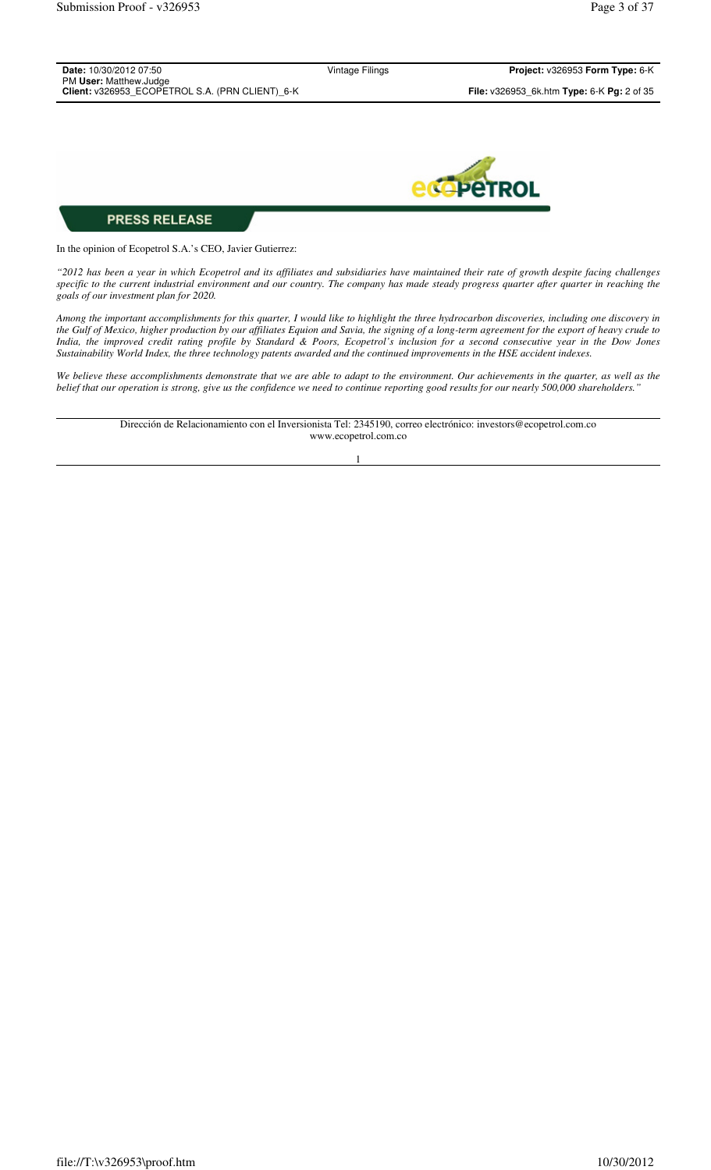| <b>Date:</b> 10/30/2012 07:50                                             | Vintage Filings | Project: v326953 Form Type: 6-K                                   |
|---------------------------------------------------------------------------|-----------------|-------------------------------------------------------------------|
| PM User: Matthew.Judge<br>Client: v326953 ECOPETROL S.A. (PRN CLIENT) 6-K |                 | <b>File:</b> $v326953$ 6k.htm <b>Type:</b> 6-K <b>Pg:</b> 2 of 35 |
|                                                                           |                 |                                                                   |



In the opinion of Ecopetrol S.A.'s CEO, Javier Gutierrez:

*"2012 has been a year in which Ecopetrol and its affiliates and subsidiaries have maintained their rate of growth despite facing challenges specific to the current industrial environment and our country. The company has made steady progress quarter after quarter in reaching the goals of our investment plan for 2020.*

*Among the important accomplishments for this quarter, I would like to highlight the three hydrocarbon discoveries, including one discovery in the Gulf of Mexico, higher production by our affiliates Equion and Savia, the signing of a long-term agreement for the export of heavy crude to India, the improved credit rating profile by Standard & Poors, Ecopetrol's inclusion for a second consecutive year in the Dow Jones Sustainability World Index, the three technology patents awarded and the continued improvements in the HSE accident indexes.* 

*We believe these accomplishments demonstrate that we are able to adapt to the environment. Our achievements in the quarter, as well as the belief that our operation is strong, give us the confidence we need to continue reporting good results for our nearly 500,000 shareholders."* 

> Dirección de Relacionamiento con el Inversionista Tel: 2345190, correo electrónico: investors@ecopetrol.com.co www.ecopetrol.com.co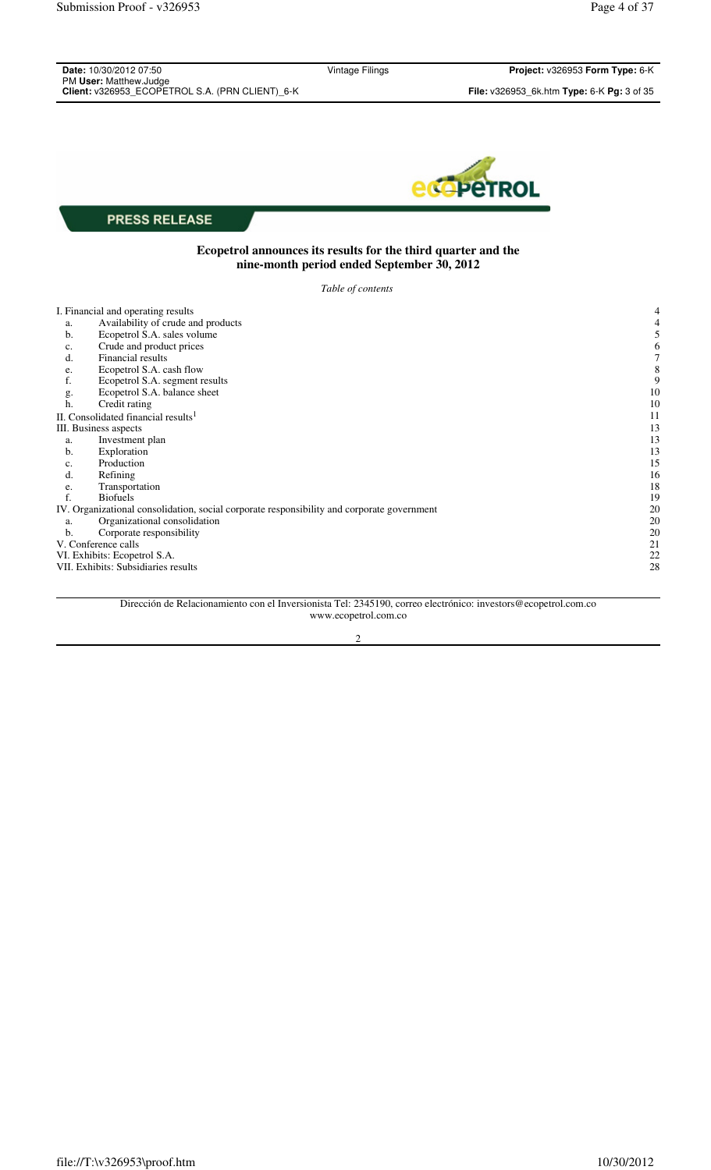| Date: 10/30/2012 07:50<br>PM User: Matthew.Judge                                           | Vintage Filings                                                                                             | Project: v326953 Form Type: 6-K            |
|--------------------------------------------------------------------------------------------|-------------------------------------------------------------------------------------------------------------|--------------------------------------------|
| Client: v326953_ECOPETROL S.A. (PRN CLIENT)_6-K                                            |                                                                                                             | File: v326953_6k.htm Type: 6-K Pg: 3 of 35 |
|                                                                                            |                                                                                                             |                                            |
|                                                                                            |                                                                                                             | CPETROL                                    |
| <b>PRESS RELEASE</b>                                                                       |                                                                                                             |                                            |
|                                                                                            | Ecopetrol announces its results for the third quarter and the<br>nine-month period ended September 30, 2012 |                                            |
|                                                                                            | Table of contents                                                                                           |                                            |
| I. Financial and operating results                                                         |                                                                                                             |                                            |
| Availability of crude and products<br>a.<br>Ecopetrol S.A. sales volume<br>b.              |                                                                                                             |                                            |
| Crude and product prices<br>c.                                                             |                                                                                                             |                                            |
| Financial results<br>d.                                                                    |                                                                                                             |                                            |
| Ecopetrol S.A. cash flow<br>e.<br>f.<br>Ecopetrol S.A. segment results                     |                                                                                                             |                                            |
| Ecopetrol S.A. balance sheet<br>g.                                                         |                                                                                                             | 10                                         |
| Credit rating<br>h.                                                                        |                                                                                                             | 10                                         |
| II. Consolidated financial results <sup>1</sup>                                            |                                                                                                             | 11                                         |
| III. Business aspects<br>Investment plan<br>a.                                             |                                                                                                             | 13<br>13                                   |
| Exploration<br>b.                                                                          |                                                                                                             | 13                                         |
| Production<br>c.                                                                           |                                                                                                             | 15                                         |
| d.<br>Refining                                                                             |                                                                                                             | 16                                         |
| Transportation<br>e.<br>f.<br><b>Biofuels</b>                                              |                                                                                                             | 18<br>19                                   |
| IV. Organizational consolidation, social corporate responsibility and corporate government |                                                                                                             | 20                                         |
| Organizational consolidation<br>a.                                                         |                                                                                                             | 20                                         |
| Corporate responsibility<br>b.                                                             |                                                                                                             | 20                                         |
| V. Conference calls                                                                        |                                                                                                             | 21                                         |
| VI. Exhibits: Ecopetrol S.A.<br>VII. Exhibits: Subsidiaries results                        |                                                                                                             | 22<br>28                                   |
|                                                                                            |                                                                                                             |                                            |

Dirección de Relacionamiento con el Inversionista Tel: 2345190, correo electrónico: investors@ecopetrol.com.co www.ecopetrol.com.co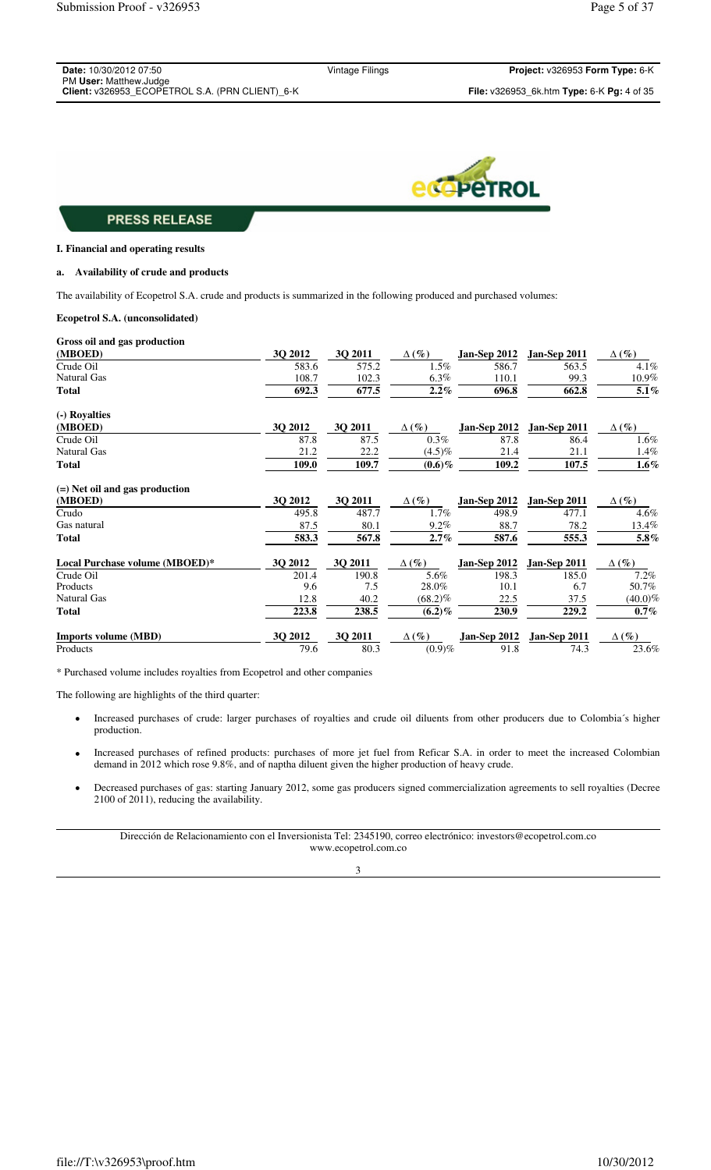| Date: 10/30/2012 07:50                          | Vintage Filings |
|-------------------------------------------------|-----------------|
| PM User: Matthew.Judge                          |                 |
| Client: v326953 ECOPETROL S.A. (PRN CLIENT) 6-K |                 |



#### **I. Financial and operating results**

### **a. Availability of crude and products**

The availability of Ecopetrol S.A. crude and products is summarized in the following produced and purchased volumes:

## **Ecopetrol S.A. (unconsolidated)**

| Gross oil and gas production     |         |         |              |                     |              |              |
|----------------------------------|---------|---------|--------------|---------------------|--------------|--------------|
| (MBOED)                          | 3Q 2012 | 3Q 2011 | $\Delta(\%)$ | Jan-Sep 2012        | Jan-Sep 2011 | $\Delta(\%)$ |
| Crude Oil                        | 583.6   | 575.2   | $1.5\%$      | 586.7               | 563.5        | 4.1%         |
| <b>Natural Gas</b>               | 108.7   | 102.3   | $6.3\%$      | 110.1               | 99.3         | 10.9%        |
| <b>Total</b>                     | 692.3   | 677.5   | $2.2\%$      | 696.8               | 662.8        | 5.1%         |
| (-) Royalties                    |         |         |              |                     |              |              |
| (MBOED)                          | 3Q 2012 | 3Q 2011 | $\Delta(\%)$ | Jan-Sep 2012        | Jan-Sep 2011 | $\Delta(\%)$ |
| Crude Oil                        | 87.8    | 87.5    | 0.3%         | 87.8                | 86.4         | 1.6%         |
| <b>Natural Gas</b>               | 21.2    | 22.2    | $(4.5)\%$    | 21.4                | 21.1         | 1.4%         |
| <b>Total</b>                     | 109.0   | 109.7   | $(0.6)\%$    | 109.2               | 107.5        | $1.6\%$      |
| $(=)$ Net oil and gas production |         |         |              |                     |              |              |
| (MBOED)                          | 3Q 2012 | 3Q 2011 | $\Delta(\%)$ | <b>Jan-Sep 2012</b> | Jan-Sep 2011 | $\Delta(\%)$ |
| Crudo                            | 495.8   | 487.7   | $1.7\%$      | 498.9               | 477.1        | 4.6%         |
| Gas natural                      | 87.5    | 80.1    | $9.2\%$      | 88.7                | 78.2         | 13.4%        |
| <b>Total</b>                     | 583.3   | 567.8   | 2.7%         | 587.6               | 555.3        | 5.8%         |
| Local Purchase volume (MBOED)*   | 3Q 2012 | 3Q 2011 | $\Delta(\%)$ | <b>Jan-Sep 2012</b> | Jan-Sep 2011 | $\Delta(\%)$ |
| Crude Oil                        | 201.4   | 190.8   | 5.6%         | 198.3               | 185.0        | 7.2%         |
| Products                         | 9.6     | 7.5     | 28.0%        | 10.1                | 6.7          | 50.7%        |
| Natural Gas                      | 12.8    | 40.2    | $(68.2)\%$   | 22.5                | 37.5         | $(40.0)\%$   |
| <b>Total</b>                     | 223.8   | 238.5   | $(6.2)\%$    | 230.9               | 229.2        | $0.7\%$      |
| <b>Imports volume (MBD)</b>      | 3Q 2012 | 3Q 2011 | $\Delta(\%)$ | <b>Jan-Sep 2012</b> | Jan-Sep 2011 | $\Delta(\%)$ |
| Products                         | 79.6    | 80.3    | (0.9)%       | 91.8                | 74.3         | 23.6%        |

\* Purchased volume includes royalties from Ecopetrol and other companies

The following are highlights of the third quarter:

- Increased purchases of crude: larger purchases of royalties and crude oil diluents from other producers due to Colombia´s higher production.
- Increased purchases of refined products: purchases of more jet fuel from Reficar S.A. in order to meet the increased Colombian demand in 2012 which rose 9.8%, and of naptha diluent given the higher production of heavy crude.
- Decreased purchases of gas: starting January 2012, some gas producers signed commercialization agreements to sell royalties (Decree 2100 of 2011), reducing the availability.

Dirección de Relacionamiento con el Inversionista Tel: 2345190, correo electrónico: investors@ecopetrol.com.co www.ecopetrol.com.co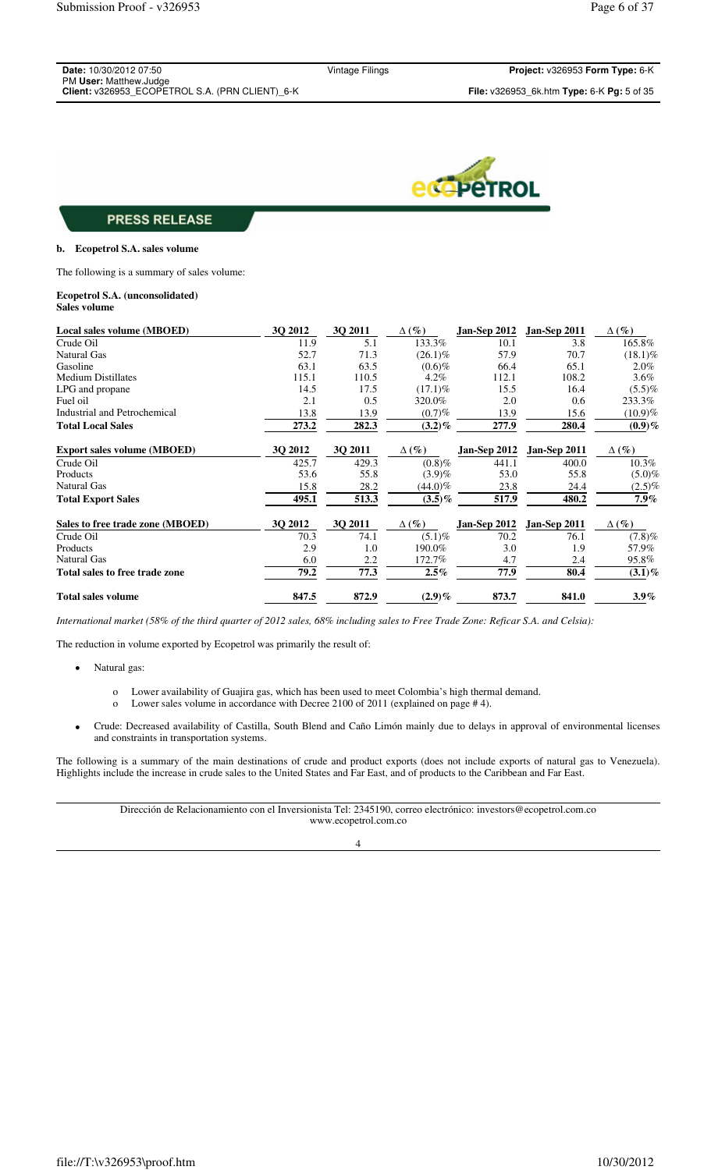| <b>Date: 10/30/2012 07:50</b>                   |  |
|-------------------------------------------------|--|
| PM User: Matthew.Judge                          |  |
| Client: v326953 ECOPETROL S.A. (PRN CLIENT) 6-K |  |

Vintage Filings **Project:** v326953 **Form Type:** 6-K



# **PRESS RELEASE**

### **b. Ecopetrol S.A. sales volume**

The following is a summary of sales volume:

#### **Ecopetrol S.A. (unconsolidated) Sales volume**

| Local sales volume (MBOED)         | 30 2012 | 30 2011 | $\Delta(\%)$ | <b>Jan-Sep 2012</b> | $Jan-Sep 2011$ | $\Delta(\%)$ |
|------------------------------------|---------|---------|--------------|---------------------|----------------|--------------|
| Crude Oil                          | 11.9    | 5.1     | 133.3%       | 10.1                | 3.8            | 165.8%       |
| <b>Natural Gas</b>                 | 52.7    | 71.3    | $(26.1)\%$   | 57.9                | 70.7           | $(18.1)\%$   |
| Gasoline                           | 63.1    | 63.5    | $(0.6)\%$    | 66.4                | 65.1           | $2.0\%$      |
| <b>Medium Distillates</b>          | 115.1   | 110.5   | $4.2\%$      | 112.1               | 108.2          | $3.6\%$      |
| LPG and propane                    | 14.5    | 17.5    | $(17.1)\%$   | 15.5                | 16.4           | $(5.5)\%$    |
| Fuel oil                           | 2.1     | 0.5     | 320.0%       | 2.0                 | 0.6            | 233.3%       |
| Industrial and Petrochemical       | 13.8    | 13.9    | $(0.7)\%$    | 13.9                | 15.6           | $(10.9)\%$   |
| <b>Total Local Sales</b>           | 273.2   | 282.3   | $(3.2)\%$    | 277.9               | 280.4          | $(0.9)\%$    |
| <b>Export sales volume (MBOED)</b> | 3Q 2012 | 3Q 2011 | $\Delta(\%)$ | <b>Jan-Sep 2012</b> | Jan-Sep 2011   | $\Delta(\%)$ |
| Crude Oil                          | 425.7   | 429.3   | (0.8)%       | 441.1               | 400.0          | $10.3\%$     |
| Products                           | 53.6    | 55.8    | $(3.9)\%$    | 53.0                | 55.8           | $(5.0)\%$    |
| Natural Gas                        | 15.8    | 28.2    | $(44.0)\%$   | 23.8                | 24.4           | $(2.5)\%$    |
| <b>Total Export Sales</b>          | 495.1   | 513.3   | $(3.5)\%$    | 517.9               | 480.2          | $7.9\%$      |
| Sales to free trade zone (MBOED)   | 3Q 2012 | 3Q 2011 | $\Delta(\%)$ | <b>Jan-Sep 2012</b> | Jan-Sep 2011   | $\Delta(\%)$ |
| Crude Oil                          | 70.3    | 74.1    | $(5.1)\%$    | 70.2                | 76.1           | (7.8)%       |
| Products                           | 2.9     | 1.0     | 190.0%       | 3.0                 | 1.9            | 57.9%        |
| <b>Natural Gas</b>                 | 6.0     | 2.2     | 172.7%       | 4.7                 | 2.4            | 95.8%        |
| Total sales to free trade zone     | 79.2    | 77.3    | $2.5\%$      | 77.9                | 80.4           | $(3.1)\%$    |
| <b>Total sales volume</b>          | 847.5   | 872.9   | $(2.9)$ %    | 873.7               | 841.0          | $3.9\%$      |

*International market (58% of the third quarter of 2012 sales, 68% including sales to Free Trade Zone: Reficar S.A. and Celsia):* 

The reduction in volume exported by Ecopetrol was primarily the result of:

- Natural gas:
	- o Lower availability of Guajira gas, which has been used to meet Colombia's high thermal demand.
	- o Lower sales volume in accordance with Decree 2100 of 2011 (explained on page # 4).
- Crude: Decreased availability of Castilla, South Blend and Caño Limón mainly due to delays in approval of environmental licenses and constraints in transportation systems.

The following is a summary of the main destinations of crude and product exports (does not include exports of natural gas to Venezuela). Highlights include the increase in crude sales to the United States and Far East, and of products to the Caribbean and Far East.

> Dirección de Relacionamiento con el Inversionista Tel: 2345190, correo electrónico: investors@ecopetrol.com.co www.ecopetrol.com.co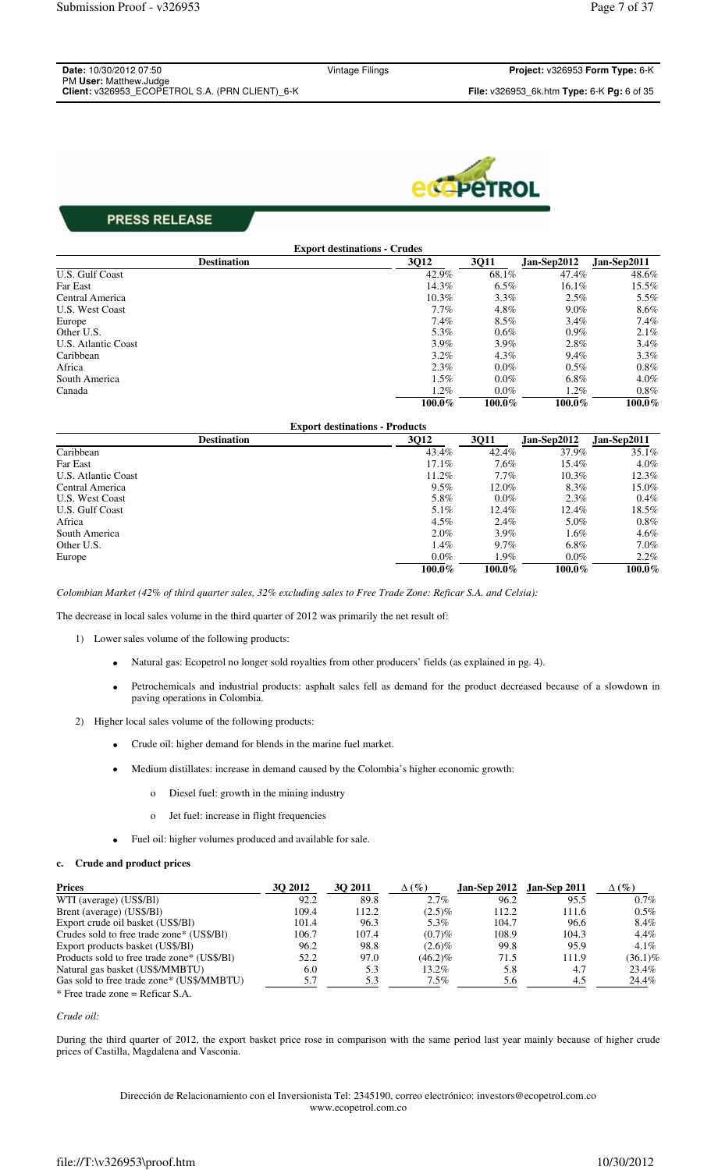| <b>Date: 10/30/2012 07:50</b>                   |
|-------------------------------------------------|
| PM User: Matthew.Judge                          |
| Client: v326953 ECOPETROL S.A. (PRN CLIENT) 6-K |



|                     | <b>Export destinations - Crudes</b> |         |             |             |
|---------------------|-------------------------------------|---------|-------------|-------------|
| <b>Destination</b>  | 3Q12                                | 3Q11    | Jan-Sep2012 | Jan-Sep2011 |
| U.S. Gulf Coast     | 42.9%                               | 68.1%   | 47.4%       | 48.6%       |
| Far East            | 14.3%                               | $6.5\%$ | $16.1\%$    | 15.5%       |
| Central America     | $10.3\%$                            | $3.3\%$ | 2.5%        | 5.5%        |
| U.S. West Coast     | $7.7\%$                             | 4.8%    | $9.0\%$     | 8.6%        |
| Europe              | 7.4%                                | $8.5\%$ | $3.4\%$     | $7.4\%$     |
| Other U.S.          | 5.3%                                | $0.6\%$ | $0.9\%$     | 2.1%        |
| U.S. Atlantic Coast | $3.9\%$                             | $3.9\%$ | $2.8\%$     | $3.4\%$     |
| Caribbean           | $3.2\%$                             | $4.3\%$ | $9.4\%$     | $3.3\%$     |
| Africa              | 2.3%                                | $0.0\%$ | $0.5\%$     | $0.8\%$     |
| South America       | $1.5\%$                             | $0.0\%$ | $6.8\%$     | $4.0\%$     |
| Canada              | $1.2\%$                             | $0.0\%$ | $1.2\%$     | $0.8\%$     |
|                     | 100.0%                              | 100.0%  | 100.0%      | 100.0%      |

| <b>Export destinations - Products</b> |          |         |             |             |
|---------------------------------------|----------|---------|-------------|-------------|
| <b>Destination</b>                    | 3Q12     | 3Q11    | Jan-Sep2012 | Jan-Sep2011 |
| Caribbean                             | 43.4%    | 42.4%   | 37.9%       | $35.1\%$    |
| Far East                              | $17.1\%$ | 7.6%    | 15.4%       | $4.0\%$     |
| U.S. Atlantic Coast                   | 11.2%    | $7.7\%$ | $10.3\%$    | 12.3%       |
| Central America                       | $9.5\%$  | 12.0%   | 8.3%        | 15.0%       |
| U.S. West Coast                       | 5.8%     | $0.0\%$ | 2.3%        | $0.4\%$     |
| U.S. Gulf Coast                       | $5.1\%$  | 12.4%   | 12.4%       | 18.5%       |
| Africa                                | $4.5\%$  | $2.4\%$ | 5.0%        | $0.8\%$     |
| South America                         | $2.0\%$  | $3.9\%$ | $1.6\%$     | $4.6\%$     |
| Other U.S.                            | $1.4\%$  | $9.7\%$ | $6.8\%$     | $7.0\%$     |
| Europe                                | $0.0\%$  | 1.9%    | $0.0\%$     | $2.2\%$     |
|                                       | 100.0%   | 100.0%  | 100.0%      | 100.0%      |

*Colombian Market (42% of third quarter sales, 32% excluding sales to Free Trade Zone: Reficar S.A. and Celsia):*

The decrease in local sales volume in the third quarter of 2012 was primarily the net result of:

- 1) Lower sales volume of the following products:
	- Natural gas: Ecopetrol no longer sold royalties from other producers' fields (as explained in pg. 4).
	- Petrochemicals and industrial products: asphalt sales fell as demand for the product decreased because of a slowdown in paving operations in Colombia.
- 2) Higher local sales volume of the following products:
	- Crude oil: higher demand for blends in the marine fuel market.
	- Medium distillates: increase in demand caused by the Colombia's higher economic growth:
		- o Diesel fuel: growth in the mining industry
		- o Jet fuel: increase in flight frequencies
	- Fuel oil: higher volumes produced and available for sale.

### **c. Crude and product prices**

| <b>Prices</b>                               | <b>30 2012</b> | <b>30 2011</b> | $\Delta(\%)$ |       | <b>Jan-Sep 2012 Jan-Sep 2011</b> | $\Delta(\%)$ |
|---------------------------------------------|----------------|----------------|--------------|-------|----------------------------------|--------------|
| WTI (average) (US\$/BI)                     | 92.2           | 89.8           | $2.7\%$      | 96.2  | 95.5                             | $0.7\%$      |
| Brent (average) (US\$/BI)                   | 109.4          | 112.2          | $(2.5)\%$    | 112.2 | 111.6                            | $0.5\%$      |
| Export crude oil basket (US\$/B1)           | 101.4          | 96.3           | 5.3%         | 104.7 | 96.6                             | 8.4%         |
| Crudes sold to free trade zone* (US\$/BI)   | 106.7          | 107.4          | $(0.7)\%$    | 108.9 | 104.3                            | $4.4\%$      |
| Export products basket (US\$/B1)            | 96.2           | 98.8           | $(2.6)\%$    | 99.8  | 95.9                             | $4.1\%$      |
| Products sold to free trade zone* (US\$/B1) | 52.2           | 97.0           | $(46.2)\%$   | 71.5  | 111.9                            | (36.1)%      |
| Natural gas basket (US\$/MMBTU)             | 6.0            | 5.3            | 13.2%        | 5.8   | 4.7                              | 23.4%        |
| Gas sold to free trade zone* (US\$/MMBTU)   | 5.7            | 5.3            | $7.5\%$      | 5.6   | 4.5                              | 24.4%        |
| $*$ Free trade zone = Reficar S.A.          |                |                |              |       |                                  |              |

#### *Crude oil:*

During the third quarter of 2012, the export basket price rose in comparison with the same period last year mainly because of higher crude prices of Castilla, Magdalena and Vasconia.

> Dirección de Relacionamiento con el Inversionista Tel: 2345190, correo electrónico: investors@ecopetrol.com.co www.ecopetrol.com.co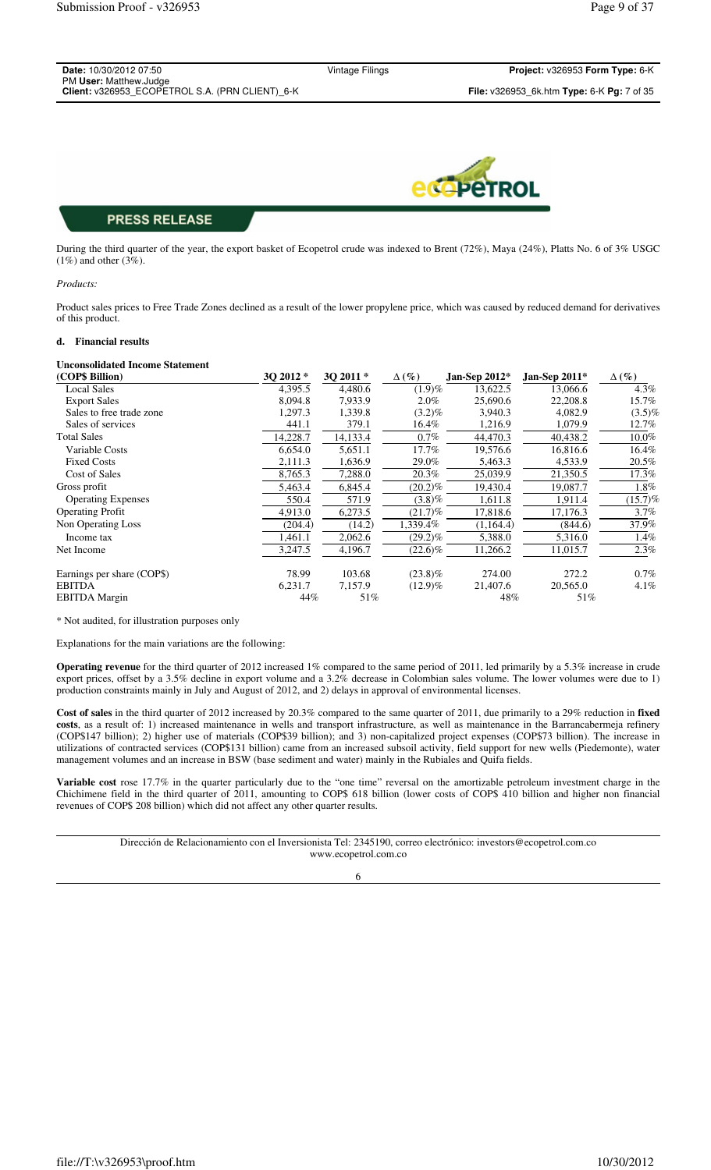| Date: 10/30/2012 07:50                          | Vintage Filings | Project: v326953 Form Type: 6-K                                   |
|-------------------------------------------------|-----------------|-------------------------------------------------------------------|
| PM User: Matthew.Judge                          |                 |                                                                   |
| Client: v326953 ECOPETROL S.A. (PRN CLIENT) 6-K |                 | <b>File:</b> $v326953$ 6k.htm <b>Type:</b> 6-K <b>Pg:</b> 7 of 35 |
|                                                 |                 |                                                                   |
|                                                 |                 |                                                                   |



During the third quarter of the year, the export basket of Ecopetrol crude was indexed to Brent (72%), Maya (24%), Platts No. 6 of 3% USGC (1%) and other (3%).

#### *Products:*

Product sales prices to Free Trade Zones declined as a result of the lower propylene price, which was caused by reduced demand for derivatives of this product.

#### **d. Financial results**

#### **Unconsolidated Income Statement**

| (COP\$ Billion)            | 30 2012 * | 3Q 2011* | $\Delta(\%)$ | Jan-Sep $2012*$ | Jan-Sep $2011*$ | $\Delta(\%)$ |
|----------------------------|-----------|----------|--------------|-----------------|-----------------|--------------|
| <b>Local Sales</b>         | 4,395.5   | 4.480.6  | (1.9)%       | 13,622.5        | 13,066.6        | 4.3%         |
| <b>Export Sales</b>        | 8.094.8   | 7,933.9  | $2.0\%$      | 25,690.6        | 22,208.8        | 15.7%        |
| Sales to free trade zone   | 1,297.3   | 1,339.8  | $(3.2)\%$    | 3,940.3         | 4,082.9         | $(3.5)\%$    |
| Sales of services          | 441.1     | 379.1    | $16.4\%$     | 1,216.9         | 1,079.9         | 12.7%        |
| <b>Total Sales</b>         | 14,228.7  | 14,133.4 | $0.7\%$      | 44,470.3        | 40,438.2        | 10.0%        |
| Variable Costs             | 6,654.0   | 5,651.1  | 17.7%        | 19,576.6        | 16,816.6        | 16.4%        |
| <b>Fixed Costs</b>         | 2,111.3   | 1,636.9  | 29.0%        | 5,463.3         | 4,533.9         | 20.5%        |
| Cost of Sales              | 8,765.3   | 7,288.0  | 20.3%        | 25,039.9        | 21,350.5        | $17.3\%$     |
| Gross profit               | 5,463.4   | 6,845.4  | $(20.2)\%$   | 19,430.4        | 19,087.7        | $1.8\%$      |
| <b>Operating Expenses</b>  | 550.4     | 571.9    | $(3.8)\%$    | 1,611.8         | 1,911.4         | (15.7)%      |
| <b>Operating Profit</b>    | 4,913.0   | 6,273.5  | $(21.7)\%$   | 17,818.6        | 17,176.3        | $3.7\%$      |
| Non Operating Loss         | (204.4)   | (14.2)   | 1,339.4%     | (1,164.4)       | (844.6)         | 37.9%        |
| Income tax                 | 1,461.1   | 2,062.6  | $(29.2)\%$   | 5,388.0         | 5,316.0         | $1.4\%$      |
| Net Income                 | 3,247.5   | 4,196.7  | $(22.6)\%$   | 11,266.2        | 11,015.7        | $2.3\%$      |
| Earnings per share (COP\$) | 78.99     | 103.68   | $(23.8)\%$   | 274.00          | 272.2           | $0.7\%$      |
| <b>EBITDA</b>              | 6,231.7   | 7,157.9  | $(12.9)\%$   | 21,407.6        | 20,565.0        | $4.1\%$      |
| <b>EBITDA</b> Margin       | 44%       | 51%      |              | 48%             | 51%             |              |

\* Not audited, for illustration purposes only

Explanations for the main variations are the following:

**Operating revenue** for the third quarter of 2012 increased 1% compared to the same period of 2011, led primarily by a 5.3% increase in crude export prices, offset by a 3.5% decline in export volume and a 3.2% decrease in Colombian sales volume. The lower volumes were due to 1) production constraints mainly in July and August of 2012, and 2) delays in approval of environmental licenses.

**Cost of sales** in the third quarter of 2012 increased by 20.3% compared to the same quarter of 2011, due primarily to a 29% reduction in **fixed costs**, as a result of: 1) increased maintenance in wells and transport infrastructure, as well as maintenance in the Barrancabermeja refinery (COP\$147 billion); 2) higher use of materials (COP\$39 billion); and 3) non-capitalized project expenses (COP\$73 billion). The increase in utilizations of contracted services (COP\$131 billion) came from an increased subsoil activity, field support for new wells (Piedemonte), water management volumes and an increase in BSW (base sediment and water) mainly in the Rubiales and Quifa fields.

**Variable cost** rose 17.7% in the quarter particularly due to the "one time" reversal on the amortizable petroleum investment charge in the Chichimene field in the third quarter of 2011, amounting to COP\$ 618 billion (lower costs of COP\$ 410 billion and higher non financial revenues of COP\$ 208 billion) which did not affect any other quarter results.

> Dirección de Relacionamiento con el Inversionista Tel: 2345190, correo electrónico: investors@ecopetrol.com.co www.ecopetrol.com.co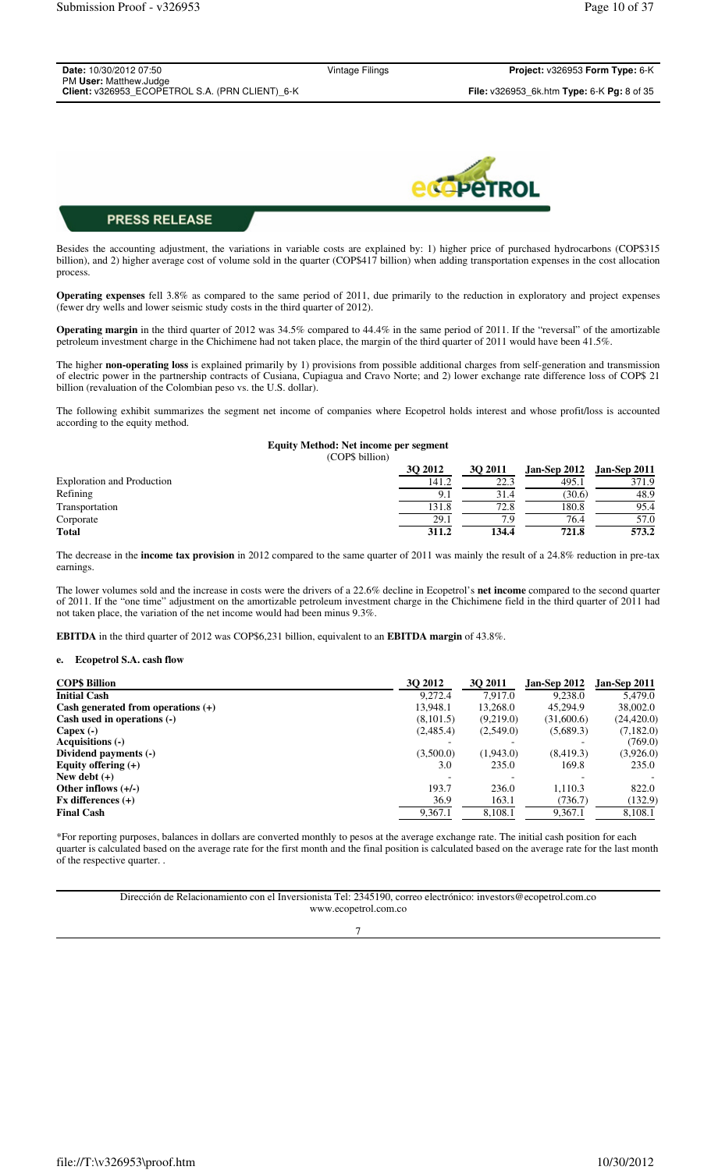| Date: 10/30/2012 07:50                           |  |
|--------------------------------------------------|--|
| PM User: Matthew.Judge                           |  |
| Client: v326953 ECOPETROL S.A. (PRN CLIENT), 6-K |  |

Vintage Filings **Project:** v326953 **Form Type:** 6-K **Client:** v326953\_ECOPETROL S.A. (PRN CLIENT)\_6-K **File:** v326953\_6k.htm **Type:** 6-K **Pg:** 8 of 35



## **PRESS RELEASE**

Besides the accounting adjustment, the variations in variable costs are explained by: 1) higher price of purchased hydrocarbons (COP\$315 billion), and 2) higher average cost of volume sold in the quarter (COP\$417 billion) when adding transportation expenses in the cost allocation process.

**Operating expenses** fell 3.8% as compared to the same period of 2011, due primarily to the reduction in exploratory and project expenses (fewer dry wells and lower seismic study costs in the third quarter of 2012).

**Operating margin** in the third quarter of 2012 was 34.5% compared to 44.4% in the same period of 2011. If the "reversal" of the amortizable petroleum investment charge in the Chichimene had not taken place, the margin of the third quarter of 2011 would have been 41.5%.

The higher **non-operating loss** is explained primarily by 1) provisions from possible additional charges from self-generation and transmission of electric power in the partnership contracts of Cusiana, Cupiagua and Cravo Norte; and 2) lower exchange rate difference loss of COP\$ 21 billion (revaluation of the Colombian peso vs. the U.S. dollar).

The following exhibit summarizes the segment net income of companies where Ecopetrol holds interest and whose profit/loss is accounted according to the equity method.

#### **Equity Method: Net income per segment** (COP\$ billion)

|                                   | <b>3O 2012</b> | 30 2011 | Jan-Sep 2012 | <b>Jan-Sep 2011</b> |
|-----------------------------------|----------------|---------|--------------|---------------------|
| <b>Exploration and Production</b> | 141.2          |         | 495.1        | 371.9               |
| Refining                          | 9.1            | 31.4    | (30.6)       | 48.9                |
| Transportation                    | 131.8          | 72.8    | 180.8        | 95.4                |
| Corporate                         | 29.1           | 7.9     | 76.4         | 57.0                |
| <b>Total</b>                      | 311.2          | 134.4   | 721.8        | 573.2               |

The decrease in the **income tax provision** in 2012 compared to the same quarter of 2011 was mainly the result of a 24.8% reduction in pre-tax earnings.

The lower volumes sold and the increase in costs were the drivers of a 22.6% decline in Ecopetrol's **net income** compared to the second quarter of 2011. If the "one time" adjustment on the amortizable petroleum investment charge in the Chichimene field in the third quarter of 2011 had not taken place, the variation of the net income would had been minus 9.3%.

**EBITDA** in the third quarter of 2012 was COP\$6,231 billion, equivalent to an **EBITDA margin** of 43.8%.

#### **e. Ecopetrol S.A. cash flow**

| <b>COP\$ Billion</b>                 | <b>30 2012</b> | <b>30 2011</b> | Jan-Sep 2012 | Jan-Sep 2011 |
|--------------------------------------|----------------|----------------|--------------|--------------|
| <b>Initial Cash</b>                  | 9.272.4        | 7,917.0        | 9.238.0      | 5.479.0      |
| Cash generated from operations $(+)$ | 13,948.1       | 13,268.0       | 45.294.9     | 38,002.0     |
| Cash used in operations (-)          | (8, 101.5)     | (9,219.0)      | (31,600.6)   | (24, 420.0)  |
| Capex $(-)$                          | (2,485.4)      | (2,549.0)      | (5,689.3)    | (7,182.0)    |
| Acquisitions (-)                     |                |                |              | (769.0)      |
| Dividend payments (-)                | (3,500.0)      | (1,943.0)      | (8,419.3)    | (3,926.0)    |
| Equity offering $(+)$                | 3.0            | 235.0          | 169.8        | 235.0        |
| New debt $(+)$                       |                |                |              |              |
| Other inflows $(+/-)$                | 193.7          | 236.0          | 1,110.3      | 822.0        |
| $Fx$ differences $(+)$               | 36.9           | 163.1          | (736.7)      | (132.9)      |
| <b>Final Cash</b>                    | 9,367.1        | 8,108.1        | 9,367.1      | 8,108.1      |

\*For reporting purposes, balances in dollars are converted monthly to pesos at the average exchange rate. The initial cash position for each quarter is calculated based on the average rate for the first month and the final position is calculated based on the average rate for the last month of the respective quarter. .

> Dirección de Relacionamiento con el Inversionista Tel: 2345190, correo electrónico: investors@ecopetrol.com.co www.ecopetrol.com.co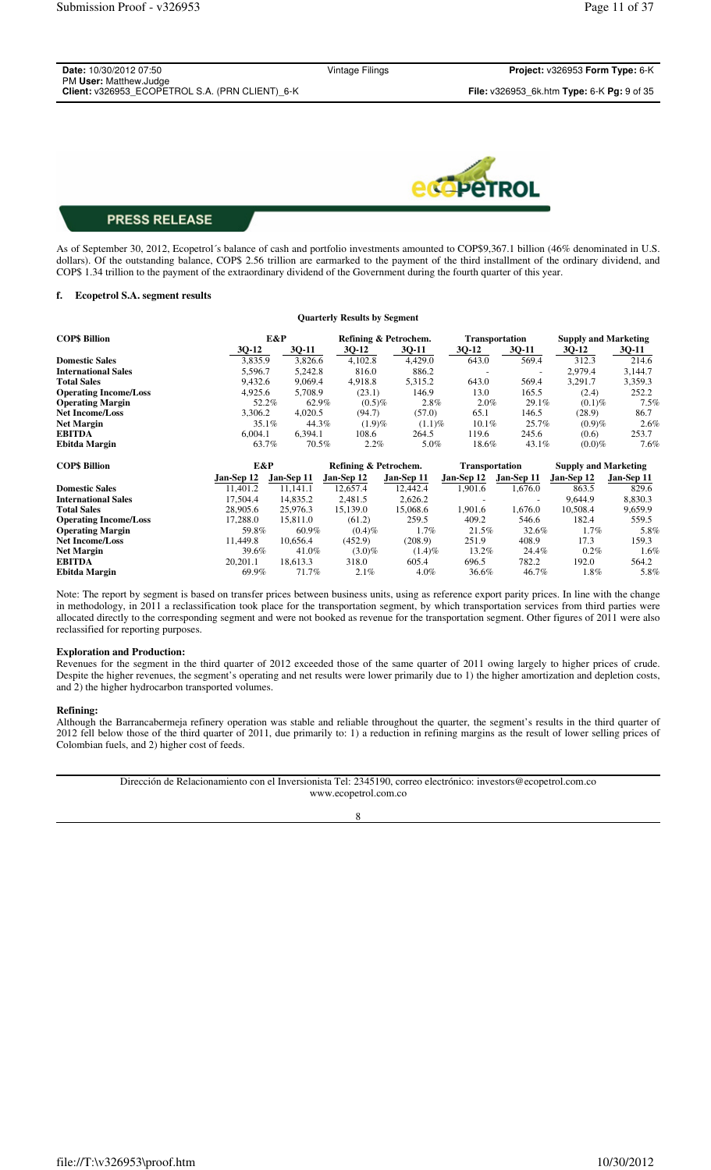| <b>Date:</b> 10/30/2012 07:50                                             | Vintage Filings | <b>Project: <math>v326953</math> Form Type: 6-K</b>               |
|---------------------------------------------------------------------------|-----------------|-------------------------------------------------------------------|
| PM User: Matthew.Judge<br>Client: v326953 ECOPETROL S.A. (PRN CLIENT) 6-K |                 | <b>File:</b> $v326953$ 6k.htm <b>Type:</b> 6-K <b>Pg:</b> 9 of 35 |



As of September 30, 2012, Ecopetrol´s balance of cash and portfolio investments amounted to COP\$9,367.1 billion (46% denominated in U.S. dollars). Of the outstanding balance, COP\$ 2.56 trillion are earmarked to the payment of the third installment of the ordinary dividend, and COP\$ 1.34 trillion to the payment of the extraordinary dividend of the Government during the fourth quarter of this year.

### **f. Ecopetrol S.A. segment results**

|                              |            |            | <b>Quarterly Results by Segment</b> |                       |                       |                       |                             |            |
|------------------------------|------------|------------|-------------------------------------|-----------------------|-----------------------|-----------------------|-----------------------------|------------|
| <b>COP\$ Billion</b>         |            | E&P        |                                     | Refining & Petrochem. |                       | <b>Transportation</b> | <b>Supply and Marketing</b> |            |
|                              | $3Q-12$    | 3Q-11      | 3Q-12                               | 3Q-11                 | 3Q-12                 | 3Q-11                 | 3Q-12                       | 3Q-11      |
| <b>Domestic Sales</b>        | 3,835.9    | 3,826.6    | 4,102.8                             | 4,429.0               | 643.0                 | 569.4                 | 312.3                       | 214.6      |
| <b>International Sales</b>   | 5,596.7    | 5,242.8    | 816.0                               | 886.2                 |                       | ٠                     | 2,979.4                     | 3,144.7    |
| <b>Total Sales</b>           | 9,432.6    | 9,069.4    | 4,918.8                             | 5,315.2               | 643.0                 | 569.4                 | 3,291.7                     | 3,359.3    |
| <b>Operating Income/Loss</b> | 4,925.6    | 5,708.9    | (23.1)                              | 146.9                 | 13.0                  | 165.5                 | (2.4)                       | 252.2      |
| <b>Operating Margin</b>      | 52.2%      | 62.9%      | $(0.5)\%$                           | $2.8\%$               | 2.0%                  | 29.1%                 | $(0.1)\%$                   | 7.5%       |
| <b>Net Income/Loss</b>       | 3,306.2    | 4,020.5    | (94.7)                              | (57.0)                | 65.1                  | 146.5                 | (28.9)                      | 86.7       |
| <b>Net Margin</b>            | 35.1%      | 44.3%      | $(1.9)\%$                           | $(1.1)\%$             | 10.1%                 | 25.7%                 | (0.9)%                      | 2.6%       |
| <b>EBITDA</b>                | 6,004.1    | 6,394.1    | 108.6                               | 264.5                 | 119.6                 | 245.6                 | (0.6)                       | 253.7      |
| Ebitda Margin                | 63.7%      | 70.5%      | 2.2%                                | 5.0%                  | 18.6%                 | 43.1%                 | $(0.0)\%$                   | 7.6%       |
| <b>COP\$ Billion</b>         | E&P        |            | Refining & Petrochem.               |                       | <b>Transportation</b> |                       | <b>Supply and Marketing</b> |            |
|                              | Jan-Sep 12 | Jan-Sep 11 | Jan-Sep 12                          | Jan-Sep 11            | Jan-Sep 12            | Jan-Sep 11            | Jan-Sep 12                  | Jan-Sep 11 |
| <b>Domestic Sales</b>        | 11,401.2   | 11,141.1   | 12,657.4                            | 12,442.4              | 1,901.6               | 1,676.0               | 863.5                       | 829.6      |
| <b>International Sales</b>   | 17,504.4   | 14,835.2   | 2,481.5                             | 2,626.2               |                       |                       | 9.644.9                     | 8,830.3    |
| <b>Total Sales</b>           | 28,905.6   | 25,976.3   | 15,139.0                            | 15,068.6              | 1,901.6               | 1,676.0               | 10,508.4                    | 9,659.9    |
| <b>Operating Income/Loss</b> | 17,288.0   | 15,811.0   | (61.2)                              | 259.5                 | 409.2                 | 546.6                 | 182.4                       | 559.5      |
| <b>Operating Margin</b>      | 59.8%      | 60.9%      | $(0.4)\%$                           | 1.7%                  | 21.5%                 | 32.6%                 | $1.7\%$                     | 5.8%       |
| <b>Net Income/Loss</b>       | 11,449.8   | 10,656.4   | (452.9)                             | (208.9)               | 251.9                 | 408.9                 | 17.3                        | 159.3      |
| <b>Net Margin</b>            | 39.6%      | 41.0%      | $(3.0)\%$                           | $(1.4)\%$             | 13.2%                 | 24.4%                 | $0.2\%$                     | 1.6%       |
| <b>EBITDA</b>                | 20,201.1   | 18,613.3   | 318.0                               | 605.4                 | 696.5                 | 782.2                 | 192.0                       | 564.2      |
| Ebitda Margin                | 69.9%      | 71.7%      | 2.1%                                | 4.0%                  | 36.6%                 | 46.7%                 | 1.8%                        | 5.8%       |

Note: The report by segment is based on transfer prices between business units, using as reference export parity prices. In line with the change in methodology, in 2011 a reclassification took place for the transportation segment, by which transportation services from third parties were allocated directly to the corresponding segment and were not booked as revenue for the transportation segment. Other figures of 2011 were also reclassified for reporting purposes.

#### **Exploration and Production:**

Revenues for the segment in the third quarter of 2012 exceeded those of the same quarter of 2011 owing largely to higher prices of crude. Despite the higher revenues, the segment's operating and net results were lower primarily due to 1) the higher amortization and depletion costs, and 2) the higher hydrocarbon transported volumes.

#### **Refining:**

Although the Barrancabermeja refinery operation was stable and reliable throughout the quarter, the segment's results in the third quarter of 2012 fell below those of the third quarter of 2011, due primarily to: 1) a reduction in refining margins as the result of lower selling prices of Colombian fuels, and 2) higher cost of feeds.

> Dirección de Relacionamiento con el Inversionista Tel: 2345190, correo electrónico: investors@ecopetrol.com.co www.ecopetrol.com.co

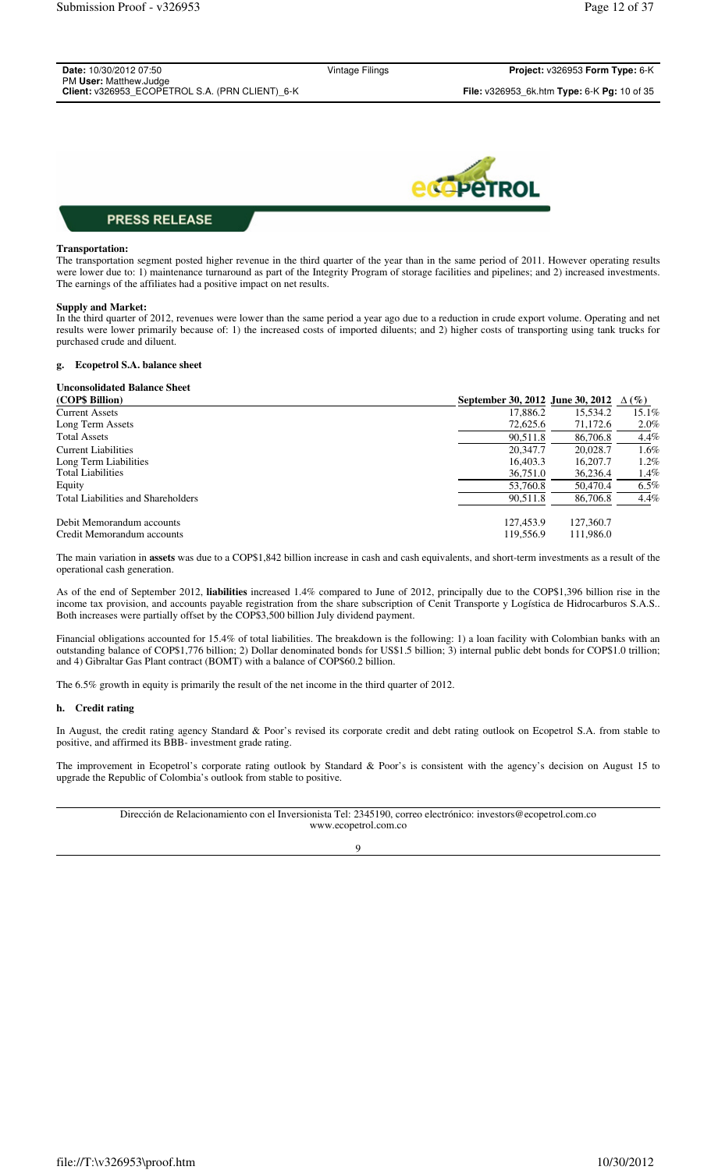| PM User: Matthew.Judge                          |                                                                  |
|-------------------------------------------------|------------------------------------------------------------------|
| Client: v326953 ECOPETROL S.A. (PRN CLIENT) 6-K | <b>File:</b> v326953 6k.htm <b>Type:</b> 6-K <b>Pg:</b> 10 of 35 |



## **Transportation:**

The transportation segment posted higher revenue in the third quarter of the year than in the same period of 2011. However operating results were lower due to: 1) maintenance turnaround as part of the Integrity Program of storage facilities and pipelines; and 2) increased investments. The earnings of the affiliates had a positive impact on net results.

## **Supply and Market:**

In the third quarter of 2012, revenues were lower than the same period a year ago due to a reduction in crude export volume. Operating and net results were lower primarily because of: 1) the increased costs of imported diluents; and 2) higher costs of transporting using tank trucks for purchased crude and diluent.

## **g. Ecopetrol S.A. balance sheet**

| <b>Unconsolidated Balance Sheet</b> |                                  |           |              |
|-------------------------------------|----------------------------------|-----------|--------------|
| (COP\$ Billion)                     | September 30, 2012 June 30, 2012 |           | $\Delta(\%)$ |
| <b>Current Assets</b>               | 17,886.2                         | 15,534.2  | 15.1%        |
| Long Term Assets                    | 72,625.6                         | 71,172.6  | $2.0\%$      |
| <b>Total Assets</b>                 | 90,511.8                         | 86,706.8  | 4.4%         |
| Current Liabilities                 | 20,347.7                         | 20,028.7  | 1.6%         |
| Long Term Liabilities               | 16,403.3                         | 16,207.7  | 1.2%         |
| <b>Total Liabilities</b>            | 36,751.0                         | 36,236.4  | 1.4%         |
| Equity                              | 53,760.8                         | 50,470.4  | $6.5\%$      |
| Total Liabilities and Shareholders  | 90,511.8                         | 86,706.8  | $4.4\%$      |
| Debit Memorandum accounts           | 127,453.9                        | 127,360.7 |              |
| Credit Memorandum accounts          | 119.556.9                        | 111.986.0 |              |

The main variation in **assets** was due to a COP\$1,842 billion increase in cash and cash equivalents, and short-term investments as a result of the operational cash generation.

As of the end of September 2012, **liabilities** increased 1.4% compared to June of 2012, principally due to the COP\$1,396 billion rise in the income tax provision, and accounts payable registration from the share subscription of Cenit Transporte y Logística de Hidrocarburos S.A.S.. Both increases were partially offset by the COP\$3,500 billion July dividend payment.

Financial obligations accounted for 15.4% of total liabilities. The breakdown is the following: 1) a loan facility with Colombian banks with an outstanding balance of COP\$1,776 billion; 2) Dollar denominated bonds for US\$1.5 billion; 3) internal public debt bonds for COP\$1.0 trillion; and 4) Gibraltar Gas Plant contract (BOMT) with a balance of COP\$60.2 billion.

The 6.5% growth in equity is primarily the result of the net income in the third quarter of 2012.

#### **h. Credit rating**

In August, the credit rating agency Standard & Poor's revised its corporate credit and debt rating outlook on Ecopetrol S.A. from stable to positive, and affirmed its BBB- investment grade rating.

The improvement in Ecopetrol's corporate rating outlook by Standard & Poor's is consistent with the agency's decision on August 15 to upgrade the Republic of Colombia's outlook from stable to positive.

> Dirección de Relacionamiento con el Inversionista Tel: 2345190, correo electrónico: investors@ecopetrol.com.co www.ecopetrol.com.co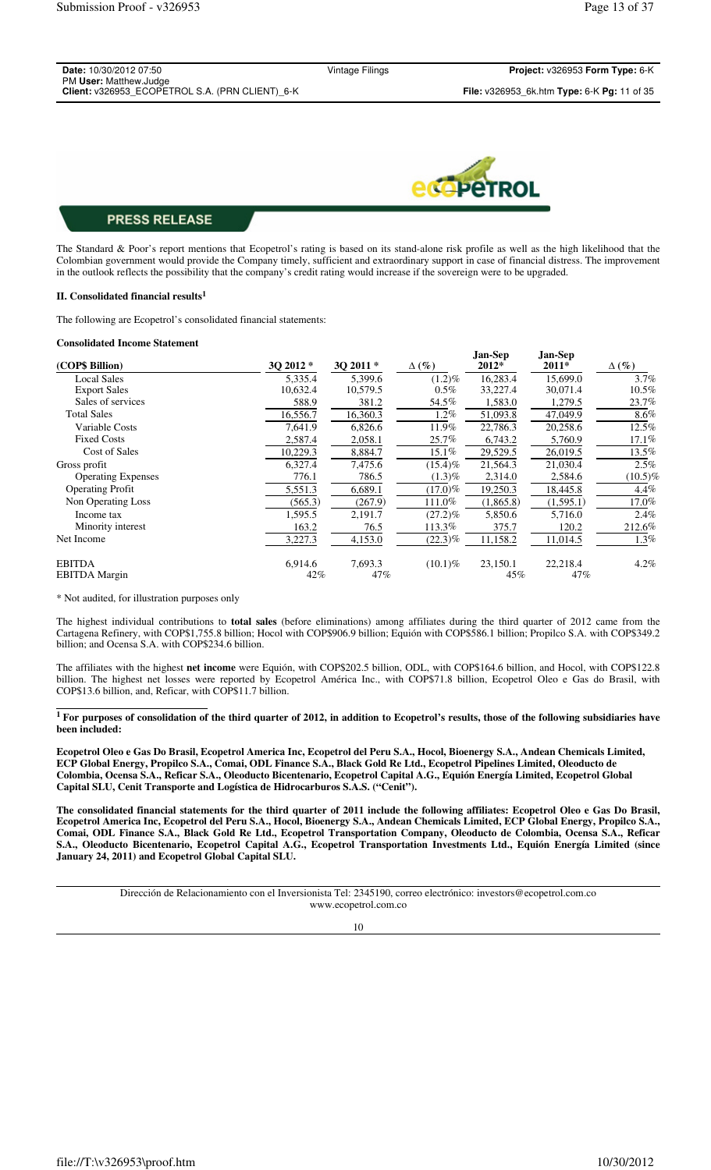| Project: v326953 Form Type: 6-K             |
|---------------------------------------------|
|                                             |
| File: v326953 6k.htm Type: 6-K Pg: 11 of 35 |
|                                             |



The Standard & Poor's report mentions that Ecopetrol's rating is based on its stand-alone risk profile as well as the high likelihood that the Colombian government would provide the Company timely, sufficient and extraordinary support in case of financial distress. The improvement in the outlook reflects the possibility that the company's credit rating would increase if the sovereign were to be upgraded.

#### **II. Consolidated financial results<sup>1</sup>**

The following are Ecopetrol's consolidated financial statements:

#### **Consolidated Income Statement**

|                           |          |           |              | Jan-Sep   | Jan-Sep   |              |
|---------------------------|----------|-----------|--------------|-----------|-----------|--------------|
| (COP\$ Billion)           | 3Q 2012* | 30 2011 * | $\Delta(\%)$ | 2012*     | 2011*     | $\Delta(\%)$ |
| <b>Local Sales</b>        | 5,335.4  | 5,399.6   | $(1.2)\%$    | 16,283.4  | 15,699.0  | 3.7%         |
| <b>Export Sales</b>       | 10,632.4 | 10,579.5  | $0.5\%$      | 33,227.4  | 30,071.4  | 10.5%        |
| Sales of services         | 588.9    | 381.2     | 54.5%        | 1,583.0   | 1,279.5   | 23.7%        |
| <b>Total Sales</b>        | 16,556.7 | 16,360.3  | $1.2\%$      | 51,093.8  | 47,049.9  | $8.6\%$      |
| Variable Costs            | 7.641.9  | 6,826.6   | 11.9%        | 22,786.3  | 20,258.6  | 12.5%        |
| <b>Fixed Costs</b>        | 2,587.4  | 2,058.1   | 25.7%        | 6,743.2   | 5,760.9   | 17.1%        |
| Cost of Sales             | 10,229.3 | 8,884.7   | $15.1\%$     | 29,529.5  | 26,019.5  | 13.5%        |
| Gross profit              | 6,327.4  | 7,475.6   | $(15.4)\%$   | 21,564.3  | 21,030.4  | 2.5%         |
| <b>Operating Expenses</b> | 776.1    | 786.5     | $(1.3)\%$    | 2,314.0   | 2,584.6   | $(10.5)\%$   |
| <b>Operating Profit</b>   | 5,551.3  | 6,689.1   | $(17.0)\%$   | 19,250.3  | 18,445.8  | $4.4\%$      |
| Non Operating Loss        | (565.3)  | (267.9)   | 111.0%       | (1,865.8) | (1,595.1) | 17.0%        |
| Income tax                | 1,595.5  | 2,191.7   | $(27.2)\%$   | 5,850.6   | 5,716.0   | 2.4%         |
| Minority interest         | 163.2    | 76.5      | 113.3%       | 375.7     | 120.2     | 212.6%       |
| Net Income                | 3,227.3  | 4,153.0   | $(22.3)\%$   | 11,158.2  | 11,014.5  | 1.3%         |
| <b>EBITDA</b>             | 6,914.6  | 7,693.3   | $(10.1)\%$   | 23,150.1  | 22,218.4  | $4.2\%$      |
| <b>EBITDA</b> Margin      | 42%      | 47%       |              | 45%       | 47%       |              |

\* Not audited, for illustration purposes only

The highest individual contributions to **total sales** (before eliminations) among affiliates during the third quarter of 2012 came from the Cartagena Refinery, with COP\$1,755.8 billion; Hocol with COP\$906.9 billion; Equión with COP\$586.1 billion; Propilco S.A. with COP\$349.2 billion; and Ocensa S.A. with COP\$234.6 billion.

The affiliates with the highest **net income** were Equión, with COP\$202.5 billion, ODL, with COP\$164.6 billion, and Hocol, with COP\$122.8 billion. The highest net losses were reported by Ecopetrol América Inc., with COP\$71.8 billion, Ecopetrol Oleo e Gas do Brasil, with COP\$13.6 billion, and, Reficar, with COP\$11.7 billion.

**<sup>1</sup>For purposes of consolidation of the third quarter of 2012, in addition to Ecopetrol's results, those of the following subsidiaries have been included:** 

**Ecopetrol Oleo e Gas Do Brasil, Ecopetrol America Inc, Ecopetrol del Peru S.A., Hocol, Bioenergy S.A., Andean Chemicals Limited, ECP Global Energy, Propilco S.A., Comai, ODL Finance S.A., Black Gold Re Ltd., Ecopetrol Pipelines Limited, Oleoducto de Colombia, Ocensa S.A., Reficar S.A., Oleoducto Bicentenario, Ecopetrol Capital A.G., Equión Energía Limited, Ecopetrol Global Capital SLU, Cenit Transporte and Logística de Hidrocarburos S.A.S. ("Cenit").**

**The consolidated financial statements for the third quarter of 2011 include the following affiliates: Ecopetrol Oleo e Gas Do Brasil, Ecopetrol America Inc, Ecopetrol del Peru S.A., Hocol, Bioenergy S.A., Andean Chemicals Limited, ECP Global Energy, Propilco S.A., Comai, ODL Finance S.A., Black Gold Re Ltd., Ecopetrol Transportation Company, Oleoducto de Colombia, Ocensa S.A., Reficar S.A., Oleoducto Bicentenario, Ecopetrol Capital A.G., Ecopetrol Transportation Investments Ltd., Equión Energía Limited (since January 24, 2011) and Ecopetrol Global Capital SLU.**

> Dirección de Relacionamiento con el Inversionista Tel: 2345190, correo electrónico: investors@ecopetrol.com.co www.ecopetrol.com.co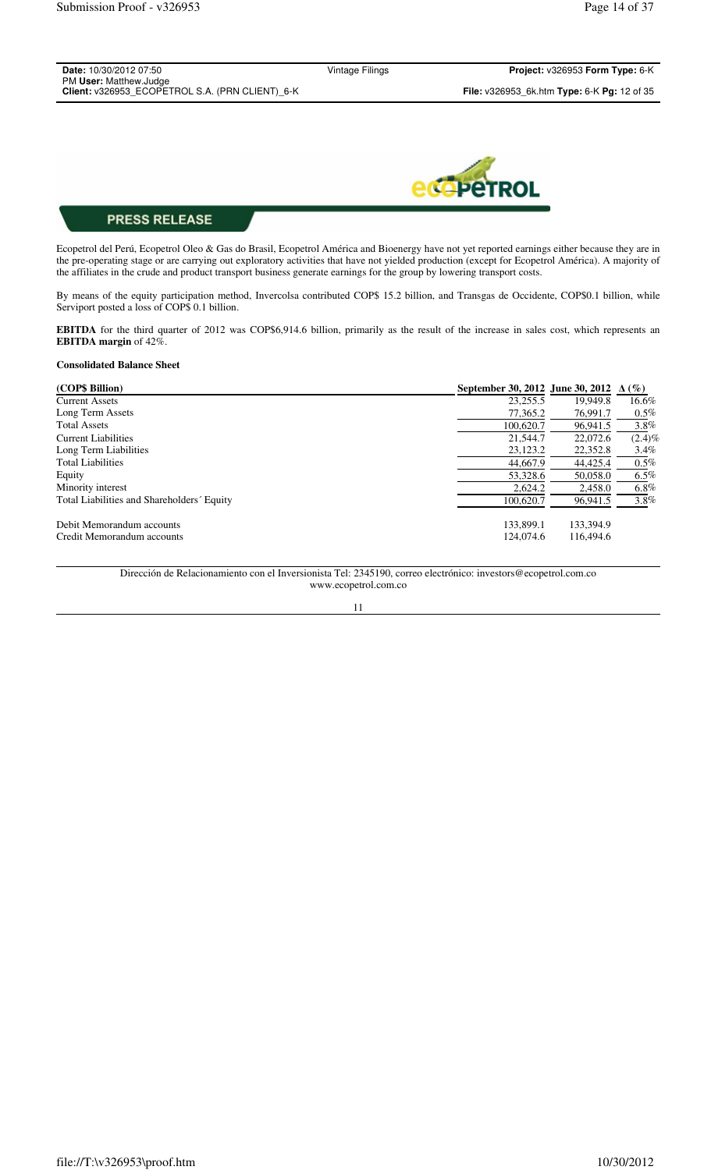| <b>Date:</b> 10/30/2012 07:50                   | Vintage Filings | Project: v326953 Form Type: 6-K                                    |
|-------------------------------------------------|-----------------|--------------------------------------------------------------------|
| PM User: Matthew.Judge                          |                 |                                                                    |
| Client: v326953 ECOPETROL S.A. (PRN CLIENT) 6-K |                 | <b>File:</b> $v326953$ 6k.htm <b>Type:</b> 6-K <b>Pg:</b> 12 of 35 |
|                                                 |                 |                                                                    |



Ecopetrol del Perú, Ecopetrol Oleo & Gas do Brasil, Ecopetrol América and Bioenergy have not yet reported earnings either because they are in the pre-operating stage or are carrying out exploratory activities that have not yielded production (except for Ecopetrol América). A majority of the affiliates in the crude and product transport business generate earnings for the group by lowering transport costs.

By means of the equity participation method, Invercolsa contributed COP\$ 15.2 billion, and Transgas de Occidente, COP\$0.1 billion, while Serviport posted a loss of COP\$ 0.1 billion.

**EBITDA** for the third quarter of 2012 was COP\$6,914.6 billion, primarily as the result of the increase in sales cost, which represents an **EBITDA margin** of 42%.

## **Consolidated Balance Sheet**

| (COP\$ Billion)                            | September 30, 2012 June 30, 2012 $\Delta(\%)$ |           |           |
|--------------------------------------------|-----------------------------------------------|-----------|-----------|
| <b>Current Assets</b>                      | 23,255.5                                      | 19.949.8  | $16.6\%$  |
| Long Term Assets                           | 77,365.2                                      | 76.991.7  | $0.5\%$   |
| <b>Total Assets</b>                        | 100,620.7                                     | 96,941.5  | $3.8\%$   |
| Current Liabilities                        | 21,544.7                                      | 22,072.6  | $(2.4)\%$ |
| Long Term Liabilities                      | 23,123.2                                      | 22,352.8  | 3.4%      |
| <b>Total Liabilities</b>                   | 44,667.9                                      | 44,425.4  | $0.5\%$   |
| Equity                                     | 53,328.6                                      | 50,058.0  | $6.5\%$   |
| Minority interest                          | 2,624.2                                       | 2,458.0   | $6.8\%$   |
| Total Liabilities and Shareholders' Equity | 100,620.7                                     | 96.941.5  | $3.8\%$   |
| Debit Memorandum accounts                  | 133,899.1                                     | 133,394.9 |           |
| Credit Memorandum accounts                 | 124,074.6                                     | 116,494.6 |           |

Dirección de Relacionamiento con el Inversionista Tel: 2345190, correo electrónico: investors@ecopetrol.com.co www.ecopetrol.com.co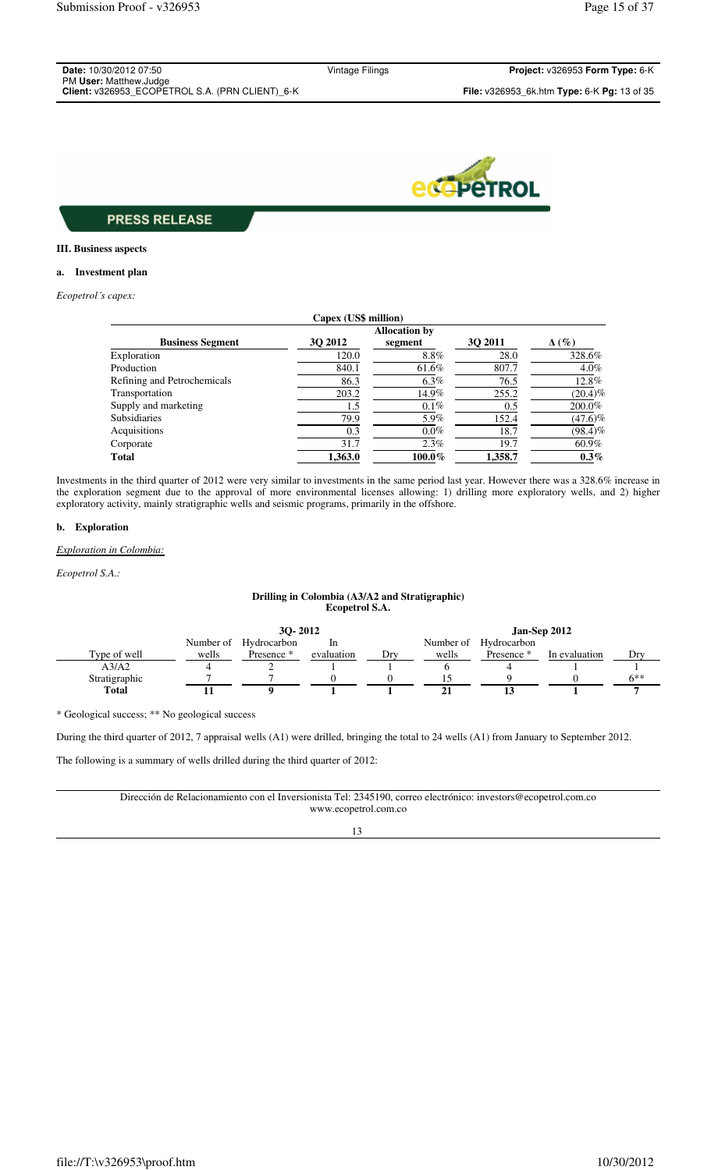| <b>Date: 10/30/2012 07:50</b>                   |
|-------------------------------------------------|
| PM User: Matthew.Judge                          |
| Client: v326953 ECOPETROL S.A. (PRN CLIENT) 6-K |

Vintage Filings **Project:** v326953 **Form Type:** 6-K



## **PRESS RELEASE**

### **III. Business aspects**

## **a. Investment plan**

*Ecopetrol´s capex:*

|                             | Capex (US\$ million) |         |         |              |  |  |
|-----------------------------|----------------------|---------|---------|--------------|--|--|
| <b>Allocation by</b>        |                      |         |         |              |  |  |
| <b>Business Segment</b>     | 30 2012              | segment | 30 2011 | $\Delta(\%)$ |  |  |
| Exploration                 | 120.0                | $8.8\%$ | 28.0    | 328.6%       |  |  |
| Production                  | 840.1                | 61.6%   | 807.7   | $4.0\%$      |  |  |
| Refining and Petrochemicals | 86.3                 | $6.3\%$ | 76.5    | 12.8%        |  |  |
| Transportation              | 203.2                | 14.9%   | 255.2   | $(20.4)\%$   |  |  |
| Supply and marketing        | 1.5                  | $0.1\%$ | 0.5     | 200.0%       |  |  |
| <b>Subsidiaries</b>         | 79.9                 | 5.9%    | 152.4   | $(47.6)\%$   |  |  |
| Acquisitions                | 0.3                  | $0.0\%$ | 18.7    | $(98.4)\%$   |  |  |
| Corporate                   | 31.7                 | 2.3%    | 19.7    | $60.9\%$     |  |  |
| <b>Total</b>                | 1.363.0              | 100.0%  | 1.358.7 | $0.3\%$      |  |  |

Investments in the third quarter of 2012 were very similar to investments in the same period last year. However there was a 328.6% increase in the exploration segment due to the approval of more environmental licenses allowing: 1) drilling more exploratory wells, and 2) higher exploratory activity, mainly stratigraphic wells and seismic programs, primarily in the offshore.

#### **b. Exploration**

#### *Exploration in Colombia:*

*Ecopetrol S.A.:*

### **Drilling in Colombia (A3/A2 and Stratigraphic) Ecopetrol S.A.**

|               | 30-2012   |             |            |     | Jan-Sep 2012 |             |               |       |
|---------------|-----------|-------------|------------|-----|--------------|-------------|---------------|-------|
|               | Number of | Hydrocarbon | In         |     | Number of    | Hydrocarbon |               |       |
| Type of well  | wells     | Presence *  | evaluation | Dry | wells        | Presence *  | In evaluation | Dry   |
| A3/A2         |           | ∸           |            |     |              |             |               |       |
| Stratigraphic |           |             |            |     |              |             |               | $6**$ |
| <b>Total</b>  |           |             |            |     |              |             |               |       |

\* Geological success; \*\* No geological success

During the third quarter of 2012, 7 appraisal wells (A1) were drilled, bringing the total to 24 wells (A1) from January to September 2012.

The following is a summary of wells drilled during the third quarter of 2012:

Dirección de Relacionamiento con el Inversionista Tel: 2345190, correo electrónico: investors@ecopetrol.com.co www.ecopetrol.com.co

### 13

file://T:\v326953\proof.htm 10/30/2012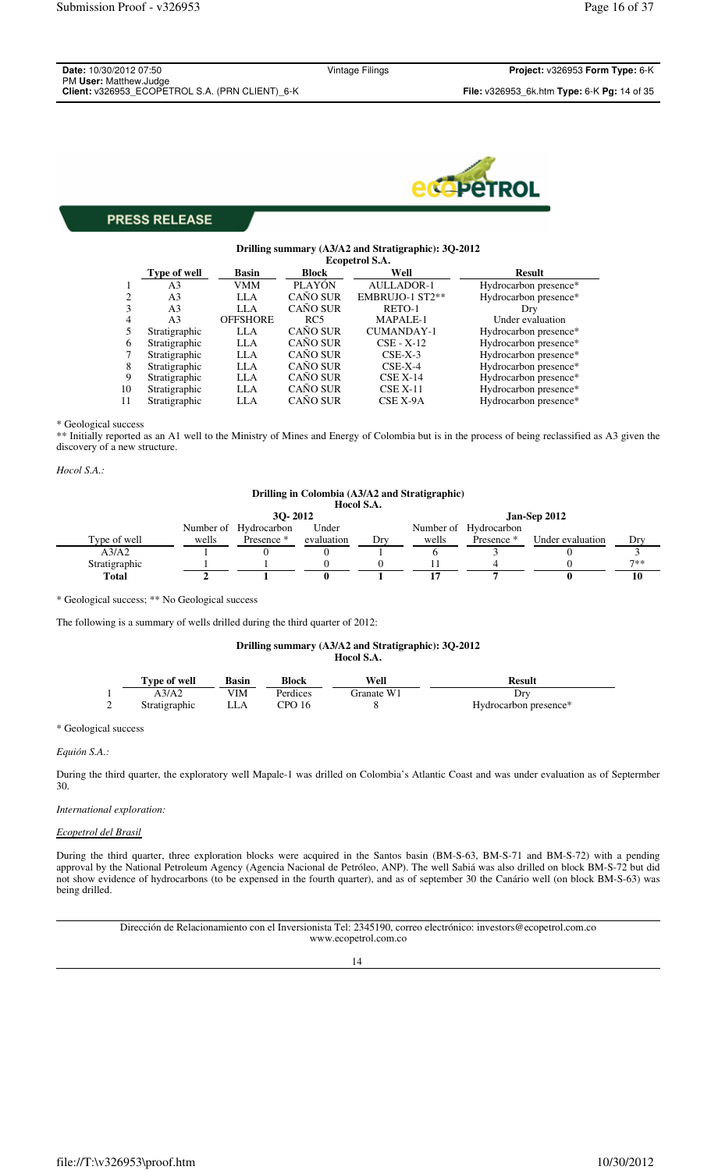| <b>Date:</b> 10/30/2012 07:50                   | Vintage Filings | Project: v326953 Form Type: 6-K                    |
|-------------------------------------------------|-----------------|----------------------------------------------------|
| PM User: Matthew.Judge                          |                 |                                                    |
| Client: v326953 ECOPETROL S.A. (PRN CLIENT) 6-K |                 | <b>File:</b> v326953 6k.htm Type: 6-K Pq: 14 of 35 |



#### **Drilling summary (A3/A2 and Stratigraphic): 3Q-2012 Ecopetrol S.A.**

|    | Type of well   | <b>Basin</b>    | <b>Block</b>    | Well              | <b>Result</b>         |
|----|----------------|-----------------|-----------------|-------------------|-----------------------|
|    | A <sub>3</sub> | VMM             | <b>PLAYÓN</b>   | <b>AULLADOR-1</b> | Hydrocarbon presence* |
| 2  | A <sub>3</sub> | LLA             | CAÑO SUR        | EMBRUJO-1 ST2**   | Hydrocarbon presence* |
| 3  | A <sub>3</sub> | LLA             | CAÑO SUR        | RETO-1            | Drv                   |
| 4  | A <sub>3</sub> | <b>OFFSHORE</b> | RC5             | MAPALE-1          | Under evaluation      |
|    | Stratigraphic  | LLA             | <b>CAÑO SUR</b> | <b>CUMANDAY-1</b> | Hydrocarbon presence* |
| 6  | Stratigraphic  | LLA             | <b>CAÑO SUR</b> | $CSE - X-12$      | Hydrocarbon presence* |
|    | Stratigraphic  | LLA             | CAÑO SUR        | $CSE-X-3$         | Hydrocarbon presence* |
| 8  | Stratigraphic  | LLA             | CAÑO SUR        | $CSE-X-4$         | Hydrocarbon presence* |
| 9  | Stratigraphic  | LLA             | <b>CAÑO SUR</b> | $CSE X-14$        | Hydrocarbon presence* |
| 10 | Stratigraphic  | LLA             | <b>CAÑO SUR</b> | $CSE X-11$        | Hydrocarbon presence* |
| 11 | Stratigraphic  | LLA             | <b>CAÑO SUR</b> | CSE X-9A          | Hydrocarbon presence* |

\* Geological success

\*\* Initially reported as an A1 well to the Ministry of Mines and Energy of Colombia but is in the process of being reclassified as A3 given the discovery of a new structure.

*Hocol S.A.:*

### **Drilling in Colombia (A3/A2 and Stratigraphic) Hocol S.A.**

|               | 30-2012 |                       |            |     | Jan-Sep 2012 |                       |                  |       |
|---------------|---------|-----------------------|------------|-----|--------------|-----------------------|------------------|-------|
|               |         | Number of Hydrocarbon | Under      |     |              | Number of Hydrocarbon |                  |       |
| Type of well  | wells   | Presence *            | evaluation | Drv | wells        | Presence *            | Under evaluation | Drv   |
| A3/A2         |         |                       |            |     |              |                       |                  |       |
| Stratigraphic |         |                       |            |     |              |                       |                  | $7**$ |
| Total         |         |                       |            |     |              |                       |                  |       |

\* Geological success; \*\* No Geological success

The following is a summary of wells drilled during the third quarter of 2012:

### **Drilling summary (A3/A2 and Stratigraphic): 3Q-2012 Hocol S.A.**

| Type of well  | Basin | <b>Block</b> | Well       | Result                |
|---------------|-------|--------------|------------|-----------------------|
| A3/A2         | /IM   | Perdices     | Granate W1 | $_{\rm DIV}$          |
| Stratigraphic | ∟LA   | CPO16        |            | Hydrocarbon presence* |

\* Geological success

*Equión S.A.:*

During the third quarter, the exploratory well Mapale-1 was drilled on Colombia's Atlantic Coast and was under evaluation as of Septermber 30.

*International exploration:* 

#### *Ecopetrol del Brasil*

During the third quarter, three exploration blocks were acquired in the Santos basin (BM-S-63, BM-S-71 and BM-S-72) with a pending approval by the National Petroleum Agency (Agencia Nacional de Petróleo, ANP). The well Sabiá was also drilled on block BM-S-72 but did not show evidence of hydrocarbons (to be expensed in the fourth quarter), and as of september 30 the Canário well (on block BM-S-63) was being drilled.

> Dirección de Relacionamiento con el Inversionista Tel: 2345190, correo electrónico: investors@ecopetrol.com.co www.ecopetrol.com.co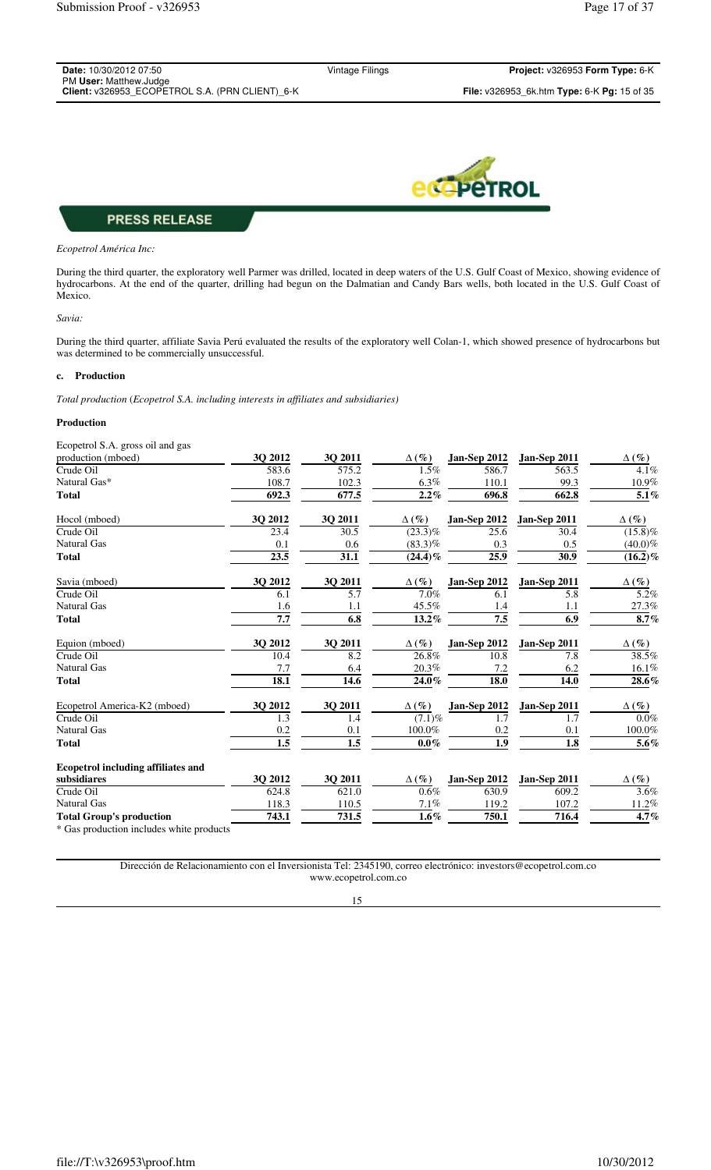| <b>Date:</b> 10/30/2012 07:50                                             | Vintage Filings | <b>Project:</b> $v326953$ Form Type: $6-K$                         |
|---------------------------------------------------------------------------|-----------------|--------------------------------------------------------------------|
| PM User: Matthew.Judge<br>Client: v326953 ECOPETROL S.A. (PRN CLIENT) 6-K |                 | <b>File:</b> $v326953$ 6k.htm <b>Type:</b> 6-K <b>Pg:</b> 15 of 35 |
|                                                                           |                 |                                                                    |



#### *Ecopetrol América Inc:*

During the third quarter, the exploratory well Parmer was drilled, located in deep waters of the U.S. Gulf Coast of Mexico, showing evidence of hydrocarbons. At the end of the quarter, drilling had begun on the Dalmatian and Candy Bars wells, both located in the U.S. Gulf Coast of Mexico.

#### *Savia:*

During the third quarter, affiliate Savia Perú evaluated the results of the exploratory well Colan-1, which showed presence of hydrocarbons but was determined to be commercially unsuccessful.

#### **c. Production**

*Total production* (*Ecopetrol S.A. including interests in affiliates and subsidiaries)*

#### **Production**

| Ecopetrol S.A. gross oil and gas          |                   |                  |                       |                  |                  |                    |
|-------------------------------------------|-------------------|------------------|-----------------------|------------------|------------------|--------------------|
| production (mboed)                        | 3Q 2012           | 3Q 2011          | $\Delta(\%)$          | Jan-Sep 2012     | Jan-Sep 2011     | $\Delta(\%)$       |
| Crude Oil                                 | 583.6             | 575.2            | 1.5%                  | 586.7            | 563.5            | 4.1%               |
| Natural Gas*                              | 108.7             | 102.3            | $6.3\%$               | 110.1            | 99.3             | 10.9%              |
| <b>Total</b>                              | 692.3             | 677.5            | 2.2%                  | 696.8            | 662.8            | $\overline{5.1}\%$ |
| Hocol (mboed)                             | 3Q 2012           | 30 2011          | $\Delta(\%)$          | Jan-Sep 2012     | Jan-Sep 2011     | $\Delta$ (%)       |
| Crude Oil                                 | 23.4              | $\frac{30.5}{ }$ | $\overline{(23.3)}\%$ | 25.6             | 30.4             | $(15.8)\%$         |
| <b>Natural Gas</b>                        | 0.1               | 0.6              | $(83.3)\%$            | 0.3              | 0.5              | $(40.0)\%$         |
| <b>Total</b>                              | $\overline{23.5}$ | 31.1             | $(24.4)\%$            | 25.9             | 30.9             | $(16.2)\%$         |
| Savia (mboed)                             | 3Q 2012           | 3Q 2011          | $\Delta(\%)$          | Jan-Sep 2012     | Jan-Sep 2011     | $\Delta(\%)$       |
| Crude Oil                                 | 6.1               | $\overline{5.7}$ | $\overline{7.0}$ %    | 6.1              | 5.8              | $\overline{5.2}\%$ |
| <b>Natural Gas</b>                        | 1.6               | 1.1              | 45.5%                 | 1.4              | 1.1              | 27.3%              |
| <b>Total</b>                              | $\overline{7.7}$  | 6.8              | 13.2%                 | $\overline{7.5}$ | $\overline{6.9}$ | 8.7%               |
| Equion (mboed)                            | 30 2012           | 30 2011          | $\Delta(\%)$          | Jan-Sep 2012     | Jan-Sep 2011     | $\Delta(\%)$       |
| Crude Oil                                 | 10.4              | 8.2              | 26.8%                 | 10.8             | 7.8              | 38.5%              |
| <b>Natural Gas</b>                        | 7.7               | 6.4              | 20.3%                 | 7.2              | 6.2              | $16.1\%$           |
| <b>Total</b>                              | 18.1              | 14.6             | 24.0%                 | 18.0             | 14.0             | 28.6%              |
| Ecopetrol America-K2 (mboed)              | 3Q 2012           | <b>30 2011</b>   | $\Delta(\%)$          | Jan-Sep 2012     | Jan-Sep 2011     | $\Delta(\%)$       |
| Crude Oil                                 | 1.3               | 1.4              | $(7.1)\%$             | 1.7              | 1.7              | $0.0\%$            |
| <b>Natural Gas</b>                        | 0.2               | 0.1              | $100.0\%$             | 0.2              | 0.1              | 100.0%             |
| <b>Total</b>                              | $\overline{1.5}$  | $\overline{1.5}$ | $0.0\%$               | $\overline{1.9}$ | $\overline{1.8}$ | $\overline{5.6}\%$ |
| <b>Ecopetrol including affiliates and</b> |                   |                  |                       |                  |                  |                    |
| subsidiares                               | 30 2012           | 30 2011          | $\Delta(\%)$          | Jan-Sep 2012     | Jan-Sep 2011     | $\Delta(\%)$       |
| Crude Oil                                 | 624.8             | 621.0            | 0.6%                  | 630.9            | 609.2            | 3.6%               |
| <b>Natural Gas</b>                        | 118.3             | 110.5            | 7.1%                  | 119.2            | 107.2            | 11.2%              |
| <b>Total Group's production</b>           | 743.1             | 731.5            | $1.6\%$               | 750.1            | 716.4            | 4.7%               |
| * Gas production includes white products  |                   |                  |                       |                  |                  |                    |

Gas production includes white products

Dirección de Relacionamiento con el Inversionista Tel: 2345190, correo electrónico: investors@ecopetrol.com.co www.ecopetrol.com.co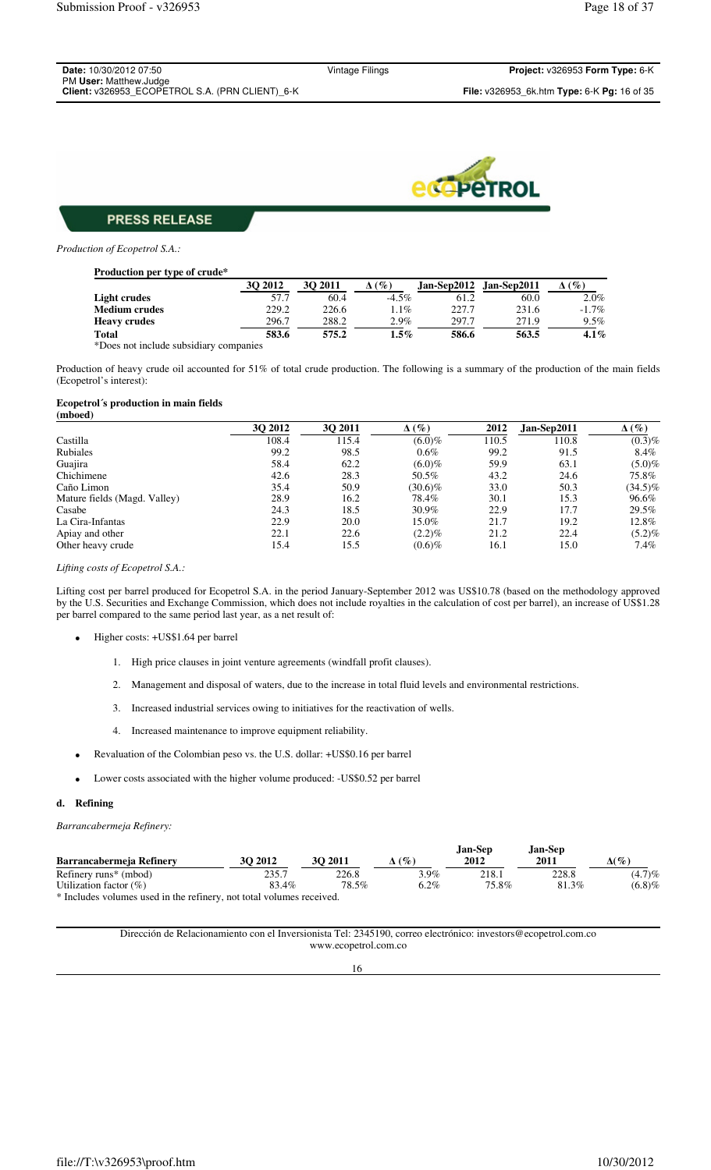| Project: v326953 Form Type: 6-K<br>Vintage Filings               |
|------------------------------------------------------------------|
|                                                                  |
| <b>File:</b> v326953 6k.htm <b>Type:</b> 6-K <b>Pg:</b> 16 of 35 |
|                                                                  |



*Production of Ecopetrol S.A.:*

| <b>Production per type of crude*</b> |         |         |                 |       |                         |                 |
|--------------------------------------|---------|---------|-----------------|-------|-------------------------|-----------------|
|                                      | 30 2012 | 30 2011 | $\mathscr{G}_o$ |       | Jan-Sep2012 Jan-Sep2011 | $\mathscr{C}_o$ |
| Light crudes                         | 57.7    | 60.4    | $-4.5\%$        | 61.2  | 60.0                    | $2.0\%$         |
| <b>Medium crudes</b>                 | 229.2   | 226.6   | $1.1\%$         | 227.7 | 231.6                   | $-1.7\%$        |
| <b>Heavy crudes</b>                  | 296.7   | 288.2   | $2.9\%$         | 297.7 | 271.9                   | $9.5\%$         |
| <b>Total</b>                         | 583.6   | 575.2   | $1.5\%$         | 586.6 | 563.5                   | $4.1\%$         |
|                                      |         |         |                 |       |                         |                 |

\*Does not include subsidiary companies

Production of heavy crude oil accounted for 51% of total crude production. The following is a summary of the production of the main fields (Ecopetrol's interest):

#### **Ecopetrol´s production in main fields (mboed)**

|                              | 30 2012 | 30 2011 | $\Delta(\%)$ | 2012  | Jan-Sep2011 | $\Delta(\%)$ |
|------------------------------|---------|---------|--------------|-------|-------------|--------------|
| Castilla                     | 108.4   | 115.4   | $(6.0)\%$    | 110.5 | 110.8       | $(0.3)\%$    |
| Rubiales                     | 99.2    | 98.5    | $0.6\%$      | 99.2  | 91.5        | 8.4%         |
| Guajira                      | 58.4    | 62.2    | $(6.0)\%$    | 59.9  | 63.1        | $(5.0)\%$    |
| Chichimene                   | 42.6    | 28.3    | 50.5%        | 43.2  | 24.6        | 75.8%        |
| Caño Limon                   | 35.4    | 50.9    | $(30.6)\%$   | 33.0  | 50.3        | $(34.5)\%$   |
| Mature fields (Magd. Valley) | 28.9    | 16.2    | 78.4%        | 30.1  | 15.3        | 96.6%        |
| Casabe                       | 24.3    | 18.5    | 30.9%        | 22.9  | 17.7        | 29.5%        |
| La Cira-Infantas             | 22.9    | 20.0    | 15.0%        | 21.7  | 19.2        | 12.8%        |
| Apiay and other              | 22.1    | 22.6    | $(2.2)\%$    | 21.2  | 22.4        | $(5.2)\%$    |
| Other heavy crude            | 15.4    | 15.5    | $(0.6)\%$    | 16.1  | 15.0        | $7.4\%$      |

*Lifting costs of Ecopetrol S.A.:* 

Lifting cost per barrel produced for Ecopetrol S.A. in the period January-September 2012 was US\$10.78 (based on the methodology approved by the U.S. Securities and Exchange Commission, which does not include royalties in the calculation of cost per barrel), an increase of US\$1.28 per barrel compared to the same period last year, as a net result of:

- Higher costs: +US\$1.64 per barrel
	- 1. High price clauses in joint venture agreements (windfall profit clauses).
	- 2. Management and disposal of waters, due to the increase in total fluid levels and environmental restrictions.
	- 3. Increased industrial services owing to initiatives for the reactivation of wells.
	- 4. Increased maintenance to improve equipment reliability.
- Revaluation of the Colombian peso vs. the U.S. dollar: +US\$0.16 per barrel
- Lower costs associated with the higher volume produced: -US\$0.52 per barrel

#### **d. Refining**

*Barrancabermeja Refinery:* 

|                                                                      |         |         |         | Jan-Sep | Jan-Sep |              |
|----------------------------------------------------------------------|---------|---------|---------|---------|---------|--------------|
| Barrancabermeja Refinery                                             | 30 2012 | 30 2011 | $($ %)  | 2012    | 2011    | $\Delta(\%)$ |
| Refinery runs <sup>*</sup> (mbod)                                    | 235.7   | 226.8   | $3.9\%$ | 218.1   | 228.8   | $(4.7)\%$    |
| Utilization factor $(\%)$                                            | 83.4%   | 78.5%   | $6.2\%$ | 75.8%   | 81.3%   | (6.8)%       |
| * Includes volumes used in the refinery, not total volumes received. |         |         |         |         |         |              |

Dirección de Relacionamiento con el Inversionista Tel: 2345190, correo electrónico: investors@ecopetrol.com.co www.ecopetrol.com.co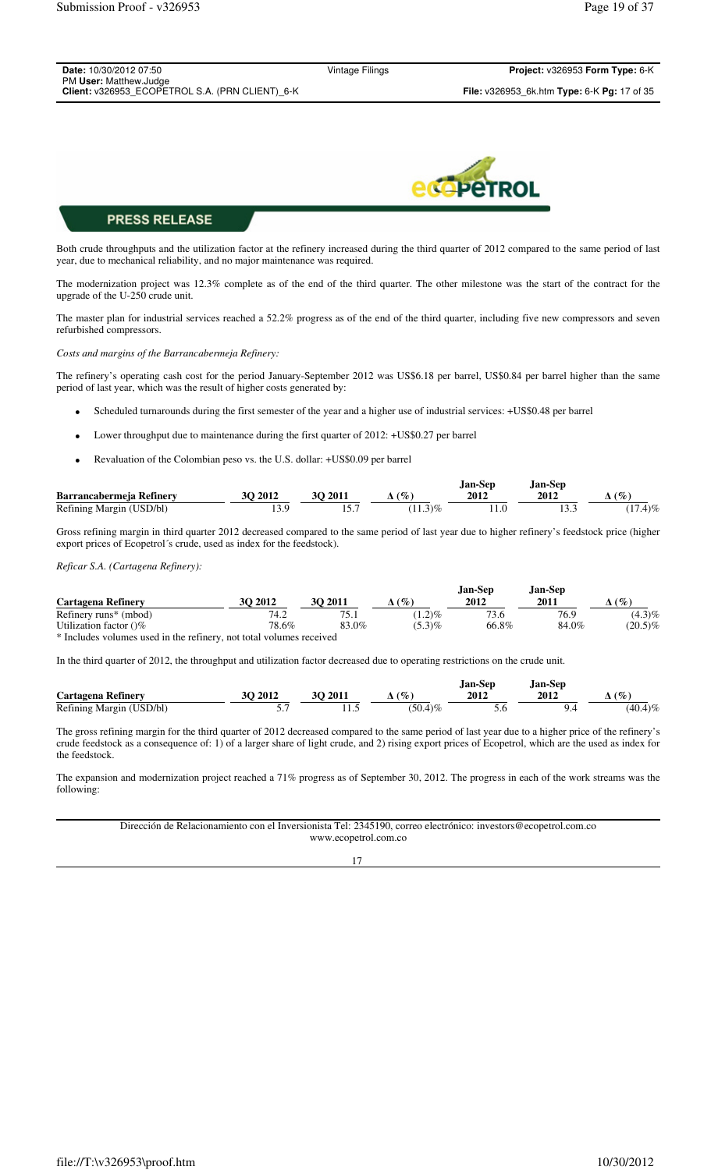| <b>Date: 10/30/2012 07:50</b>                   |  |
|-------------------------------------------------|--|
| PM User: Matthew.Judge                          |  |
| Client: v326953 ECOPETROL S.A. (PRN CLIENT) 6-K |  |

Vintage Filings **Project:** v326953 **Form Type:** 6-K **Client:** v326953\_ECOPETROL S.A. (PRN CLIENT)\_6-K **File:** v326953\_6k.htm **Type:** 6-K **Pg:** 17 of 35



## **PRESS RELEASE**

Both crude throughputs and the utilization factor at the refinery increased during the third quarter of 2012 compared to the same period of last year, due to mechanical reliability, and no major maintenance was required.

The modernization project was 12.3% complete as of the end of the third quarter. The other milestone was the start of the contract for the upgrade of the U-250 crude unit.

The master plan for industrial services reached a 52.2% progress as of the end of the third quarter, including five new compressors and seven refurbished compressors.

*Costs and margins of the Barrancabermeja Refinery:*

The refinery's operating cash cost for the period January-September 2012 was US\$6.18 per barrel, US\$0.84 per barrel higher than the same period of last year, which was the result of higher costs generated by:

- Scheduled turnarounds during the first semester of the year and a higher use of industrial services: +US\$0.48 per barrel
- Lower throughput due to maintenance during the first quarter of 2012: +US\$0.27 per barrel
- Revaluation of the Colombian peso vs. the U.S. dollar: +US\$0.09 per barrel

|                          |              |                |                        | Jan-Sep | Jan-Sep. |            |
|--------------------------|--------------|----------------|------------------------|---------|----------|------------|
| Barrancabermeia Refinery | $\cdot$ 2012 | <b>3O 2011</b> | $\mathscr{C}_{\infty}$ | 2012    | 2012     | $\phi_{o}$ |
| Refining Margin (USD/bl) |              | 1 J . I        | 3)%                    |         |          | $17.4\%$   |

Gross refining margin in third quarter 2012 decreased compared to the same period of last year due to higher refinery's feedstock price (higher export prices of Ecopetrol´s crude, used as index for the feedstock).

*Reficar S.A. (Cartagena Refinery):*

|       |         |           | Jan-Sep | Jan-Sep |             |
|-------|---------|-----------|---------|---------|-------------|
|       |         |           |         |         | $(\%)$      |
| 74.2  | 75.1    | $(1.2)\%$ | 73.6    | 76.9    | $(4.3)\%$   |
| 78.6% | 83.0%   | $(5.3)\%$ | 66.8%   | 84.0%   | $(20.5)\%$  |
|       | 30 2012 | 30 2011   | $(\%)$  | 2012    | <b>2011</b> |

\* Includes volumes used in the refinery, not total volumes received

In the third quarter of 2012, the throughput and utilization factor decreased due to operating restrictions on the crude unit.

|                          |          |            |                                    | Jan-Sep | <b>Jan-Sep</b> |            |
|--------------------------|----------|------------|------------------------------------|---------|----------------|------------|
| Cartagena Refinery       | 2012     | 2011<br>30 | $\mathscr{O}_\mathcal{O}$ .<br>′ ⊾ | 2012    | 2012           | $\sigma$   |
| Refining Margin (USD/bl) | <u>.</u> | .          | 150.4<br>$4\frac{9}{6}$            | J.U     |                | $(40.4)\%$ |

The gross refining margin for the third quarter of 2012 decreased compared to the same period of last year due to a higher price of the refinery's crude feedstock as a consequence of: 1) of a larger share of light crude, and 2) rising export prices of Ecopetrol, which are the used as index for the feedstock.

The expansion and modernization project reached a 71% progress as of September 30, 2012. The progress in each of the work streams was the following:

#### Dirección de Relacionamiento con el Inversionista Tel: 2345190, correo electrónico: investors@ecopetrol.com.co www.ecopetrol.com.co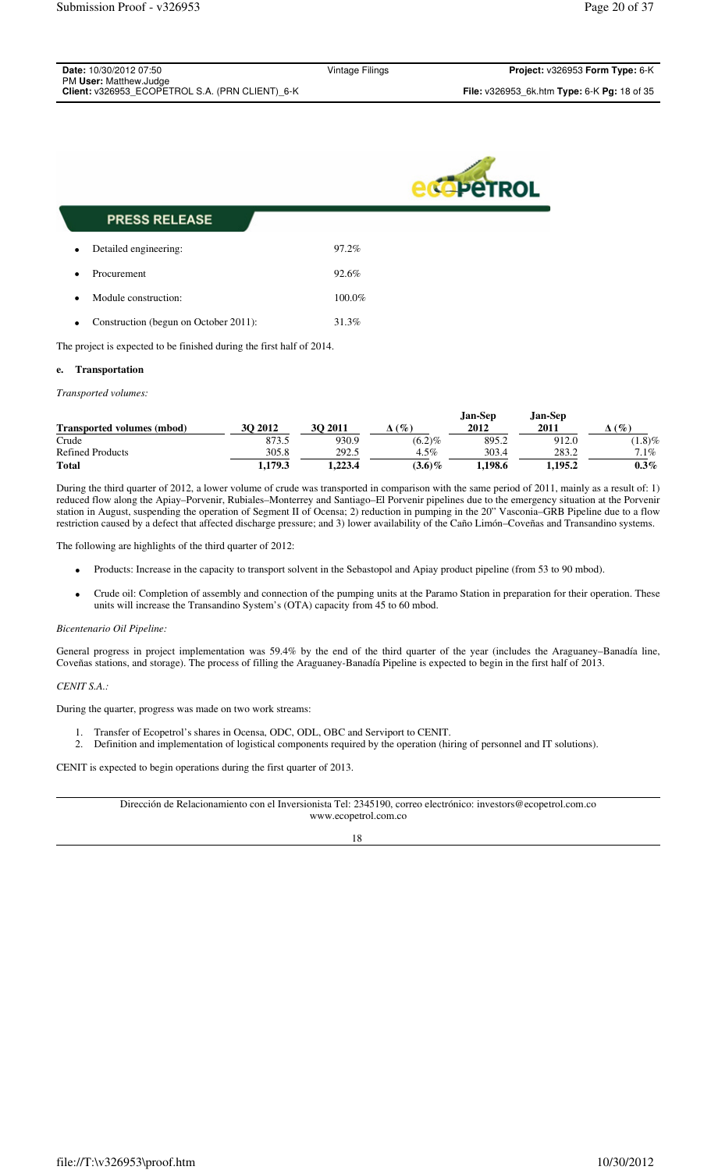| <b>Date:</b> 10/30/2012 07:50                   | Vintage Filings | Project: v326953 Form Type: 6-K                           |
|-------------------------------------------------|-----------------|-----------------------------------------------------------|
| PM User: Matthew.Judge                          |                 |                                                           |
| Client: v326953 ECOPETROL S.A. (PRN CLIENT) 6-K |                 | <b>File:</b> v326953 6k.htm <b>Type:</b> 6-K Pq: 18 of 35 |



| <b>PRESS RELEASE</b>                               |           |
|----------------------------------------------------|-----------|
| Detailed engineering:<br>$\bullet$                 | 97.2%     |
| Procurement<br>$\bullet$                           | 92.6%     |
| Module construction:<br>$\bullet$                  | $100.0\%$ |
| Construction (begun on October 2011):<br>$\bullet$ | 31.3%     |

The project is expected to be finished during the first half of 2014.

## **e. Transportation**

*Transported volumes:* 

|                                   |         |         |           | Jan-Sep | Jan-Sep     |           |
|-----------------------------------|---------|---------|-----------|---------|-------------|-----------|
| <b>Transported volumes (mbod)</b> | 30 2012 | 30 2011 | (9)       | 2012    | <b>2011</b> | $($ %)    |
| Crude                             | 873.5   | 930.9   | $(6.2)\%$ | 895.2   | 912.0       | $(1.8)\%$ |
| <b>Refined Products</b>           | 305.8   | 292.5   | $4.5\%$   | 303.4   | 283.2       | $7.1\%$   |
| <b>Total</b>                      | 1.179.3 | . 223.4 | $(3.6)\%$ | .198.6  | 1.195.2     | $0.3\%$   |

During the third quarter of 2012, a lower volume of crude was transported in comparison with the same period of 2011, mainly as a result of: 1) reduced flow along the Apiay–Porvenir, Rubiales–Monterrey and Santiago–El Porvenir pipelines due to the emergency situation at the Porvenir station in August, suspending the operation of Segment II of Ocensa; 2) reduction in pumping in the 20" Vasconia–GRB Pipeline due to a flow restriction caused by a defect that affected discharge pressure; and 3) lower availability of the Caño Limón–Coveñas and Transandino systems.

The following are highlights of the third quarter of 2012:

- Products: Increase in the capacity to transport solvent in the Sebastopol and Apiay product pipeline (from 53 to 90 mbod).
- Crude oil: Completion of assembly and connection of the pumping units at the Paramo Station in preparation for their operation. These units will increase the Transandino System's (OTA) capacity from 45 to 60 mbod.

#### *Bicentenario Oil Pipeline:*

General progress in project implementation was 59.4% by the end of the third quarter of the year (includes the Araguaney–Banadía line, Coveñas stations, and storage). The process of filling the Araguaney-Banadía Pipeline is expected to begin in the first half of 2013.

#### *CENIT S.A.:*

During the quarter, progress was made on two work streams:

- 1. Transfer of Ecopetrol's shares in Ocensa, ODC, ODL, OBC and Serviport to CENIT.
- 2. Definition and implementation of logistical components required by the operation (hiring of personnel and IT solutions).

CENIT is expected to begin operations during the first quarter of 2013.

Dirección de Relacionamiento con el Inversionista Tel: 2345190, correo electrónico: investors@ecopetrol.com.co www.ecopetrol.com.co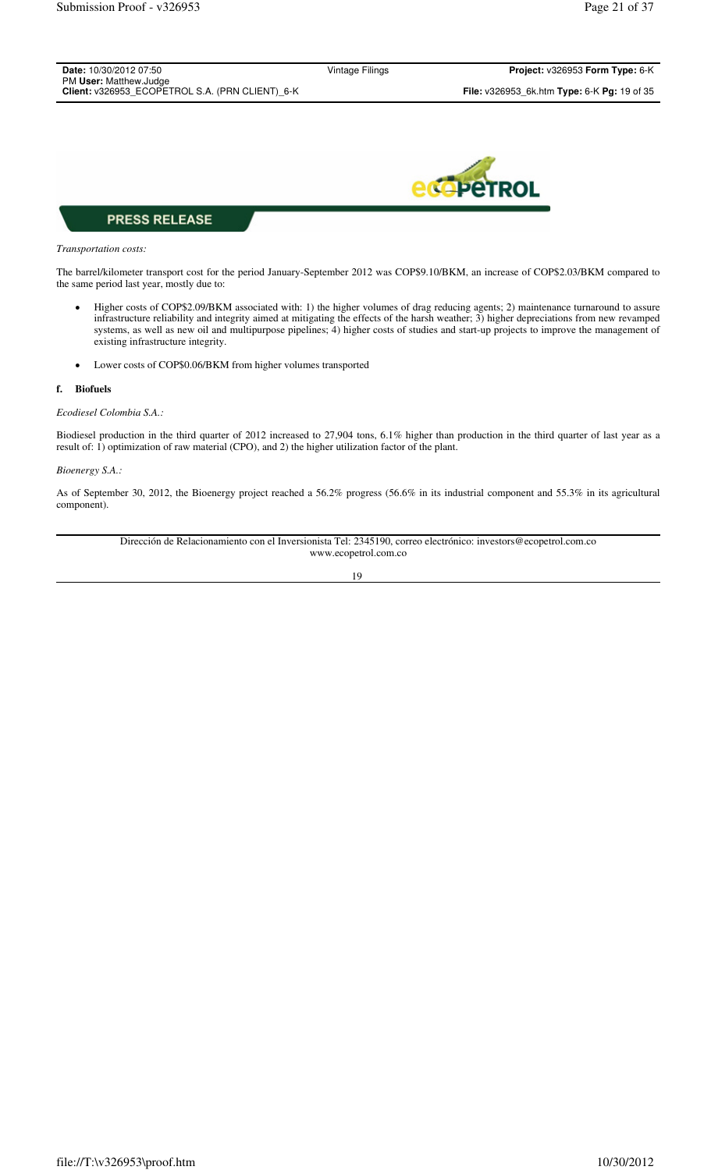| <b>Date:</b> 10/30/2012 07:50<br>PM User: Matthew.Judge | Vintage Filings | <b>Project:</b> $v326953$ Form Type: $6-K$                         |
|---------------------------------------------------------|-----------------|--------------------------------------------------------------------|
| Client: v326953 ECOPETROL S.A. (PRN CLIENT) 6-K         |                 | <b>File:</b> $v326953$ 6k.htm <b>Type:</b> 6-K <b>Pg:</b> 19 of 35 |
|                                                         |                 |                                                                    |



#### *Transportation costs:*

The barrel/kilometer transport cost for the period January-September 2012 was COP\$9.10/BKM, an increase of COP\$2.03/BKM compared to the same period last year, mostly due to:

- Higher costs of COP\$2.09/BKM associated with: 1) the higher volumes of drag reducing agents; 2) maintenance turnaround to assure infrastructure reliability and integrity aimed at mitigating the effects of the harsh weather; 3) higher depreciations from new revamped systems, as well as new oil and multipurpose pipelines; 4) higher costs of studies and start-up projects to improve the management of existing infrastructure integrity.
- Lower costs of COP\$0.06/BKM from higher volumes transported

## **f. Biofuels**

### *Ecodiesel Colombia S.A.:*

Biodiesel production in the third quarter of 2012 increased to 27,904 tons, 6.1% higher than production in the third quarter of last year as a result of: 1) optimization of raw material (CPO), and 2) the higher utilization factor of the plant.

### *Bioenergy S.A.:*

As of September 30, 2012, the Bioenergy project reached a 56.2% progress (56.6% in its industrial component and 55.3% in its agricultural component).

> Dirección de Relacionamiento con el Inversionista Tel: 2345190, correo electrónico: investors@ecopetrol.com.co www.ecopetrol.com.co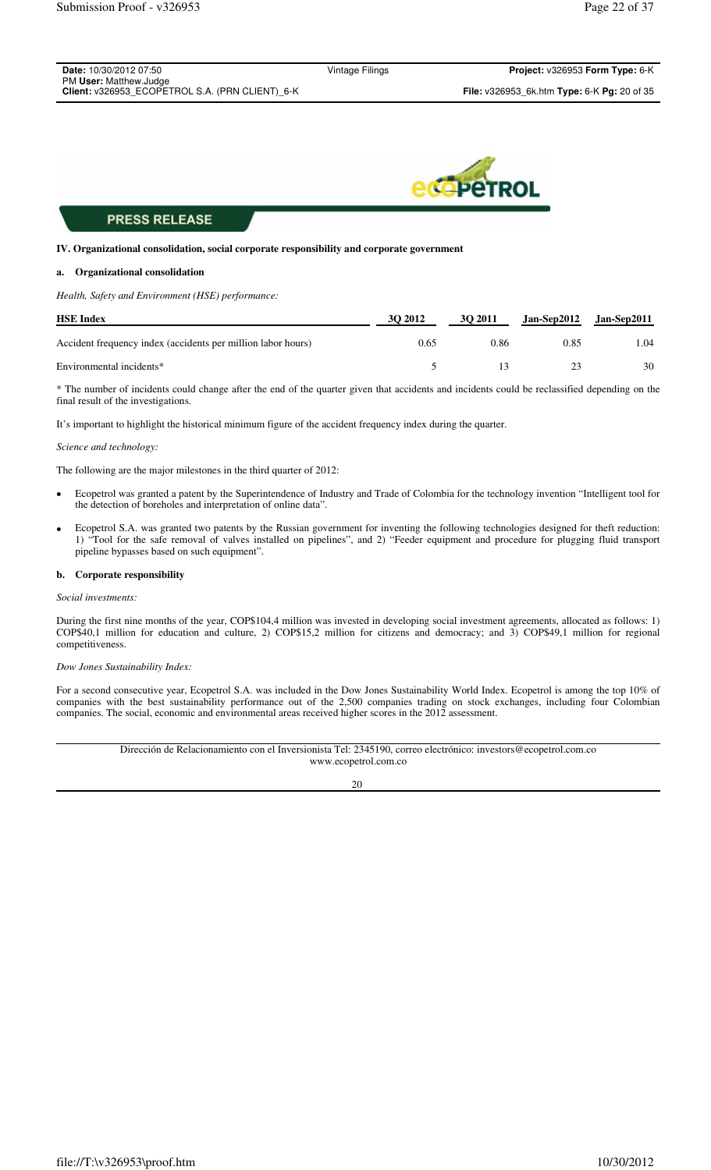| <b>Date:</b> 10/30/2012 07:50                   | Vintage Filings | <b>Project: <math>v326953</math> Form Type: 6-K</b>              |
|-------------------------------------------------|-----------------|------------------------------------------------------------------|
| PM User: Matthew.Judge                          |                 |                                                                  |
| Client: v326953 ECOPETROL S.A. (PRN CLIENT) 6-K |                 | <b>File:</b> v326953 6k.htm <b>Type:</b> 6-K <b>Pg:</b> 20 of 35 |
|                                                 |                 |                                                                  |



#### **IV. Organizational consolidation, social corporate responsibility and corporate government**

#### **a. Organizational consolidation**

*Health, Safety and Environment (HSE) performance:* 

| <b>HSE Index</b>                                             | 30 2012 | <b>30 2011</b> |      | $Jan-Sep2012$ $Jan-Sep2011$ |
|--------------------------------------------------------------|---------|----------------|------|-----------------------------|
| Accident frequency index (accidents per million labor hours) | 0.65    | 0.86           | 0.85 | . 04                        |
| Environmental incidents*                                     |         |                |      | 30                          |

\* The number of incidents could change after the end of the quarter given that accidents and incidents could be reclassified depending on the final result of the investigations.

It's important to highlight the historical minimum figure of the accident frequency index during the quarter.

#### *Science and technology:*

The following are the major milestones in the third quarter of 2012:

- Ecopetrol was granted a patent by the Superintendence of Industry and Trade of Colombia for the technology invention "Intelligent tool for the detection of boreholes and interpretation of online data".
- Ecopetrol S.A. was granted two patents by the Russian government for inventing the following technologies designed for theft reduction: 1) "Tool for the safe removal of valves installed on pipelines", and 2) "Feeder equipment and procedure for plugging fluid transport pipeline bypasses based on such equipment".

#### **b. Corporate responsibility**

#### *Social investments:*

During the first nine months of the year, COP\$104,4 million was invested in developing social investment agreements, allocated as follows: 1) COP\$40,1 million for education and culture, 2) COP\$15,2 million for citizens and democracy; and 3) COP\$49,1 million for regional competitiveness.

#### *Dow Jones Sustainability Index:*

For a second consecutive year, Ecopetrol S.A. was included in the Dow Jones Sustainability World Index. Ecopetrol is among the top 10% of companies with the best sustainability performance out of the 2,500 companies trading on stock exchanges, including four Colombian companies. The social, economic and environmental areas received higher scores in the 2012 assessment.

> Dirección de Relacionamiento con el Inversionista Tel: 2345190, correo electrónico: investors@ecopetrol.com.co www.ecopetrol.com.co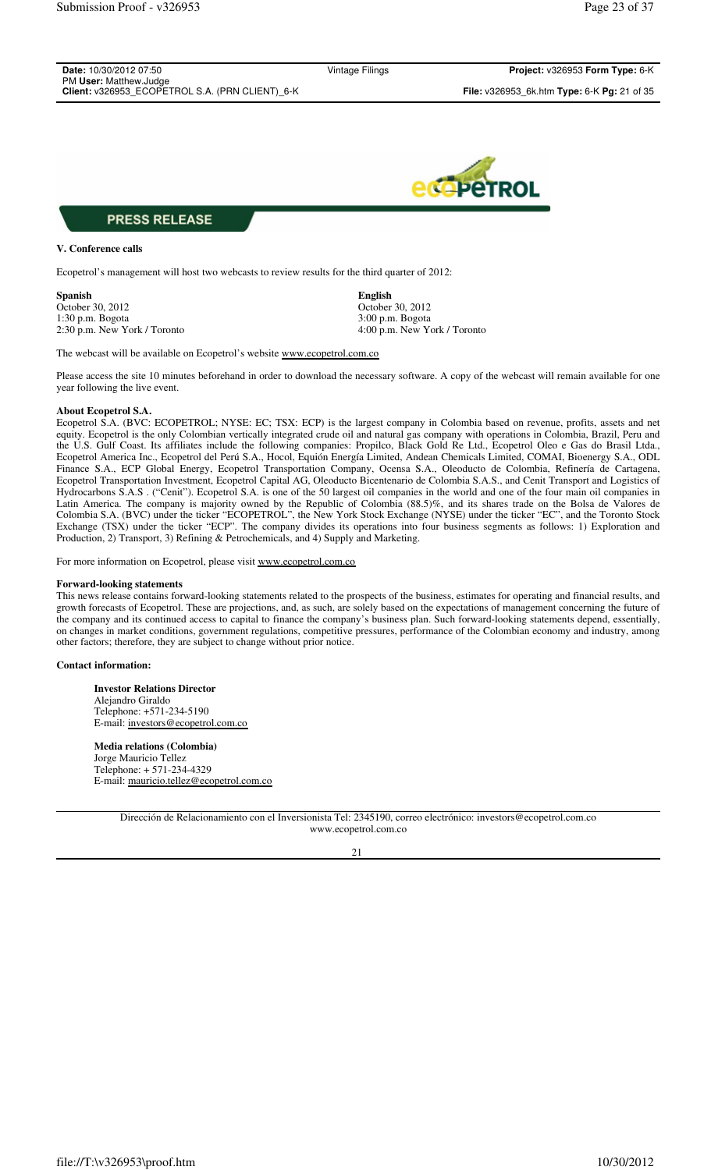| <b>Date:</b> 10/30/2012 07:50<br>PM User: Matthew.Judge | Vintage Filings | Project: v326953 Form Type: 6-K                                  |
|---------------------------------------------------------|-----------------|------------------------------------------------------------------|
| Client: v326953_ECOPETROL S.A. (PRN CLIENT)_6-K         |                 | <b>File:</b> v326953 6k.htm <b>Type:</b> 6-K <b>Pg:</b> 21 of 35 |
|                                                         |                 |                                                                  |



## **V. Conference calls**

Ecopetrol's management will host two webcasts to review results for the third quarter of 2012:

**Spanish English** October 30, 2012 <br>1:30 p.m. Bogota <br>3:00 p.m. Bogota <br>3:00 p.m. Bogota 1:30 p.m. Bogota

2:30 p.m. New York / Toronto 4:00 p.m. New York / Toronto

The webcast will be available on Ecopetrol's website www.ecopetrol.com.co

Please access the site 10 minutes beforehand in order to download the necessary software. A copy of the webcast will remain available for one year following the live event.

### **About Ecopetrol S.A.**

Ecopetrol S.A. (BVC: ECOPETROL; NYSE: EC; TSX: ECP) is the largest company in Colombia based on revenue, profits, assets and net equity. Ecopetrol is the only Colombian vertically integrated crude oil and natural gas company with operations in Colombia, Brazil, Peru and the U.S. Gulf Coast. Its affiliates include the following companies: Propilco, Black Gold Re Ltd., Ecopetrol Oleo e Gas do Brasil Ltda., Ecopetrol America Inc., Ecopetrol del Perú S.A., Hocol, Equión Energía Limited, Andean Chemicals Limited, COMAI, Bioenergy S.A., ODL Finance S.A., ECP Global Energy, Ecopetrol Transportation Company, Ocensa S.A., Oleoducto de Colombia, Refinería de Cartagena, Ecopetrol Transportation Investment, Ecopetrol Capital AG, Oleoducto Bicentenario de Colombia S.A.S., and Cenit Transport and Logistics of Hydrocarbons S.A.S . ("Cenit"). Ecopetrol S.A. is one of the 50 largest oil companies in the world and one of the four main oil companies in Latin America. The company is majority owned by the Republic of Colombia (88.5)%, and its shares trade on the Bolsa de Valores de Colombia S.A. (BVC) under the ticker "ECOPETROL", the New York Stock Exchange (NYSE) under the ticker "EC", and the Toronto Stock Exchange (TSX) under the ticker "ECP". The company divides its operations into four business segments as follows: 1) Exploration and Production, 2) Transport, 3) Refining & Petrochemicals, and 4) Supply and Marketing.

For more information on Ecopetrol, please visit www.ecopetrol.com.co

#### **Forward-looking statements**

This news release contains forward-looking statements related to the prospects of the business, estimates for operating and financial results, and growth forecasts of Ecopetrol. These are projections, and, as such, are solely based on the expectations of management concerning the future of the company and its continued access to capital to finance the company's business plan. Such forward-looking statements depend, essentially, on changes in market conditions, government regulations, competitive pressures, performance of the Colombian economy and industry, among other factors; therefore, they are subject to change without prior notice.

#### **Contact information:**

**Investor Relations Director** Alejandro Giraldo Telephone: +571-234-5190 E-mail: investors@ecopetrol.com.co

**Media relations (Colombia)** Jorge Mauricio Tellez Telephone: + 571-234-4329 E-mail: mauricio.tellez@ecopetrol.com.co

> Dirección de Relacionamiento con el Inversionista Tel: 2345190, correo electrónico: investors@ecopetrol.com.co www.ecopetrol.com.co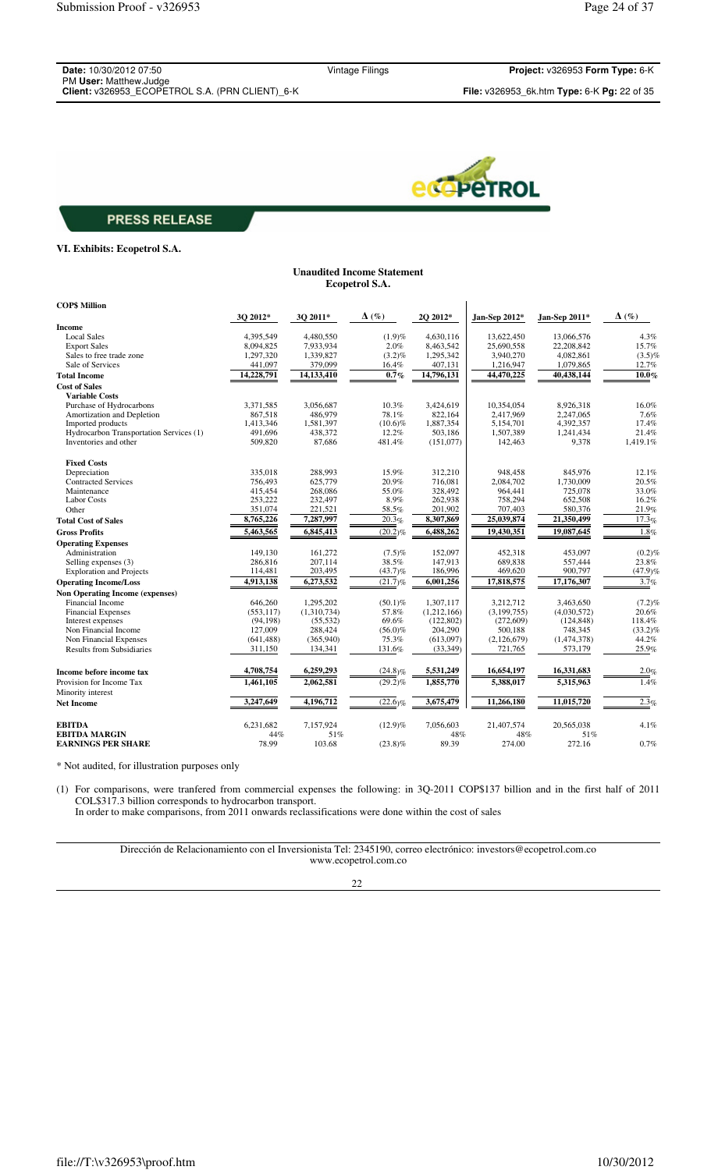| <b>Date:</b> 10/30/2012 07:50                   |
|-------------------------------------------------|
| PM User: Matthew.Judge                          |
| Client: v326953 ECOPETROL S.A. (PRN CLIENT) 6-K |

Vintage Filings **Project:** v326953 **Form Type:** 6-K



## **PRESS RELEASE**

### **VI. Exhibits: Ecopetrol S.A.**

#### **Unaudited Income Statement Ecopetrol S.A.**

| <b>COP\$ Million</b>                           |            |                      |                     |             |               |               |                     |
|------------------------------------------------|------------|----------------------|---------------------|-------------|---------------|---------------|---------------------|
|                                                | 3Q 2012*   | 3Q 2011*             | $\Delta$ (%)        | 2Q 2012*    | Jan-Sep 2012* | Jan-Sep 2011* | $\Delta$ (%)        |
| Income                                         |            |                      |                     |             |               |               |                     |
| <b>Local Sales</b>                             | 4,395,549  | 4,480,550            | (1.9)%              | 4,630,116   | 13,622,450    | 13,066,576    | 4.3%                |
| <b>Export Sales</b>                            | 8,094,825  | 7,933,934            | 2.0%                | 8,463,542   | 25,690,558    | 22,208,842    | 15.7%               |
| Sales to free trade zone                       | 1,297,320  | 1,339,827            | $(3.2)\%$           | 1,295,342   | 3,940,270     | 4,082,861     | $(3.5)\%$           |
| Sale of Services                               | 441,097    | 379,099              | 16.4%               | 407,131     | 1,216,947     | 1,079,865     | 12.7%               |
| <b>Total Income</b>                            | 14,228,791 | 14,133,410           | $0.7\%$             | 14,796,131  | 44,470,225    | 40,438,144    | $10.0\%$            |
| <b>Cost of Sales</b>                           |            |                      |                     |             |               |               |                     |
| <b>Variable Costs</b>                          |            |                      |                     |             |               |               |                     |
| Purchase of Hydrocarbons                       | 3,371,585  | 3,056,687            | 10.3%               | 3,424,619   | 10,354,054    | 8,926,318     | 16.0%               |
| Amortization and Depletion                     | 867,518    | 486,979              | 78.1%               | 822,164     | 2,417,969     | 2,247,065     | 7.6%                |
| Imported products                              | 1,413,346  | 1,581,397            | $(10.6)\%$          | 1,887,354   | 5,154,701     | 4,392,357     | 17.4%               |
| Hydrocarbon Transportation Services (1)        | 491,696    | 438,372              | 12.2%               | 503,186     | 1,507,389     | 1,241,434     | 21.4%               |
| Inventories and other                          | 509,820    | 87,686               | 481.4%              | (151,077)   | 142,463       | 9,378         | 1,419.1%            |
| <b>Fixed Costs</b>                             |            |                      |                     |             |               |               |                     |
| Depreciation                                   | 335,018    | 288,993              | 15.9%               | 312,210     | 948,458       | 845,976       | 12.1%               |
| <b>Contracted Services</b>                     | 756,493    | 625,779              | 20.9%               | 716,081     | 2,084,702     | 1,730,009     | 20.5%               |
| Maintenance                                    | 415,454    | 268,086              | 55.0%               | 328,492     | 964,441       | 725,078       | 33.0%               |
| <b>Labor Costs</b>                             | 253,222    | 232,497              | 8.9%                | 262,938     | 758,294       | 652,508       | 16.2%               |
| Other                                          | 351,074    | 221,521              | 58.5%               | 201,902     | 707,403       | 580,376       | 21.9%               |
| <b>Total Cost of Sales</b>                     | 8,765,226  | 7,287,997            | $\overline{20.3}$ % | 8,307,869   | 25,039,874    | 21,350,499    | 17.3%               |
| <b>Gross Profits</b>                           | 5,463,565  | 6,845,413            | $(20.2)\%$          | 6,488,262   | 19,430,351    | 19,087,645    | 1.8%                |
| <b>Operating Expenses</b>                      |            |                      |                     |             |               |               |                     |
| Administration                                 | 149,130    | 161,272              | $(7.5)\%$           | 152,097     | 452,318       | 453,097       | $(0.2)\%$           |
| Selling expenses (3)                           | 286.816    | 207.114              | 38.5%               | 147,913     | 689.838       | 557.444       | 23.8%               |
| <b>Exploration and Projects</b>                | 114,481    | 203,495              | $(43.7)\%$          | 186,996     | 469,620       | 900,797       | (47.9)%             |
|                                                | 4,913,138  | 6,273,532            | (21.7)%             | 6,001,256   | 17,818,575    | 17,176,307    | 3.7%                |
| <b>Operating Income/Loss</b>                   |            |                      |                     |             |               |               |                     |
| <b>Non Operating Income (expenses)</b>         |            |                      |                     |             |               |               |                     |
| Financial Income                               | 646,260    | 1,295,202            | $(50.1)\%$          | 1,307,117   | 3,212,712     | 3,463,650     | $(7.2)\%$           |
| <b>Financial Expenses</b>                      | (553, 117) | (1,310,734)          | 57.8%<br>69.6%      | (1,212,166) | (3, 199, 755) | (4,030,572)   | 20.6%               |
| Interest expenses                              | (94, 198)  | (55, 532)            |                     | (122, 802)  | (272, 609)    | (124, 848)    | 118.4%              |
| Non Financial Income<br>Non Financial Expenses | 127,009    | 288,424<br>(365,940) | $(56.0)\%$<br>75.3% | 204,290     | 500,188       | 748,345       | $(33.2)\%$<br>44.2% |
|                                                | (641, 488) |                      |                     | (613,097)   | (2,126,679)   | (1,474,378)   |                     |
| <b>Results from Subsidiaries</b>               | 311,150    | 134,341              | 131.6%              | (33, 349)   | 721,765       | 573,179       | 25.9%               |
| Income before income tax                       | 4,708,754  | 6,259,293            | $(24.8)\%$          | 5,531,249   | 16,654,197    | 16,331,683    | 2.0%                |
| Provision for Income Tax                       | 1,461,105  | 2,062,581            | $(29.2)\%$          | 1,855,770   | 5,388,017     | 5,315,963     | $\overline{1.4\%}$  |
| Minority interest                              |            |                      |                     |             |               |               |                     |
| <b>Net Income</b>                              | 3,247,649  | 4,196,712            | (22.6)%             | 3,675,479   | 11,266,180    | 11,015,720    | 2.3%                |
| <b>EBITDA</b>                                  | 6,231,682  | 7,157,924            | $(12.9)\%$          | 7,056,603   | 21,407,574    | 20,565,038    | 4.1%                |
| <b>EBITDA MARGIN</b>                           | 44%        | 51%                  |                     | 48%         | 48%           | 51%           |                     |
| <b>EARNINGS PER SHARE</b>                      | 78.99      | 103.68               | $(23.8)\%$          | 89.39       | 274.00        | 272.16        | 0.7%                |

\* Not audited, for illustration purposes only

In order to make comparisons, from 2011 onwards reclassifications were done within the cost of sales (1) For comparisons, were tranfered from commercial expenses the following: in 3Q-2011 COP\$137 billion and in the first half of 2011 COL\$317.3 billion corresponds to hydrocarbon transport.

> Dirección de Relacionamiento con el Inversionista Tel: 2345190, correo electrónico: investors@ecopetrol.com.co www.ecopetrol.com.co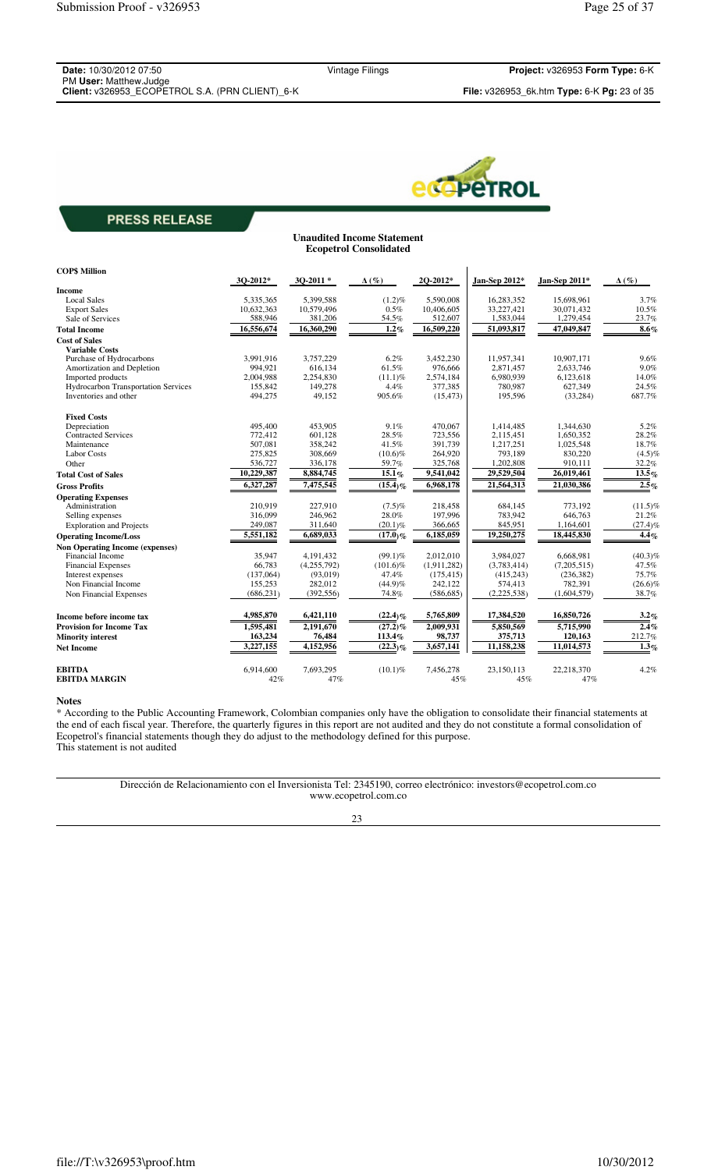**Date:** 10/30/2012 07:50 PM **User:** Matthew.Judge **Client:** v326953\_ECOPETROL S.A. (PRN CLIENT)\_6-K **File:** v326953\_6k.htm **Type:** 6-K **Pg:** 23 of 35

Vintage Filings **Project:** v326953 **Form Type:** 6-K

**Unaudited Income Statement**



## **PRESS RELEASE**

|                                        | <b>Ecopetrol Consolidated</b> |             |              |             |               |               |              |  |  |
|----------------------------------------|-------------------------------|-------------|--------------|-------------|---------------|---------------|--------------|--|--|
| <b>COPS Million</b>                    | 3Q-2012*                      | $30-2011*$  | $\Delta(\%)$ | 2Q-2012*    | Jan-Sep 2012* | Jan-Sep 2011* | $\Delta(\%)$ |  |  |
| Income                                 |                               |             |              |             |               |               |              |  |  |
| <b>Local Sales</b>                     | 5,335,365                     | 5,399,588   | $(1.2)\%$    | 5.590.008   | 16,283,352    | 15,698,961    | 3.7%         |  |  |
| <b>Export Sales</b>                    | 10,632,363                    | 10,579,496  | 0.5%         | 10,406,605  | 33,227,421    | 30,071,432    | 10.5%        |  |  |
| Sale of Services                       | 588,946                       | 381,206     | 54.5%        | 512,607     | 1,583,044     | 1,279,454     | 23.7%        |  |  |
| <b>Total Income</b>                    | 16,556,674                    | 16,360,290  | 1.2%         | 16,509,220  | 51,093,817    | 47,049,847    | 8.6%         |  |  |
| <b>Cost of Sales</b>                   |                               |             |              |             |               |               |              |  |  |
| <b>Variable Costs</b>                  |                               |             |              |             |               |               |              |  |  |
| Purchase of Hydrocarbons               | 3,991,916                     | 3,757,229   | $6.2\%$      | 3,452,230   | 11,957,341    | 10,907,171    | 9.6%         |  |  |
| Amortization and Depletion             | 994,921                       | 616,134     | 61.5%        | 976,666     | 2,871,457     | 2,633,746     | 9.0%         |  |  |
| Imported products                      | 2,004,988                     | 2,254,830   | $(11.1)\%$   | 2,574,184   | 6,980,939     | 6,123,618     | 14.0%        |  |  |
| Hydrocarbon Transportation Services    | 155,842                       | 149,278     | 4.4%         | 377,385     | 780,987       | 627,349       | 24.5%        |  |  |
| Inventories and other                  | 494,275                       | 49,152      | 905.6%       | (15, 473)   | 195,596       | (33, 284)     | 687.7%       |  |  |
| <b>Fixed Costs</b>                     |                               |             |              |             |               |               |              |  |  |
| Depreciation                           | 495,400                       | 453,905     | 9.1%         | 470,067     | 1,414,485     | 1,344,630     | 5.2%         |  |  |
| <b>Contracted Services</b>             | 772,412                       | 601.128     | 28.5%        | 723,556     | 2,115,451     | 1,650,352     | 28.2%        |  |  |
| Maintenance                            | 507,081                       | 358,242     | 41.5%        | 391,739     | 1,217,251     | 1,025,548     | 18.7%        |  |  |
| <b>Labor Costs</b>                     | 275,825                       | 308,669     | $(10.6)\%$   | 264,920     | 793,189       | 830,220       | $(4.5)\%$    |  |  |
| Other                                  | 536,727                       | 336,178     | 59.7%        | 325,768     | 1,202,808     | 910,111       | 32.2%        |  |  |
| <b>Total Cost of Sales</b>             | 10,229,387                    | 8,884,745   | 15.1%        | 9,541,042   | 29,529,504    | 26,019,461    | 13.5%        |  |  |
| <b>Gross Profits</b>                   | 6,327,287                     | 7,475,545   | $(15.4)$ %   | 6,968,178   | 21,564,313    | 21,030,386    | $2.5\%$      |  |  |
| <b>Operating Expenses</b>              |                               |             |              |             |               |               |              |  |  |
| Administration                         | 210.919                       | 227,910     | $(7.5)\%$    | 218,458     | 684,145       | 773,192       | $(11.5)\%$   |  |  |
| Selling expenses                       | 316,099                       | 246,962     | 28.0%        | 197,996     | 783,942       | 646,763       | 21.2%        |  |  |
| <b>Exploration and Projects</b>        | 249,087                       | 311,640     | $(20.1)\%$   | 366,665     | 845,951       | 1,164,601     | (27.4)%      |  |  |
| <b>Operating Income/Loss</b>           | 5,551,182                     | 6,689,033   | $(17.0)$ %   | 6,185,059   | 19,250,275    | 18,445,830    | 4.4%         |  |  |
| <b>Non Operating Income (expenses)</b> |                               |             |              |             |               |               |              |  |  |
| Financial Income                       | 35.947                        | 4.191.432   | $(99.1)\%$   | 2.012.010   | 3.984.027     | 6.668.981     | $(40.3)\%$   |  |  |
| <b>Financial Expenses</b>              | 66,783                        | (4,255,792) | $(101.6)\%$  | (1,911,282) | (3,783,414)   | (7,205,515)   | 47.5%        |  |  |
| Interest expenses                      | (137,064)                     | (93,019)    | 47.4%        | (175, 415)  | (415, 243)    | (236, 382)    | 75.7%        |  |  |
| Non Financial Income                   | 155,253                       | 282,012     | $(44.9)\%$   | 242,122     | 574,413       | 782,391       | $(26.6)\%$   |  |  |
| Non Financial Expenses                 | (686, 231)                    | (392, 556)  | 74.8%        | (586, 685)  | (2,225,538)   | (1,604,579)   | 38.7%        |  |  |
| Income before income tax               | 4,985,870                     | 6,421,110   | $(22.4)\%$   | 5,765,809   | 17,384,520    | 16,850,726    | $3.2\%$      |  |  |
| <b>Provision for Income Tax</b>        | 1,595,481                     | 2,191,670   | $(27.2)\%$   | 2,009,931   | 5,850,569     | 5,715,990     | 2.4%         |  |  |
| <b>Minority interest</b>               | 163,234                       | 76,484      | 113.4%       | 98,737      | 375,713       | 120,163       | 212.7%       |  |  |
| <b>Net Income</b>                      | 3.227.155                     | 4.152.956   | $(22.3)\%$   | 3,657,141   | 11,158,238    | 11,014,573    | $1.3\%$      |  |  |
| <b>EBITDA</b>                          | 6,914,600                     | 7,693,295   | $(10.1)\%$   | 7,456,278   | 23,150,113    | 22,218,370    | 4.2%         |  |  |
| <b>EBITDA MARGIN</b>                   | 42%                           | 47%         |              | 45%         | 45%           | 47%           |              |  |  |

### **Notes**

\* According to the Public Accounting Framework, Colombian companies only have the obligation to consolidate their financial statements at the end of each fiscal year. Therefore, the quarterly figures in this report are not audited and they do not constitute a formal consolidation of Ecopetrol's financial statements though they do adjust to the methodology defined for this purpose. This statement is not audited

> Dirección de Relacionamiento con el Inversionista Tel: 2345190, correo electrónico: investors@ecopetrol.com.co www.ecopetrol.com.co

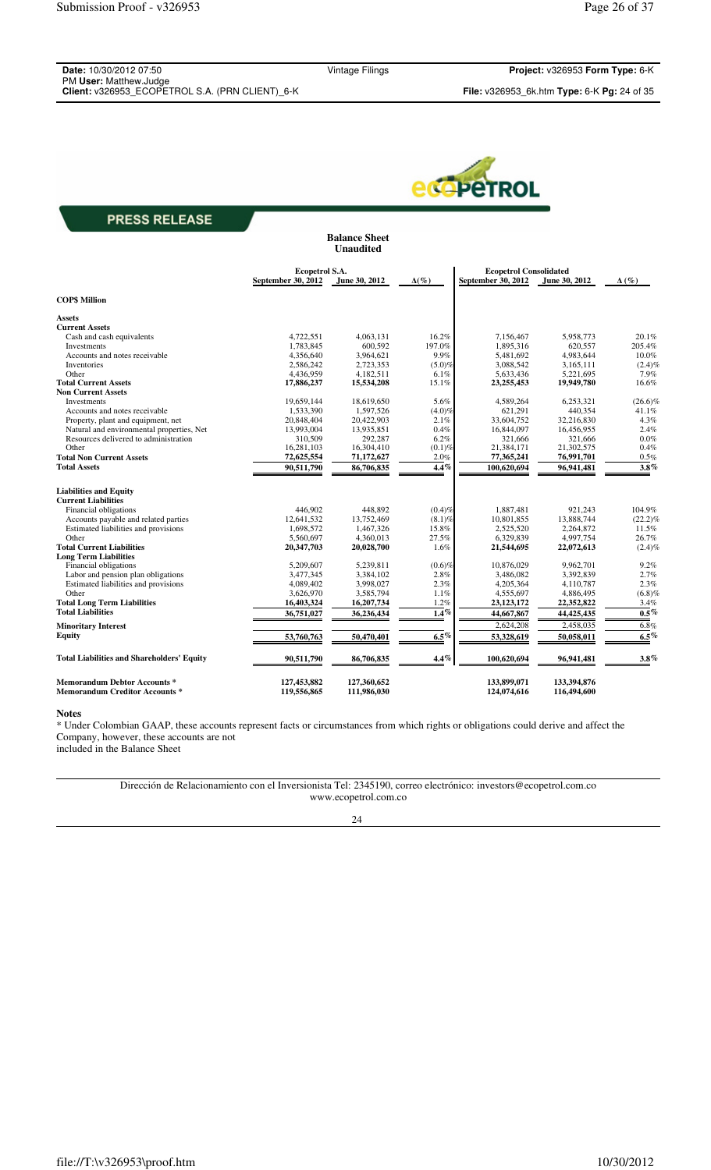| Date: 10/30/2012 07:50                          | Vintage Filings | Project: v326953 Form Type: 6-K                                    |
|-------------------------------------------------|-----------------|--------------------------------------------------------------------|
| PM User: Matthew.Judge                          |                 |                                                                    |
| Client: v326953 ECOPETROL S.A. (PRN CLIENT) 6-K |                 | <b>File:</b> $v326953$ 6k.htm <b>Type:</b> 6-K <b>Pg:</b> 24 of 35 |

**Balance Sheet**



## **PRESS RELEASE**

|                                                                             |                                      | <b>Unaudited</b>           |              |                                                     |                            |              |
|-----------------------------------------------------------------------------|--------------------------------------|----------------------------|--------------|-----------------------------------------------------|----------------------------|--------------|
|                                                                             | Ecopetrol S.A.<br>September 30, 2012 | June 30, 2012              | $\Delta(\%)$ | <b>Ecopetrol Consolidated</b><br>September 30, 2012 | June 30, 2012              | $\Delta(\%)$ |
|                                                                             |                                      |                            |              |                                                     |                            |              |
| <b>COPS Million</b>                                                         |                                      |                            |              |                                                     |                            |              |
| <b>Assets</b>                                                               |                                      |                            |              |                                                     |                            |              |
| <b>Current Assets</b>                                                       |                                      |                            |              |                                                     |                            |              |
| Cash and cash equivalents                                                   | 4,722,551                            | 4,063,131                  | 16.2%        | 7,156,467                                           | 5,958,773                  | 20.1%        |
| Investments                                                                 | 1.783.845                            | 600.592                    | 197.0%       | 1,895,316                                           | 620,557                    | 205.4%       |
| Accounts and notes receivable                                               | 4,356,640                            | 3,964,621                  | 9.9%         | 5,481,692                                           | 4,983,644                  | 10.0%        |
| Inventories                                                                 | 2,586,242                            | 2,723,353                  | (5.0)%       | 3,088,542                                           | 3,165,111                  | $(2.4)\%$    |
| Other                                                                       | 4,436,959                            | 4,182,511                  | 6.1%         | 5,633,436                                           | 5,221,695                  | 7.9%         |
| <b>Total Current Assets</b>                                                 | 17,886,237                           | 15,534,208                 | 15.1%        | 23, 255, 453                                        | 19,949,780                 | 16.6%        |
| <b>Non Current Assets</b>                                                   |                                      |                            |              |                                                     |                            |              |
| Investments                                                                 | 19,659,144                           | 18,619,650                 | 5.6%         | 4,589,264                                           | 6,253,321                  | $(26.6)\%$   |
| Accounts and notes receivable                                               | 1,533,390                            | 1,597,526                  | $(4.0)\%$    | 621,291                                             | 440,354                    | 41.1%        |
| Property, plant and equipment, net                                          | 20,848,404                           | 20,422,903                 | 2.1%         | 33,604,752                                          | 32,216,830                 | 4.3%         |
| Natural and environmental properties, Net                                   | 13,993,004                           | 13,935,851                 | 0.4%         | 16,844,097                                          | 16,456,955                 | 2.4%         |
| Resources delivered to administration                                       | 310,509                              | 292,287                    | 6.2%         | 321,666                                             | 321,666                    | $0.0\%$      |
| Other                                                                       | 16,281,103                           | 16,304,410                 | $(0.1)\%$    | 21,384,171                                          | 21,302,575                 | 0.4%         |
| <b>Total Non Current Assets</b>                                             | 72,625,554                           | 71,172,627                 | 2.0%         | 77,365,241                                          | 76,991,701                 | 0.5%         |
| <b>Total Assets</b>                                                         | 90,511,790                           | 86,706,835                 | $4.4\%$      | 100,620,694                                         | 96,941,481                 | $3.8\%$      |
| <b>Liabilities and Equity</b>                                               |                                      |                            |              |                                                     |                            |              |
| <b>Current Liabilities</b>                                                  |                                      |                            |              |                                                     |                            |              |
| Financial obligations                                                       | 446.902                              | 448,892                    | (0.4)%       | 1,887,481                                           | 921,243                    | 104.9%       |
| Accounts payable and related parties                                        | 12,641,532                           | 13,752,469                 | $(8.1)\%$    | 10,801,855                                          | 13,888,744                 | $(22.2)\%$   |
| Estimated liabilities and provisions                                        | 1,698,572                            | 1,467,326                  | 15.8%        | 2,525,520                                           | 2,264,872                  | 11.5%        |
| Other                                                                       | 5,560,697                            | 4,360,013                  | 27.5%        | 6,329,839                                           | 4,997,754                  | 26.7%        |
| <b>Total Current Liabilities</b>                                            | 20,347,703                           | 20,028,700                 | 1.6%         | 21,544,695                                          | 22,072,613                 | $(2.4)\%$    |
| <b>Long Term Liabilities</b>                                                |                                      |                            |              |                                                     |                            |              |
| Financial obligations                                                       | 5.209.607                            | 5,239,811                  | $(0.6)$ %    | 10.876.029                                          | 9,962,701                  | 9.2%         |
| Labor and pension plan obligations                                          | 3,477,345                            | 3,384,102                  | 2.8%         | 3,486,082                                           | 3,392,839                  | 2.7%         |
| Estimated liabilities and provisions                                        | 4,089,402                            | 3,998,027                  | 2.3%         | 4,205,364                                           | 4,110,787                  | 2.3%         |
| Other                                                                       | 3,626,970                            | 3,585,794                  | 1.1%         | 4,555,697                                           | 4,886,495                  | (6.8)%       |
| <b>Total Long Term Liabilities</b>                                          | 16,403,324                           | 16,207,734                 | 1.2%         | 23,123,172                                          | 22,352,822                 | 3.4%         |
| <b>Total Liabilities</b>                                                    | 36,751,027                           | 36,236,434                 | $1.4\%$      | 44,667,867                                          | 44,425,435                 | $0.5\%$      |
| <b>Minoritary Interest</b>                                                  |                                      |                            |              | 2,624,208                                           | 2,458,035                  | 6.8%         |
| <b>Equity</b>                                                               | 53,760,763                           | 50,470,401                 | 6.5%         | 53,328,619                                          | 50,058,011                 | $6.5\%$      |
|                                                                             |                                      |                            |              |                                                     |                            |              |
| <b>Total Liabilities and Shareholders' Equity</b>                           | 90,511,790                           | 86,706,835                 | $4.4\%$      | 100,620,694                                         | 96,941,481                 | $3.8\%$      |
| <b>Memorandum Debtor Accounts*</b><br><b>Memorandum Creditor Accounts *</b> | 127,453,882<br>119,556,865           | 127,360,652<br>111,986,030 |              | 133,899,071<br>124,074,616                          | 133,394,876<br>116,494,600 |              |

#### **Notes**

\* Under Colombian GAAP, these accounts represent facts or circumstances from which rights or obligations could derive and affect the Company, however, these accounts are not included in the Balance Sheet

> Dirección de Relacionamiento con el Inversionista Tel: 2345190, correo electrónico: investors@ecopetrol.com.co www.ecopetrol.com.co

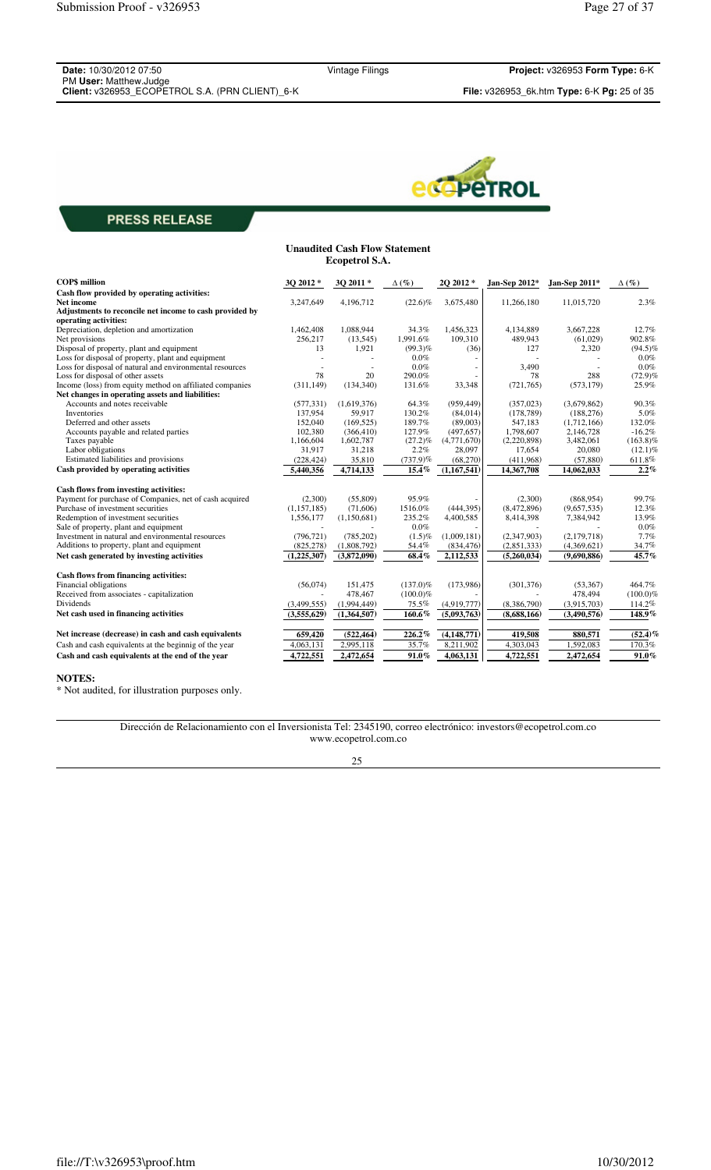**Date:** 10/30/2012 07:50 PM **User:** Matthew.Judge **Client:** v326953\_ECOPETROL S.A. (PRN CLIENT)\_6-K **File:** v326953\_6k.htm **Type:** 6-K **Pg:** 25 of 35

Vintage Filings **Project:** v326953 **Form Type:** 6-K



# **PRESS RELEASE**

| <b>Unaudited Cash Flow Statement</b><br><b>Ecopetrol S.A.</b>                    |             |             |              |             |               |               |              |
|----------------------------------------------------------------------------------|-------------|-------------|--------------|-------------|---------------|---------------|--------------|
| <b>COPS</b> million                                                              | 3Q 2012*    | 3Q 2011*    | $\Delta(\%)$ | 2Q 2012*    | Jan-Sep 2012* | Jan-Sep 2011* | $\Delta(\%)$ |
| Cash flow provided by operating activities:                                      |             |             |              |             |               |               |              |
| <b>Net income</b>                                                                | 3,247,649   | 4,196,712   | $(22.6)\%$   | 3,675,480   | 11,266,180    | 11,015,720    | 2.3%         |
| Adjustments to reconcile net income to cash provided by<br>operating activities: |             |             |              |             |               |               |              |
| Depreciation, depletion and amortization                                         | 1.462.408   | 1,088,944   | 34.3%        | 1,456,323   | 4.134.889     | 3.667.228     | 12.7%        |
| Net provisions                                                                   | 256,217     | (13, 545)   | 1,991.6%     | 109,310     | 489,943       | (61,029)      | 902.8%       |
| Disposal of property, plant and equipment                                        | 13          | 1,921       | $(99.3)\%$   | (36)        | 127           | 2,320         | $(94.5)\%$   |
| Loss for disposal of property, plant and equipment                               |             |             | $0.0\%$      |             |               |               | $0.0\%$      |
| Loss for disposal of natural and environmental resources                         |             |             | $0.0\%$      |             | 3,490         |               | $0.0\%$      |
| Loss for disposal of other assets                                                | 78          | 20          | 290.0%       |             | 78            | 288           | $(72.9)\%$   |
| Income (loss) from equity method on affiliated companies                         | (311, 149)  | (134, 340)  | 131.6%       | 33,348      | (721, 765)    | (573, 179)    | 25.9%        |
| Net changes in operating assets and liabilities:                                 |             |             |              |             |               |               |              |
| Accounts and notes receivable                                                    | (577, 331)  | (1,619,376) | 64.3%        | (959, 449)  | (357, 023)    | (3,679,862)   | 90.3%        |
| Inventories                                                                      | 137,954     | 59,917      | 130.2%       | (84, 014)   | (178, 789)    | (188, 276)    | 5.0%         |
| Deferred and other assets                                                        | 152,040     | (169, 525)  | 189.7%       | (89,003)    | 547,183       | (1,712,166)   | 132.0%       |
| Accounts payable and related parties                                             | 102,380     | (366, 410)  | 127.9%       | (497, 657)  | 1,798,607     | 2,146,728     | $-16.2%$     |
| Taxes payable                                                                    | 1,166,604   | 1,602,787   | $(27.2)\%$   | (4,771,670) | (2,220,898)   | 3,482,061     | $(163.8)\%$  |
| Labor obligations                                                                | 31,917      | 31,218      | 2.2%         | 28,097      | 17,654        | 20,080        | $(12.1)\%$   |
| Estimated liabilities and provisions                                             | (228, 424)  | 35,810      | $(737.9)$ %  | (68,270)    | (411,968)     | (57, 880)     | 611.8%       |
| Cash provided by operating activities                                            | 5,440,356   | 4,714,133   | 15.4%        | (1,167,541) | 14,367,708    | 14,062,033    | 2.2%         |
| Cash flows from investing activities:                                            |             |             |              |             |               |               |              |
| Payment for purchase of Companies, net of cash acquired                          | (2,300)     | (55,809)    | 95.9%        |             | (2,300)       | (868,954)     | 99.7%        |
| Purchase of investment securities                                                | (1,157,185) | (71,606)    | 1516.0%      | (444, 395)  | (8,472,896)   | (9,657,535)   | 12.3%        |
| Redemption of investment securities                                              | 1,556,177   | (1,150,681) | 235.2%       | 4,400,585   | 8,414,398     | 7,384,942     | 13.9%        |
| Sale of property, plant and equipment                                            |             |             | $0.0\%$      |             |               |               | $0.0\%$      |
| Investment in natural and environmental resources                                | (796, 721)  | (785, 202)  | $(1.5)\%$    | (1,009,181) | (2,347,903)   | (2,179,718)   | 7.7%         |
| Additions to property, plant and equipment                                       | (825, 278)  | (1,808,792) | 54.4%        | (834, 476)  | (2,851,333)   | (4,369,621)   | 34.7%        |
| Net cash generated by investing activities                                       | (1,225,307) | (3,872,090) | 68.4%        | 2,112,533   | (5,260,034)   | (9,690,886)   | 45.7%        |
| Cash flows from financing activities:                                            |             |             |              |             |               |               |              |
| Financial obligations                                                            | (56,074)    | 151,475     | $(137.0)\%$  | (173,986)   | (301, 376)    | (53, 367)     | 464.7%       |
| Received from associates - capitalization                                        |             | 478,467     | $(100.0)\%$  |             |               | 478,494       | $(100.0)\%$  |
| Dividends                                                                        | (3,499,555) | (1,994,449) | 75.5%        | (4,919,777) | (8,386,790)   | (3,915,703)   | 114.2%       |
| Net cash used in financing activities                                            | (3,555,629) | (1,364,507) | 160.6%       | (5,093,763) | (8,688,166)   | (3,490,576)   | 148.9%       |
| Net increase (decrease) in cash and cash equivalents                             | 659,420     | (522, 464)  | 226.2%       | (4,148,771) | 419,508       | 880,571       | $(52.4)\%$   |
| Cash and cash equivalents at the beginnig of the year                            | 4,063,131   | 2,995,118   | 35.7%        | 8,211,902   | 4,303,043     | 1,592,083     | 170.3%       |
| Cash and cash equivalents at the end of the year                                 | 4,722,551   | 2,472,654   | 91.0%        | 4,063,131   | 4,722,551     | 2,472,654     | $91.0\%$     |

#### **NOTES:**

\* Not audited, for illustration purposes only.

Dirección de Relacionamiento con el Inversionista Tel: 2345190, correo electrónico: investors@ecopetrol.com.co www.ecopetrol.com.co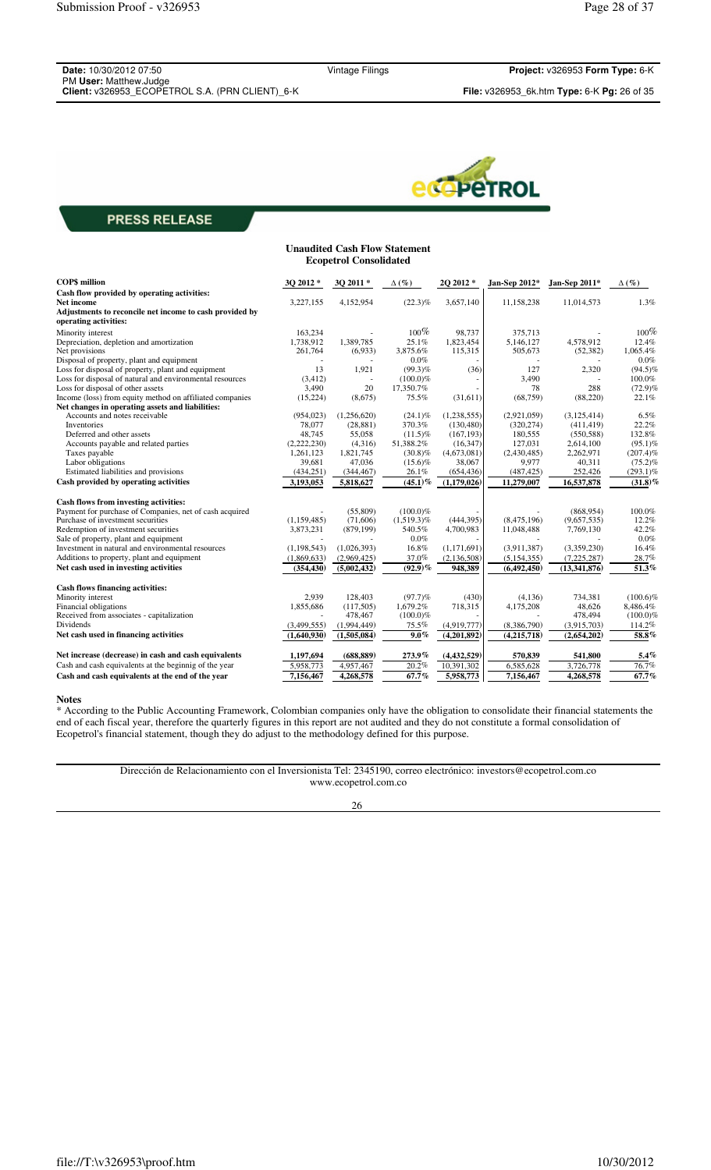| <b>Date: 10/30/2012 07:50</b>                   |  |
|-------------------------------------------------|--|
| PM User: Matthew.Judge                          |  |
| Client: v326953 FCOPFTROL S.A. (PRN CLIENT) 6-K |  |



| <b>Unaudited Cash Flow Statement</b><br><b>Ecopetrol Consolidated</b>            |               |             |                    |             |               |               |              |
|----------------------------------------------------------------------------------|---------------|-------------|--------------------|-------------|---------------|---------------|--------------|
| <b>COP\$</b> million                                                             | 3Q 2012 *     | 3Q 2011*    | $\Delta(\%)$       | 2Q 2012 *   | Jan-Sep 2012* | Jan-Sep 2011* | $\Delta(\%)$ |
| Cash flow provided by operating activities:                                      |               |             |                    |             |               |               |              |
| <b>Net income</b>                                                                | 3,227,155     | 4,152,954   | $(22.3)\%$         | 3,657,140   | 11,158,238    | 11,014,573    | 1.3%         |
| Adjustments to reconcile net income to cash provided by<br>operating activities: |               |             |                    |             |               |               |              |
| Minority interest                                                                | 163,234       |             | $100\%$            | 98,737      | 375,713       |               | $100\%$      |
| Depreciation, depletion and amortization                                         | 1,738,912     | 1,389,785   | 25.1%              | 1,823,454   | 5,146,127     | 4,578,912     | 12.4%        |
| Net provisions                                                                   | 261,764       | (6,933)     | 3,875.6%           | 115,315     | 505,673       | (52, 382)     | 1.065.4%     |
| Disposal of property, plant and equipment                                        |               |             | $0.0\%$            |             |               |               | $0.0\%$      |
| Loss for disposal of property, plant and equipment                               | 13            | 1,921       | $(99.3)\%$         | (36)        | 127           | 2,320         | $(94.5)\%$   |
| Loss for disposal of natural and environmental resources                         | (3, 412)      |             | $(100.0)\%$        |             | 3,490         |               | 100.0%       |
| Loss for disposal of other assets                                                | 3,490         | 20          | 17,350.7%          |             | 78            | 288           | $(72.9)\%$   |
| Income (loss) from equity method on affiliated companies                         | (15, 224)     | (8,675)     | 75.5%              | (31,611)    | (68, 759)     | (88, 220)     | 22.1%        |
| Net changes in operating assets and liabilities:                                 |               |             |                    |             |               |               |              |
| Accounts and notes receivable                                                    | (954, 023)    | (1,256,620) | $(24.1)\%$         | (1,238,555) | (2,921,059)   | (3, 125, 414) | 6.5%         |
| Inventories                                                                      | 78,077        | (28, 881)   | 370.3%             | (130, 480)  | (320, 274)    | (411, 419)    | 22.2%        |
| Deferred and other assets                                                        | 48.745        | 55,058      | $(11.5)\%$         | (167, 193)  | 180,555       | (550, 588)    | 132.8%       |
| Accounts payable and related parties                                             | (2,222,230)   | (4,316)     | 51,388.2%          | (16, 347)   | 127,031       | 2,614,100     | $(95.1)\%$   |
| Taxes payable                                                                    | 1,261,123     | 1,821,745   | $(30.8)\%$         | (4,673,081) | (2,430,485)   | 2,262,971     | $(207.4)\%$  |
| Labor obligations                                                                | 39,681        | 47,036      | $(15.6)\%$         | 38,067      | 9,977         | 40,311        | $(75.2)\%$   |
| Estimated liabilities and provisions                                             | (434, 251)    | (344, 467)  | 26.1%              | (654, 436)  | (487, 425)    | 252,426       | $(293.1)\%$  |
| Cash provided by operating activities                                            | 3,193,053     | 5,818,627   | $(45.1)\%$         | (1,179,026) | 11,279,007    | 16,537,878    | $(31.8)\%$   |
| Cash flows from investing activities:                                            |               |             |                    |             |               |               |              |
| Payment for purchase of Companies, net of cash acquired                          |               | (55,809)    | $(100.0)\%$        |             |               | (868, 954)    | 100.0%       |
| Purchase of investment securities                                                | (1,159,485)   | (71,606)    | $(1,519.3)\%$      | (444, 395)  | (8,475,196)   | (9,657,535)   | 12.2%        |
| Redemption of investment securities                                              | 3,873,231     | (879, 199)  | 540.5%             | 4,700,983   | 11,048,488    | 7,769,130     | 42.2%        |
| Sale of property, plant and equipment                                            |               |             | $0.0\%$            |             |               |               | $0.0\%$      |
| Investment in natural and environmental resources                                | (1, 198, 543) | (1,026,393) | 16.8%              | (1,171,691) | (3,911,387)   | (3,359,230)   | 16.4%        |
| Additions to property, plant and equipment                                       | (1,869,633)   | (2,969,425) | 37.0%              | (2,136,508) | (5, 154, 355) | (7,225,287)   | 28.7%        |
| Net cash used in investing activities                                            | (354, 430)    | (5,002,432) | $(92.9)\%$         | 948,389     | (6,492,450)   | (13,341,876)  | 51.3%        |
| Cash flows financing activities:                                                 |               |             |                    |             |               |               |              |
| Minority interest                                                                | 2,939         | 128,403     | $(97.7)\%$         | (430)       | (4,136)       | 734,381       | $(100.6)\%$  |
| Financial obligations                                                            | 1,855,686     | (117,505)   | 1.679.2%           | 718,315     | 4,175,208     | 48.626        | 8,486.4%     |
| Received from associates - capitalization                                        |               | 478,467     | $(100.0)\%$        |             |               | 478,494       | $(100.0)\%$  |
| Dividends                                                                        | (3,499,555)   | (1,994,449) | 75.5%              | (4,919,777) | (8,386,790)   | (3,915,703)   | 114.2%       |
| Net cash used in financing activities                                            | (1,640,930)   | (1,505,084) | $\overline{9.0}$ % | (4,201,892) | (4,215,718)   | (2,654,202)   | 58.8%        |
| Net increase (decrease) in cash and cash equivalents                             | 1,197,694     | (688, 889)  | 273.9%             | (4,432,529) | 570,839       | 541,800       | 5.4%         |
| Cash and cash equivalents at the beginnig of the year                            | 5,958,773     | 4,957,467   | 20.2%              | 10,391,302  | 6,585,628     | 3,726,778     | 76.7%        |
| Cash and cash equivalents at the end of the year                                 | 7,156,467     | 4,268,578   | 67.7%              | 5,958,773   | 7,156,467     | 4,268,578     | 67.7%        |
|                                                                                  |               |             |                    |             |               |               |              |

#### **Notes**

\* According to the Public Accounting Framework, Colombian companies only have the obligation to consolidate their financial statements the end of each fiscal year, therefore the quarterly figures in this report are not audited and they do not constitute a formal consolidation of Ecopetrol's financial statement, though they do adjust to the methodology defined for this purpose.

Dirección de Relacionamiento con el Inversionista Tel: 2345190, correo electrónico: investors@ecopetrol.com.co www.ecopetrol.com.co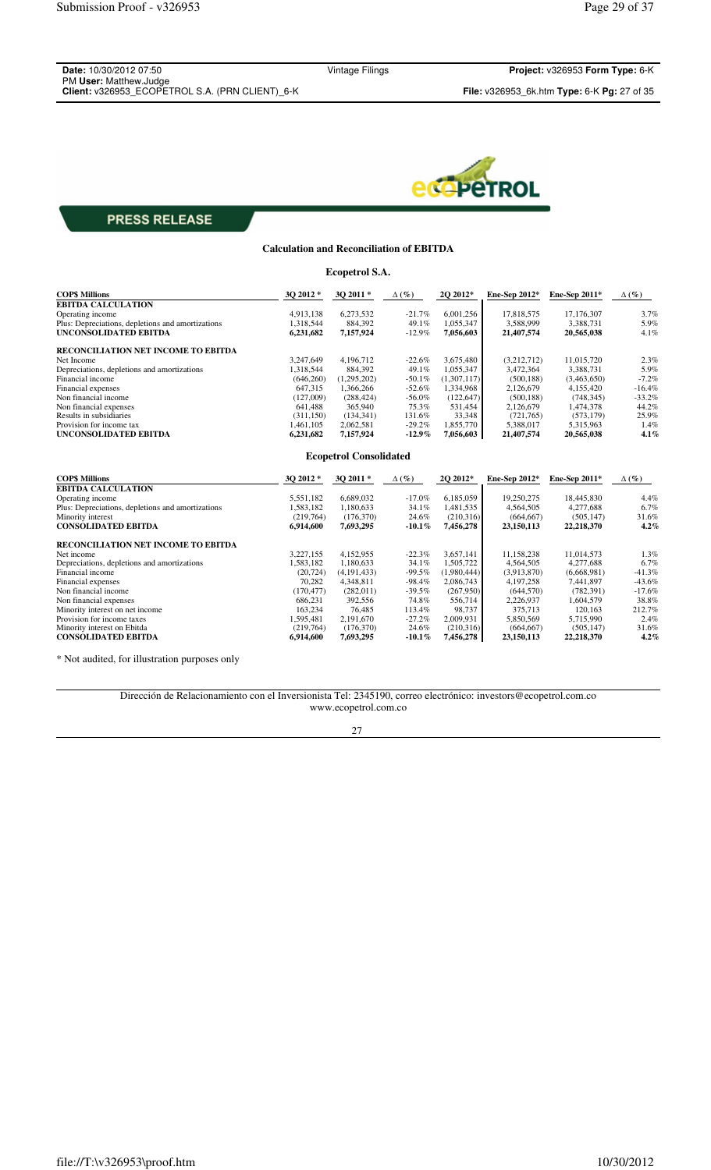| <b>Date:</b> 10/30/2012 07:50                   |  |
|-------------------------------------------------|--|
| PM User: Matthew.Judge                          |  |
| Client: v326953 ECOPETROL S.A. (PRN CLIENT) 6-K |  |

Vintage Filings **Project:** v326953 **Form Type:** 6-K **Client:** v326953\_ECOPETROL S.A. (PRN CLIENT)\_6-K **File:** v326953\_6k.htm **Type:** 6-K **Pg:** 27 of 35



# **PRESS RELEASE**

# **Calculation and Reconciliation of EBITDA Ecopetrol S.A.**

| <b>COP\$ Millions</b>                             | 3Q 2012 *  | 3Q 2011 *                     | $\Delta(\%)$ | 2Q 2012*    | Ene-Sep 2012* | Ene-Sep 2011* | $\Delta(\%)$ |
|---------------------------------------------------|------------|-------------------------------|--------------|-------------|---------------|---------------|--------------|
| <b>EBITDA CALCULATION</b>                         |            |                               |              |             |               |               |              |
| Operating income                                  | 4,913,138  | 6,273,532                     | $-21.7%$     | 6,001,256   | 17,818,575    | 17,176,307    | 3.7%         |
| Plus: Depreciations, depletions and amortizations | 1,318,544  | 884,392                       | 49.1%        | 1.055.347   | 3,588,999     | 3,388,731     | 5.9%         |
| <b>UNCONSOLIDATED EBITDA</b>                      | 6,231,682  | 7,157,924                     | $-12.9%$     | 7,056,603   | 21,407,574    | 20,565,038    | 4.1%         |
| <b>RECONCILIATION NET INCOME TO EBITDA</b>        |            |                               |              |             |               |               |              |
| Net Income                                        | 3,247,649  | 4,196,712                     | $-22.6%$     | 3.675.480   | (3,212,712)   | 11,015,720    | 2.3%         |
| Depreciations, depletions and amortizations       | 1.318.544  | 884.392                       | 49.1%        | 1.055.347   | 3.472.364     | 3.388.731     | 5.9%         |
| Financial income                                  | (646, 260) | (1,295,202)                   | $-50.1%$     | (1,307,117) | (500, 188)    | (3,463,650)   | $-7.2%$      |
| Financial expenses                                | 647,315    | 1,366,266                     | $-52.6%$     | 1,334,968   | 2,126,679     | 4,155,420     | $-16.4%$     |
| Non financial income                              | (127,009)  | (288, 424)                    | $-56.0%$     | (122, 647)  | (500, 188)    | (748, 345)    | $-33.2%$     |
| Non financial expenses                            | 641,488    | 365,940                       | 75.3%        | 531,454     | 2,126,679     | 1,474,378     | 44.2%        |
| Results in subsidiaries                           | (311, 150) | (134, 341)                    | 131.6%       | 33,348      | (721,765)     | (573, 179)    | 25.9%        |
| Provision for income tax                          | 1.461.105  | 2,062,581                     | $-29.2%$     | 1.855.770   | 5.388.017     | 5,315,963     | 1.4%         |
| UNCONSOLIDATED EBITDA                             | 6,231,682  | 7,157,924                     | $-12.9%$     | 7,056,603   | 21,407,574    | 20,565,038    | 4.1%         |
|                                                   |            | <b>Ecopetrol Consolidated</b> |              |             |               |               |              |
| <b>COPS Millions</b>                              | 3O 2012 *  | 3Q 2011 *                     | $\Delta(\%)$ | 2Q 2012*    | Ene-Sep 2012* | Ene-Sep 2011* | $\Delta(\%)$ |
| <b>EBITDA CALCULATION</b>                         |            |                               |              |             |               |               |              |
| Operating income                                  | 5,551,182  | 6,689,032                     | $-17.0%$     | 6,185,059   | 19,250,275    | 18,445,830    | 4.4%         |
| Plus: Depreciations, depletions and amortizations | 1,583,182  | 1,180,633                     | 34.1%        | 1,481,535   | 4,564,505     | 4,277,688     | 6.7%         |
| Minority interest                                 | (219,764)  | (176,370)                     | 24.6%        | (210,316)   | (664, 667)    | (505, 147)    | 31.6%        |
| <b>CONSOLIDATED EBITDA</b>                        | 6,914,600  | 7,693,295                     | $-10.1\%$    | 7,456,278   | 23,150,113    | 22,218,370    | 4.2%         |
| RECONCILIATION NET INCOME TO EBITDA               |            |                               |              |             |               |               |              |
| Net income                                        | 3.227.155  | 4.152.955                     | $-22.3%$     | 3.657.141   | 11.158.238    | 11.014.573    | 1.3%         |
| Depreciations, depletions and amortizations       | 1,583,182  | 1,180,633                     | 34.1%        | 1,505,722   | 4,564,505     | 4,277,688     | 6.7%         |
| Financial income                                  | (20, 724)  | (4,191,433)                   | $-99.5%$     | (1,980,444) | (3,913,870)   | (6,668,981)   | $-41.3%$     |
| Financial expenses                                | 70.282     | 4,348,811                     | $-98.4%$     | 2,086,743   | 4,197,258     | 7,441,897     | $-43.6%$     |
| Non financial income                              | (170, 477) | (282,011)                     | $-39.5%$     | (267,950)   | (644, 570)    | (782, 391)    | $-17.6%$     |
| Non financial expenses                            | 686.231    | 392.556                       | 74.8%        | 556,714     | 2.226.937     | 1.604.579     | 38.8%        |
| Minority interest on net income                   | 163,234    | 76,485                        | 113.4%       | 98,737      | 375,713       | 120,163       | 212.7%       |
| Provision for income taxes                        | 1,595,481  | 2,191,670                     | $-27.2%$     | 2,009,931   | 5,850,569     | 5,715,990     | 2.4%         |
| Minority interest on Ebitda                       | (219,764)  | (176, 370)                    | 24.6%        | (210,316)   | (664, 667)    | (505, 147)    | 31.6%        |
| <b>CONSOLIDATED EBITDA</b>                        | 6,914,600  | 7,693,295                     | $-10.1\%$    | 7,456,278   | 23,150,113    | 22,218,370    | 4.2%         |

\* Not audited, for illustration purposes only

Dirección de Relacionamiento con el Inversionista Tel: 2345190, correo electrónico: investors@ecopetrol.com.co www.ecopetrol.com.co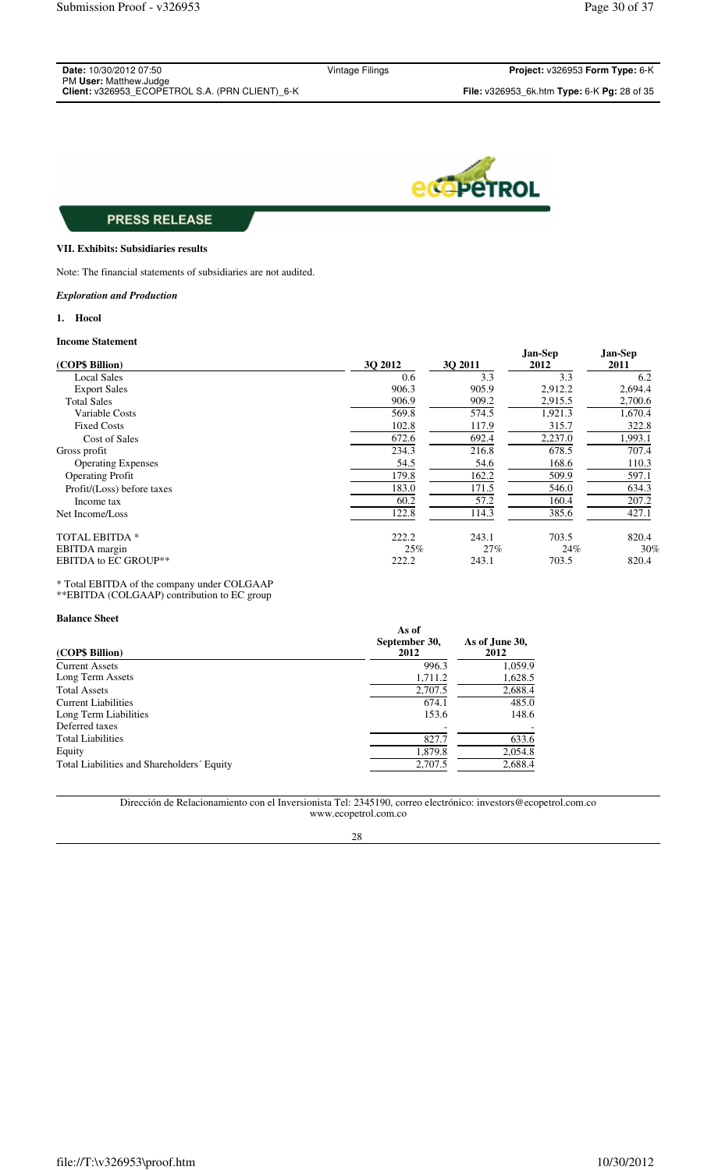| <b>Date:</b> 10/30/2012 07:50                          |  |
|--------------------------------------------------------|--|
| PM User: Matthew.Judge                                 |  |
| <b>Client:</b> v326953 ECOPETROL S.A. (PRN CLIENT) 6-K |  |

Vintage Filings **Project:** v326953 **Form Type:** 6-K



# **PRESS RELEASE**

### **VII. Exhibits: Subsidiaries results**

Note: The financial statements of subsidiaries are not audited.

#### *Exploration and Production*

### **1. Hocol**

## **Income Statement**

| (COP\$ Billion)             | 30 2012 | 30 2011 | Jan-Sep<br>2012 | Jan-Sep<br>2011 |
|-----------------------------|---------|---------|-----------------|-----------------|
| <b>Local Sales</b>          | 0.6     | 3.3     | 3.3             | 6.2             |
| <b>Export Sales</b>         | 906.3   | 905.9   | 2,912.2         | 2,694.4         |
| <b>Total Sales</b>          | 906.9   | 909.2   | 2,915.5         | 2,700.6         |
| Variable Costs              | 569.8   | 574.5   | 1,921.3         | 1,670.4         |
| <b>Fixed Costs</b>          | 102.8   | 117.9   | 315.7           | 322.8           |
| Cost of Sales               | 672.6   | 692.4   | 2,237.0         | 1,993.1         |
| Gross profit                | 234.3   | 216.8   | 678.5           | 707.4           |
| <b>Operating Expenses</b>   | 54.5    | 54.6    | 168.6           | 110.3           |
| <b>Operating Profit</b>     | 179.8   | 162.2   | 509.9           | 597.1           |
| Profit/(Loss) before taxes  | 183.0   | 171.5   | 546.0           | 634.3           |
| Income tax                  | 60.2    | 57.2    | 160.4           | 207.2           |
| Net Income/Loss             | 122.8   | 114.3   | 385.6           | 427.1           |
| <b>TOTAL EBITDA *</b>       | 222.2   | 243.1   | 703.5           | 820.4           |
| EBITDA margin               | 25%     | 27%     | 24%             | 30%             |
| <b>EBITDA to EC GROUP**</b> | 222.2   | 243.1   | 703.5           | 820.4           |

\* Total EBITDA of the company under COLGAAP

\*\*EBITDA (COLGAAP) contribution to EC group

## **Balance Sheet**

| (COP\$ Billion)                            | As of<br>September 30,<br>2012 | As of June 30,<br>2012 |
|--------------------------------------------|--------------------------------|------------------------|
| <b>Current Assets</b>                      | 996.3                          | 1,059.9                |
| Long Term Assets                           | 1,711.2                        | 1,628.5                |
| <b>Total Assets</b>                        | 2,707.5                        | 2,688.4                |
| <b>Current Liabilities</b>                 | 674.1                          | 485.0                  |
| Long Term Liabilities                      | 153.6                          | 148.6                  |
| Deferred taxes                             |                                |                        |
| <b>Total Liabilities</b>                   | 827.7                          | 633.6                  |
| Equity                                     | 1,879.8                        | 2,054.8                |
| Total Liabilities and Shareholders' Equity | 2,707.5                        | 2,688.4                |

Dirección de Relacionamiento con el Inversionista Tel: 2345190, correo electrónico: investors@ecopetrol.com.co www.ecopetrol.com.co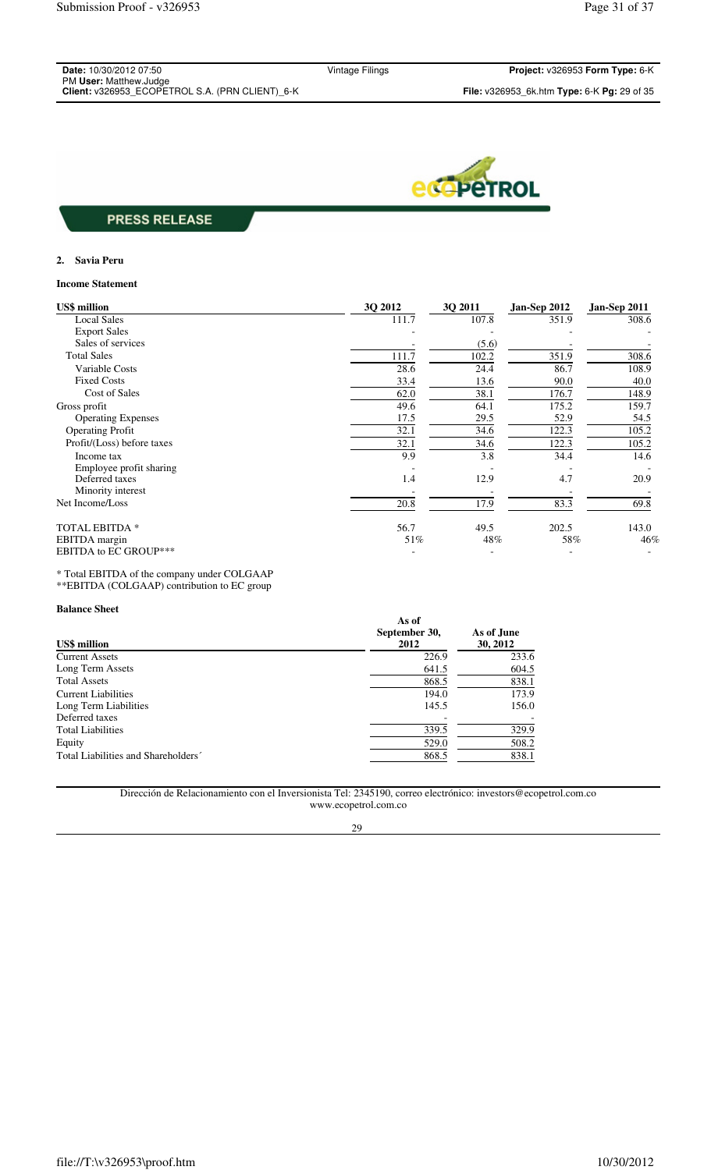| <b>Date: 10/30/2012 07:50</b>                  |
|------------------------------------------------|
| PM User: Matthew.Judge                         |
| Client: v326953 ECOPETROL S A (PRN CLIENT) 6-K |



## **2. Savia Peru**

#### **Income Statement**

| <b>US\$</b> million          | 3Q 2012 | 3Q 2011 | Jan-Sep 2012 | Jan-Sep 2011 |
|------------------------------|---------|---------|--------------|--------------|
| <b>Local Sales</b>           | 111.7   | 107.8   | 351.9        | 308.6        |
| <b>Export Sales</b>          |         |         |              |              |
| Sales of services            |         | (5.6)   |              |              |
| <b>Total Sales</b>           | 111.7   | 102.2   | 351.9        | 308.6        |
| Variable Costs               | 28.6    | 24.4    | 86.7         | 108.9        |
| <b>Fixed Costs</b>           | 33.4    | 13.6    | 90.0         | 40.0         |
| Cost of Sales                | 62.0    | 38.1    | 176.7        | 148.9        |
| Gross profit                 | 49.6    | 64.1    | 175.2        | 159.7        |
| <b>Operating Expenses</b>    | 17.5    | 29.5    | 52.9         | 54.5         |
| <b>Operating Profit</b>      | 32.1    | 34.6    | 122.3        | 105.2        |
| Profit/(Loss) before taxes   | 32.1    | 34.6    | 122.3        | 105.2        |
| Income tax                   | 9.9     | 3.8     | 34.4         | 14.6         |
| Employee profit sharing      |         |         |              |              |
| Deferred taxes               | 1.4     | 12.9    | 4.7          | 20.9         |
| Minority interest            |         |         |              |              |
| Net Income/Loss              | 20.8    | 17.9    | 83.3         | 69.8         |
| <b>TOTAL EBITDA*</b>         | 56.7    | 49.5    | 202.5        | 143.0        |
| EBITDA margin                | 51%     | 48%     | 58%          | 46%          |
| <b>EBITDA to EC GROUP***</b> |         |         |              |              |

\* Total EBITDA of the company under COLGAAP \*\*EBITDA (COLGAAP) contribution to EC group

### **Balance Sheet**

| <b>US\$</b> million                 | As of<br>September 30,<br>2012 | As of June<br>30, 2012 |
|-------------------------------------|--------------------------------|------------------------|
| <b>Current Assets</b>               | 226.9                          | 233.6                  |
| Long Term Assets                    | 641.5                          | 604.5                  |
| <b>Total Assets</b>                 | 868.5                          | 838.1                  |
| Current Liabilities                 | 194.0                          | 173.9                  |
| Long Term Liabilities               | 145.5                          | 156.0                  |
| Deferred taxes                      |                                |                        |
| <b>Total Liabilities</b>            | 339.5                          | 329.9                  |
| Equity                              | 529.0                          | 508.2                  |
| Total Liabilities and Shareholders' | 868.5                          | 838.1                  |

Dirección de Relacionamiento con el Inversionista Tel: 2345190, correo electrónico: investors@ecopetrol.com.co www.ecopetrol.com.co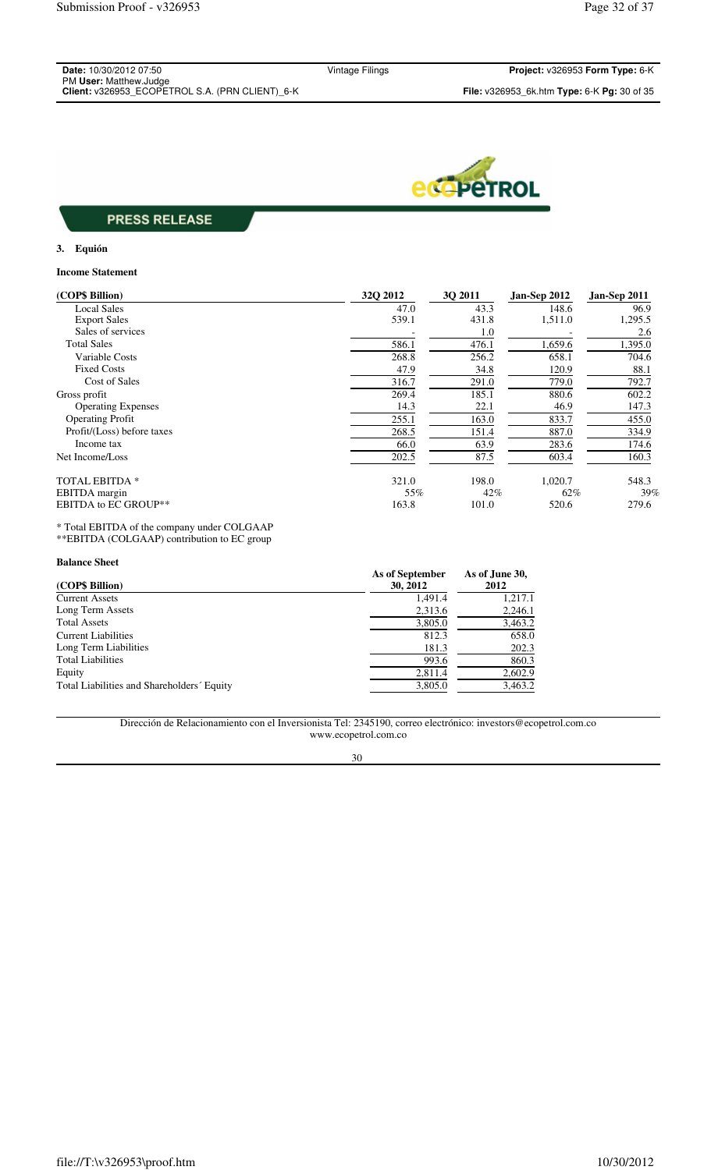| <b>Date: 10/30/2012 07:50</b>                   |
|-------------------------------------------------|
| PM User: Matthew.Judge                          |
| Client: v326953 ECOPETROL S.A. (PRN CLIENT) 6-K |



## **3. Equión**

### **Income Statement**

| (COP\$ Billion)             | 32Q 2012 | 3Q 2011 | Jan-Sep 2012 | Jan-Sep 2011 |
|-----------------------------|----------|---------|--------------|--------------|
| <b>Local Sales</b>          | 47.0     | 43.3    | 148.6        | 96.9         |
| <b>Export Sales</b>         | 539.1    | 431.8   | 1,511.0      | 1,295.5      |
| Sales of services           |          | 1.0     |              | 2.6          |
| <b>Total Sales</b>          | 586.1    | 476.1   | 1,659.6      | 1,395.0      |
| Variable Costs              | 268.8    | 256.2   | 658.1        | 704.6        |
| <b>Fixed Costs</b>          | 47.9     | 34.8    | 120.9        | 88.1         |
| <b>Cost of Sales</b>        | 316.7    | 291.0   | 779.0        | 792.7        |
| Gross profit                | 269.4    | 185.1   | 880.6        | 602.2        |
| <b>Operating Expenses</b>   | 14.3     | 22.1    | 46.9         | 147.3        |
| <b>Operating Profit</b>     | 255.1    | 163.0   | 833.7        | 455.0        |
| Profit/(Loss) before taxes  | 268.5    | 151.4   | 887.0        | 334.9        |
| Income tax                  | 66.0     | 63.9    | 283.6        | 174.6        |
| Net Income/Loss             | 202.5    | 87.5    | 603.4        | 160.3        |
| <b>TOTAL EBITDA *</b>       | 321.0    | 198.0   | 1,020.7      | 548.3        |
| EBITDA margin               | 55%      | 42%     | 62%          | 39%          |
| <b>EBITDA to EC GROUP**</b> | 163.8    | 101.0   | 520.6        | 279.6        |

#### \* Total EBITDA of the company under COLGAAP \*\*EBITDA (COLGAAP) contribution to EC group

| <b>Balance Sheet</b>                       |                 |                |
|--------------------------------------------|-----------------|----------------|
|                                            | As of September | As of June 30, |
| (COP\$ Billion)                            | 30, 2012        | 2012           |
| <b>Current Assets</b>                      | 1.491.4         | 1,217.1        |
| Long Term Assets                           | 2,313.6         | 2,246.1        |
| <b>Total Assets</b>                        | 3,805.0         | 3,463.2        |
| Current Liabilities                        | 812.3           | 658.0          |
| Long Term Liabilities                      | 181.3           | 202.3          |
| <b>Total Liabilities</b>                   | 993.6           | 860.3          |
| Equity                                     | 2,811.4         | 2,602.9        |
| Total Liabilities and Shareholders' Equity | 3,805.0         | 3,463.2        |
|                                            |                 |                |

Dirección de Relacionamiento con el Inversionista Tel: 2345190, correo electrónico: investors@ecopetrol.com.co www.ecopetrol.com.co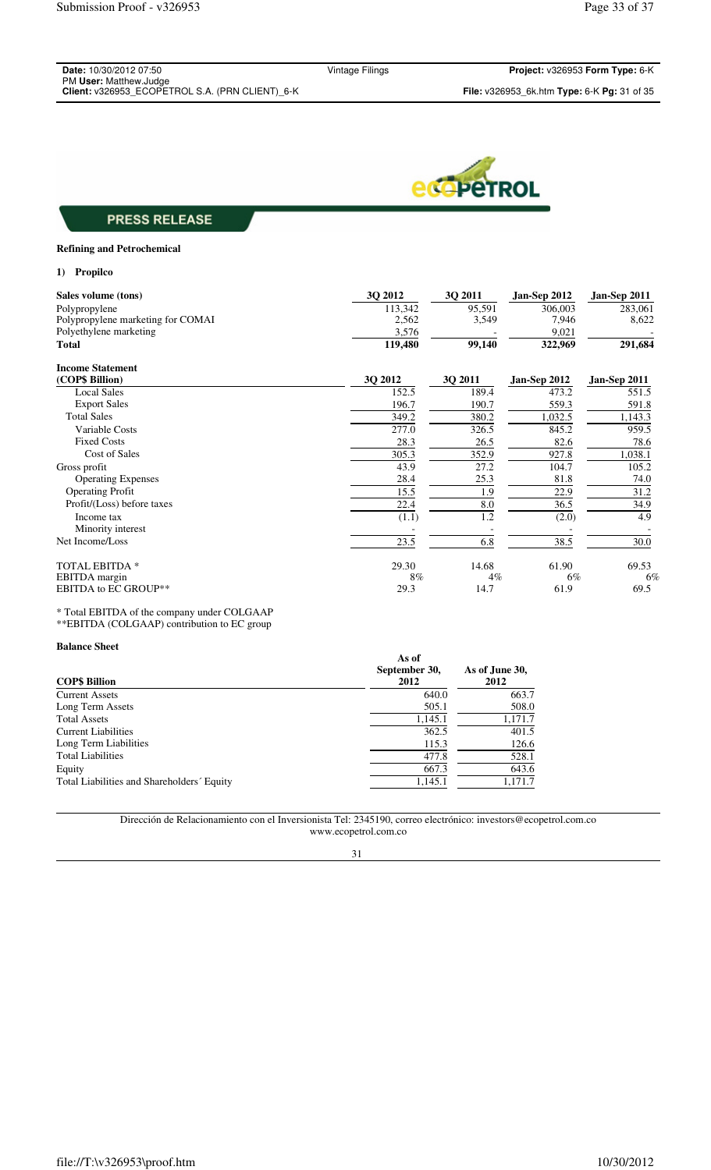| <b>Date: 10/30/2012 07:50</b>                   |  |
|-------------------------------------------------|--|
| PM User: Matthew.Judge                          |  |
| Client: v326953 FCOPFTROL S.A. (PRN CLIENT) 6-K |  |

Vintage Filings **Project:** v326953 **Form Type:** 6-K



# **PRESS RELEASE**

## **Refining and Petrochemical**

## **1) Propilco**

| Sales volume (tons)               | 3Q 2012 | <b>30 2011</b> | Jan-Sep 2012 | Jan-Sep 2011 |
|-----------------------------------|---------|----------------|--------------|--------------|
| Polypropylene                     | 113,342 | 95,591         | 306,003      | 283,061      |
| Polypropylene marketing for COMAI | 2,562   | 3,549          | 7,946        | 8,622        |
| Polyethylene marketing            | 3,576   |                | 9,021        |              |
| <b>Total</b>                      | 119,480 | 99,140         | 322,969      | 291,684      |
| <b>Income Statement</b>           |         |                |              |              |
| (COP\$ Billion)                   | 3Q 2012 | 3Q 2011        | Jan-Sep 2012 | Jan-Sep 2011 |
| <b>Local Sales</b>                | 152.5   | 189.4          | 473.2        | 551.5        |
| <b>Export Sales</b>               | 196.7   | 190.7          | 559.3        | 591.8        |
| <b>Total Sales</b>                | 349.2   | 380.2          | 1,032.5      | 1,143.3      |
| Variable Costs                    | 277.0   | 326.5          | 845.2        | 959.5        |
| <b>Fixed Costs</b>                | 28.3    | 26.5           | 82.6         | 78.6         |
| <b>Cost of Sales</b>              | 305.3   | 352.9          | 927.8        | 1,038.1      |
| Gross profit                      | 43.9    | 27.2           | 104.7        | 105.2        |
| <b>Operating Expenses</b>         | 28.4    | 25.3           | 81.8         | 74.0         |
| <b>Operating Profit</b>           | 15.5    | 1.9            | 22.9         | 31.2         |
| Profit/(Loss) before taxes        | 22.4    | 8.0            | 36.5         | 34.9         |
| Income tax                        | (1.1)   | 1.2            | (2.0)        | 4.9          |
| Minority interest                 |         |                |              |              |
| Net Income/Loss                   | 23.5    | 6.8            | 38.5         | 30.0         |
| TOTAL EBITDA *                    | 29.30   | 14.68          | 61.90        | 69.53        |
| EBITDA margin                     | 8%      | $4\%$          | 6%           | 6%           |
| <b>EBITDA to EC GROUP**</b>       | 29.3    | 14.7           | 61.9         | 69.5         |

\* Total EBITDA of the company under COLGAAP \*\*EBITDA (COLGAAP) contribution to EC group

### **Balance Sheet**

| <b>COPS Billion</b>                        | As of<br>September 30,<br>2012 | As of June 30,<br>2012 |
|--------------------------------------------|--------------------------------|------------------------|
| <b>Current Assets</b>                      | 640.0                          | 663.7                  |
| Long Term Assets                           | 505.1                          | 508.0                  |
| <b>Total Assets</b>                        | 1,145.1                        | 1,171.7                |
| <b>Current Liabilities</b>                 | 362.5                          | 401.5                  |
| Long Term Liabilities                      | 115.3                          | 126.6                  |
| <b>Total Liabilities</b>                   | 477.8                          | 528.1                  |
| Equity                                     | 667.3                          | 643.6                  |
| Total Liabilities and Shareholders' Equity | 1,145.1                        | 1.171.7                |

Dirección de Relacionamiento con el Inversionista Tel: 2345190, correo electrónico: investors@ecopetrol.com.co www.ecopetrol.com.co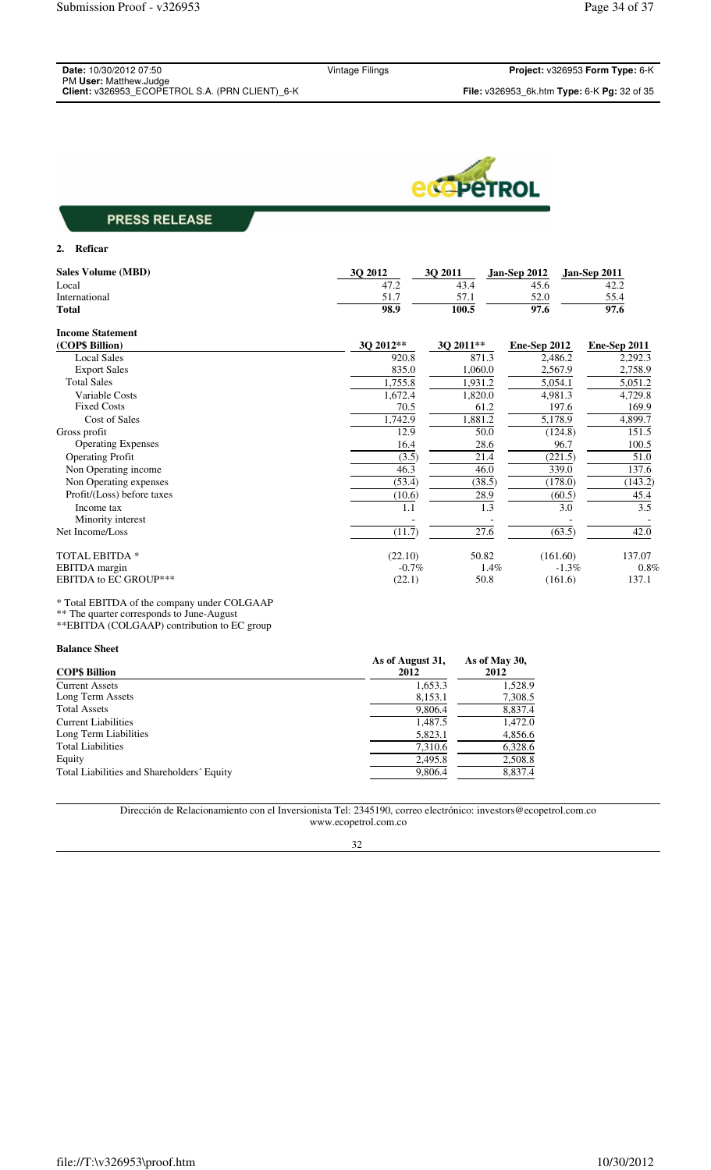| <b>Date:</b> 10/30/2012 07:50                   |  |
|-------------------------------------------------|--|
| PM User: Matthew.Judge                          |  |
| Client: v326953 FCOPETROL S.A. (PRN CLIENT) 6-K |  |



### **2. Reficar**

| <b>Sales Volume (MBD)</b>    | 3Q 2012   | 3Q 2011   | <b>Jan-Sep 2012</b> | Jan-Sep 2011 |
|------------------------------|-----------|-----------|---------------------|--------------|
| Local                        | 47.2      | 43.4      | 45.6                | 42.2         |
| International                | 51.7      | 57.1      | 52.0                | 55.4         |
| <b>Total</b>                 | 98.9      | 100.5     | 97.6                | 97.6         |
| <b>Income Statement</b>      |           |           |                     |              |
| (COP\$ Billion)              | 3Q 2012** | 3Q 2011** | Ene-Sep 2012        | Ene-Sep 2011 |
| <b>Local Sales</b>           | 920.8     | 871.3     | 2,486.2             | 2,292.3      |
| <b>Export Sales</b>          | 835.0     | 1,060.0   | 2,567.9             | 2,758.9      |
| <b>Total Sales</b>           | 1,755.8   | 1,931.2   | 5,054.1             | 5,051.2      |
| Variable Costs               | 1,672.4   | 1,820.0   | 4,981.3             | 4,729.8      |
| <b>Fixed Costs</b>           | 70.5      | 61.2      | 197.6               | 169.9        |
| Cost of Sales                | 1,742.9   | 1,881.2   | 5,178.9             | 4,899.7      |
| Gross profit                 | 12.9      | 50.0      | (124.8)             | 151.5        |
| <b>Operating Expenses</b>    | 16.4      | 28.6      | 96.7                | 100.5        |
| <b>Operating Profit</b>      | (3.5)     | 21.4      | (221.5)             | 51.0         |
| Non Operating income         | 46.3      | 46.0      | 339.0               | 137.6        |
| Non Operating expenses       | (53.4)    | (38.5)    | (178.0)             | (143.2)      |
| Profit/(Loss) before taxes   | (10.6)    | 28.9      | (60.5)              | 45.4         |
| Income tax                   | 1.1       | 1.3       | 3.0                 | 3.5          |
| Minority interest            |           |           |                     |              |
| Net Income/Loss              | (11.7)    | 27.6      | (63.5)              | 42.0         |
| TOTAL EBITDA *               | (22.10)   | 50.82     | (161.60)            | 137.07       |
| EBITDA margin                | $-0.7\%$  | 1.4%      | $-1.3\%$            | 0.8%         |
| <b>EBITDA to EC GROUP***</b> | (22.1)    | 50.8      | (161.6)             | 137.1        |

\* Total EBITDA of the company under COLGAAP

\*\* The quarter corresponds to June-August

\*\*EBITDA (COLGAAP) contribution to EC group

# **Balance Sheet**

| <b>COP\$ Billion</b>                       | As of August 31,<br>2012 | As of May 30,<br>2012 |
|--------------------------------------------|--------------------------|-----------------------|
| <b>Current Assets</b>                      | 1,653.3                  | 1,528.9               |
| Long Term Assets                           | 8,153.1                  | 7,308.5               |
| <b>Total Assets</b>                        | 9,806.4                  | 8,837.4               |
| <b>Current Liabilities</b>                 | 1,487.5                  | 1,472.0               |
| Long Term Liabilities                      | 5,823.1                  | 4,856.6               |
| <b>Total Liabilities</b>                   | 7,310.6                  | 6,328.6               |
| Equity                                     | 2,495.8                  | 2,508.8               |
| Total Liabilities and Shareholders' Equity | 9,806.4                  | 8,837.4               |

Dirección de Relacionamiento con el Inversionista Tel: 2345190, correo electrónico: investors@ecopetrol.com.co www.ecopetrol.com.co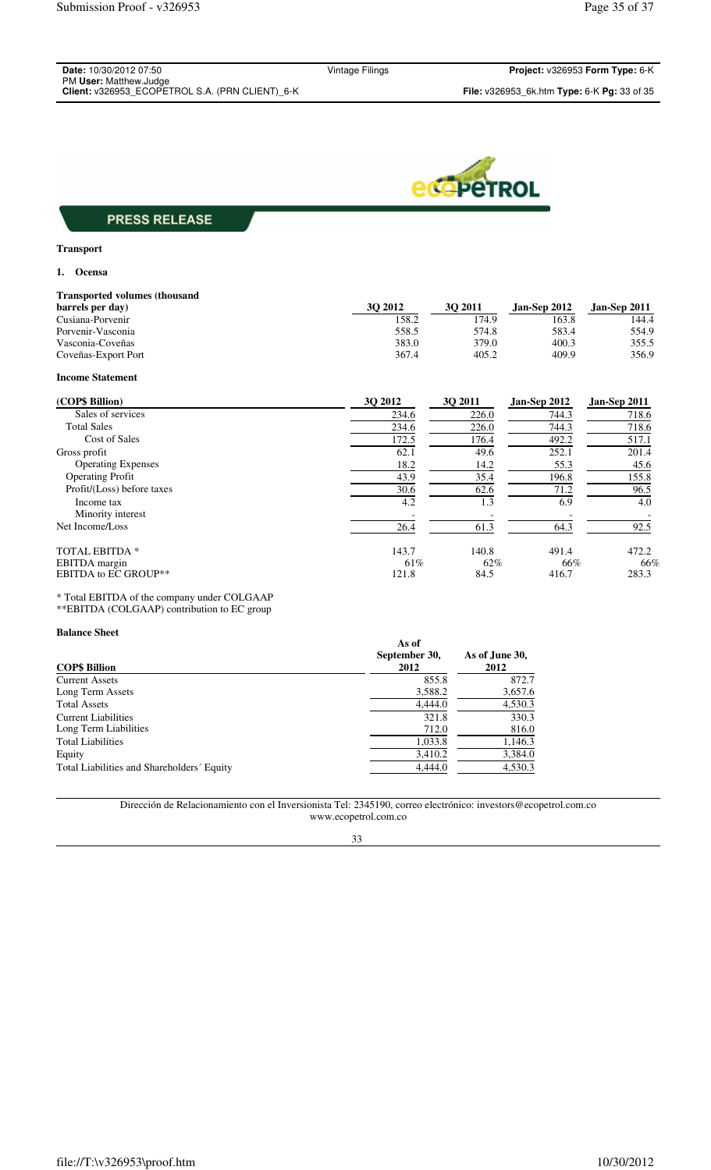| <b>Date: 10/30/2012 07:50</b>                   |
|-------------------------------------------------|
| PM User: Matthew.Judge                          |
| Client: v326953 ECOPETROL S.A. (PRN CLIENT) 6-K |



# **Transport**

## **1. Ocensa**

| <b>Transported volumes (thousand)</b> |         |         |                |                     |
|---------------------------------------|---------|---------|----------------|---------------------|
| barrels per day)                      | 30 2012 | 30 2011 | Jan-Sep $2012$ | <b>Jan-Sep 2011</b> |
| Cusiana-Porvenir                      | 158.2   | 174.9   | 163.8          | 144.4               |
| Porvenir-Vasconia                     | 558.5   | 574.8   | 583.4          | 554.9               |
| Vasconia-Coveñas                      | 383.0   | 379.0   | 400.3          | 355.5               |
| Coveñas-Export Port                   | 367.4   | 405.2   | 409.9          | 356.9               |

## **Income Statement**

| (COP\$ Billion)             | 30 2012 | 30 2011 | Jan-Sep 2012 | Jan-Sep 2011 |
|-----------------------------|---------|---------|--------------|--------------|
| Sales of services           | 234.6   | 226.0   | 744.3        | 718.6        |
| <b>Total Sales</b>          | 234.6   | 226.0   | 744.3        | 718.6        |
| <b>Cost of Sales</b>        | 172.5   | 176.4   | 492.2        | 517.1        |
| Gross profit                | 62.1    | 49.6    | 252.1        | 201.4        |
| <b>Operating Expenses</b>   | 18.2    | 14.2    | 55.3         | 45.6         |
| <b>Operating Profit</b>     | 43.9    | 35.4    | 196.8        | 155.8        |
| Profit/(Loss) before taxes  | 30.6    | 62.6    | 71.2         | 96.5         |
| Income tax                  | 4.2     | 1.3     | 6.9          | 4.0          |
| Minority interest           |         |         |              |              |
| Net Income/Loss             | 26.4    | 61.3    | 64.3         | 92.5         |
| <b>TOTAL EBITDA *</b>       | 143.7   | 140.8   | 491.4        | 472.2        |
| EBITDA margin               | 61%     | 62%     | 66%          | 66%          |
| <b>EBITDA to EC GROUP**</b> | 121.8   | 84.5    | 416.7        | 283.3        |

\* Total EBITDA of the company under COLGAAP \*\*EBITDA (COLGAAP) contribution to EC group

## **Balance Sheet**

| <b>COP\$ Billion</b>                       | As of<br>September 30,<br>2012 | As of June 30,<br>2012 |
|--------------------------------------------|--------------------------------|------------------------|
| <b>Current Assets</b>                      | 855.8                          | 872.7                  |
| Long Term Assets                           | 3,588.2                        | 3,657.6                |
| <b>Total Assets</b>                        | 4,444.0                        | 4,530.3                |
| <b>Current Liabilities</b>                 | 321.8                          | 330.3                  |
| Long Term Liabilities                      | 712.0                          | 816.0                  |
| <b>Total Liabilities</b>                   | 1,033.8                        | 1,146.3                |
| Equity                                     | 3,410.2                        | 3,384.0                |
| Total Liabilities and Shareholders' Equity | 4,444.0                        | 4,530.3                |

## Dirección de Relacionamiento con el Inversionista Tel: 2345190, correo electrónico: investors@ecopetrol.com.co www.ecopetrol.com.co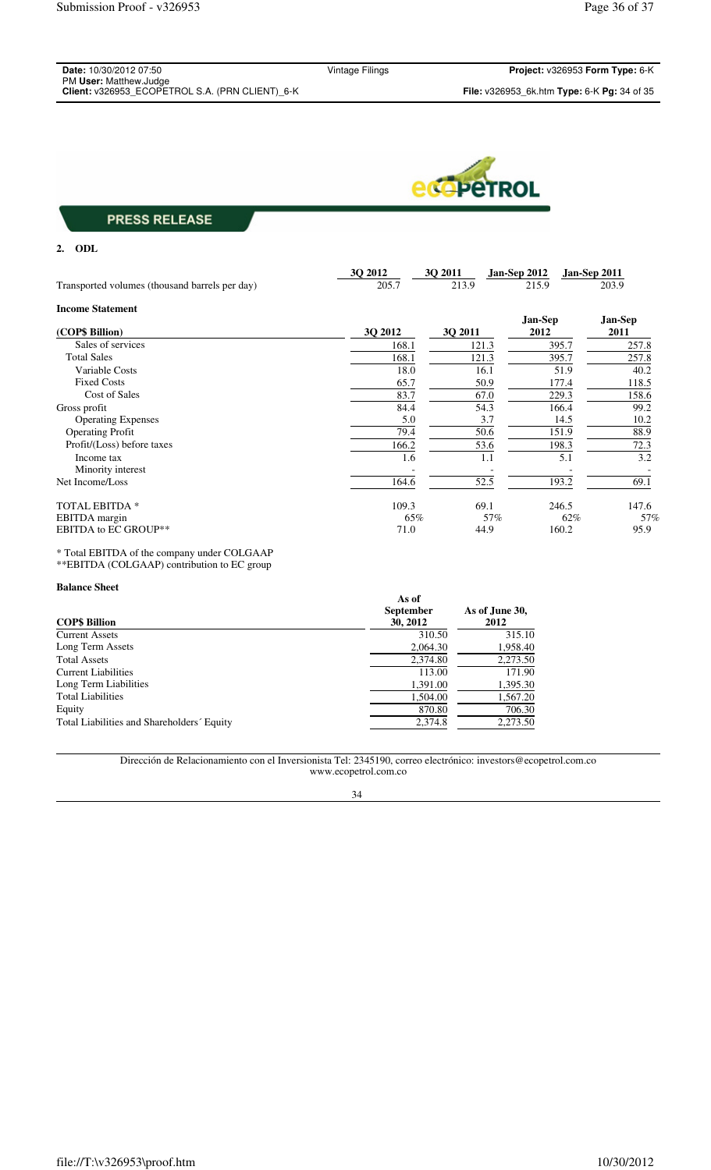| <b>Date:</b> 10/30/2012 07:50                                             | Vintage Filings | <b>Project:</b> $v326953$ Form Type: $6-K$                       |
|---------------------------------------------------------------------------|-----------------|------------------------------------------------------------------|
| PM User: Matthew.Judge<br>Client: v326953 ECOPETROL S.A. (PRN CLIENT) 6-K |                 | <b>File:</b> v326953 6k.htm <b>Type:</b> 6-K <b>Pg:</b> 34 of 35 |



**2. ODL**

|                                                | 3Q 2012 | 3Q 2011 | Jan-Sep 2012   | Jan-Sep 2011   |
|------------------------------------------------|---------|---------|----------------|----------------|
| Transported volumes (thousand barrels per day) | 205.7   | 213.9   | 215.9          | 203.9          |
| <b>Income Statement</b>                        |         |         |                |                |
|                                                |         |         | <b>Jan-Sep</b> | <b>Jan-Sep</b> |
| (COP\$ Billion)                                | 3Q 2012 | 30 2011 | 2012           | 2011           |
| Sales of services                              | 168.1   | 121.3   | 395.7          | 257.8          |
| <b>Total Sales</b>                             | 168.1   | 121.3   | 395.7          | 257.8          |
| Variable Costs                                 | 18.0    | 16.1    | 51.9           | 40.2           |
| <b>Fixed Costs</b>                             | 65.7    | 50.9    | 177.4          | 118.5          |
| Cost of Sales                                  | 83.7    | 67.0    | 229.3          | 158.6          |
| Gross profit                                   | 84.4    | 54.3    | 166.4          | 99.2           |
| <b>Operating Expenses</b>                      | 5.0     | 3.7     | 14.5           | 10.2           |
| <b>Operating Profit</b>                        | 79.4    | 50.6    | 151.9          | 88.9           |
| Profit/(Loss) before taxes                     | 166.2   | 53.6    | 198.3          | 72.3           |
| Income tax                                     | 1.6     | 1.1     | 5.1            | 3.2            |
| Minority interest                              |         |         |                |                |
| Net Income/Loss                                | 164.6   | 52.5    | 193.2          | 69.1           |
| <b>TOTAL EBITDA *</b>                          | 109.3   | 69.1    | 246.5          | 147.6          |
| EBITDA margin                                  | 65%     | 57%     | 62%            | 57%            |
| <b>EBITDA to EC GROUP**</b>                    | 71.0    | 44.9    | 160.2          | 95.9           |

\* Total EBITDA of the company under COLGAAP \*\*EBITDA (COLGAAP) contribution to EC group

## **Balance Sheet**

| ранное энсе<br><b>COPS Billion</b>         | As of<br><b>September</b><br>30, 2012 | As of June 30,<br>2012 |  |
|--------------------------------------------|---------------------------------------|------------------------|--|
| <b>Current Assets</b>                      | 310.50                                | 315.10                 |  |
| Long Term Assets                           | 2,064.30                              | 1,958.40               |  |
| <b>Total Assets</b>                        | 2,374.80                              | 2,273.50               |  |
| Current Liabilities                        | 113.00                                | 171.90                 |  |
| Long Term Liabilities                      | 1,391.00                              | 1,395.30               |  |
| <b>Total Liabilities</b>                   | 1.504.00                              | 1,567.20               |  |
| Equity                                     | 870.80                                | 706.30                 |  |
| Total Liabilities and Shareholders' Equity | 2,374.8                               | 2,273.50               |  |

Dirección de Relacionamiento con el Inversionista Tel: 2345190, correo electrónico: investors@ecopetrol.com.co www.ecopetrol.com.co